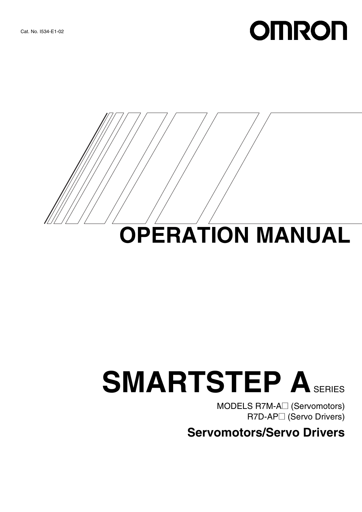# **OMRON**



# **SMARTSTEP ASERIES**

MODELS R7M-A□ (Servomotors) **R7D-AP**□ (Servo Drivers)

**Servomotors/Servo Drivers**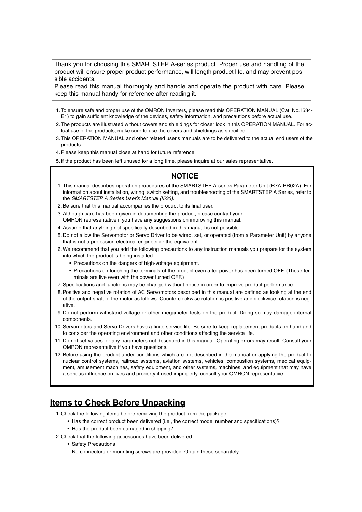Thank you for choosing this SMARTSTEP A-series product. Proper use and handling of the product will ensure proper product performance, will length product life, and may prevent possible accidents.

Please read this manual thoroughly and handle and operate the product with care. Please keep this manual handy for reference after reading it.

- 1.To ensure safe and proper use of the OMRON Inverters, please read this OPERATION MANUAL (Cat. No. I534- E1) to gain sufficient knowledge of the devices, safety information, and precautions before actual use.
- 2.The products are illustrated without covers and shieldings for closer look in this OPERATION MANUAL. For actual use of the products, make sure to use the covers and shieldings as specified.
- 3.This OPERATION MANUAL and other related user's manuals are to be delivered to the actual end users of the products.
- 4.Please keep this manual close at hand for future reference.

5.If the product has been left unused for a long time, please inquire at our sales representative.

#### **NOTICE**

- 1.This manual describes operation procedures of the SMARTSTEP A-series Parameter Unit (R7A-PR02A). For information about installation, wiring, switch setting, and troubleshooting of the SMARTSTEP A Series, refer to the *SMARTSTEP A Series User's Manual (I533)*.
- 2.Be sure that this manual accompanies the product to its final user.
- 3.Although care has been given in documenting the product, please contact your OMRON representative if you have any suggestions on improving this manual.
- 4.Assume that anything not specifically described in this manual is not possible.
- 5.Do not allow the Servomotor or Servo Driver to be wired, set, or operated (from a Parameter Unit) by anyone that is not a profession electrical engineer or the equivalent.
- 6.We recommend that you add the following precautions to any instruction manuals you prepare for the system into which the product is being installed.
	- Precautions on the dangers of high-voltage equipment.
	- Precautions on touching the terminals of the product even after power has been turned OFF. (These terminals are live even with the power turned OFF.)
- 7.Specifications and functions may be changed without notice in order to improve product performance.
- 8.Positive and negative rotation of AC Servomotors described in this manual are defined as looking at the end of the output shaft of the motor as follows: Counterclockwise rotation is positive and clockwise rotation is negative.
- 9.Do not perform withstand-voltage or other megameter tests on the product. Doing so may damage internal components.
- 10. Servomotors and Servo Drivers have a finite service life. Be sure to keep replacement products on hand and to consider the operating environment and other conditions affecting the service life.
- 11. Do not set values for any parameters not described in this manual. Operating errors may result. Consult your OMRON representative if you have questions.
- 12. Before using the product under conditions which are not described in the manual or applying the product to nuclear control systems, railroad systems, aviation systems, vehicles, combustion systems, medical equipment, amusement machines, safety equipment, and other systems, machines, and equipment that may have a serious influence on lives and property if used improperly, consult your OMRON representative.

#### **Items to Check Before Unpacking**

- 1.Check the following items before removing the product from the package:
	- Has the correct product been delivered (i.e., the correct model number and specifications)?
	- Has the product been damaged in shipping?
- 2.Check that the following accessories have been delivered.
	- Safety Precautions
		- No connectors or mounting screws are provided. Obtain these separately.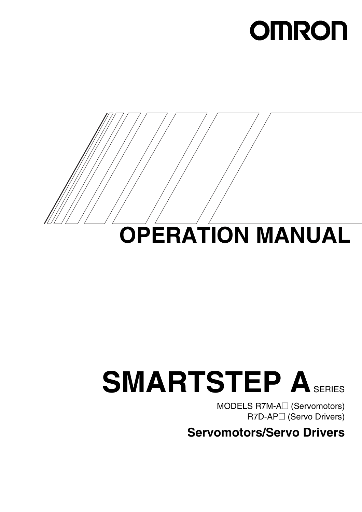# **OMRON**



# **SMARTSTEP ASERIES**

MODELS R7M-A<sup>2</sup> (Servomotors) **R7D-AP**□ (Servo Drivers)

**Servomotors/Servo Drivers**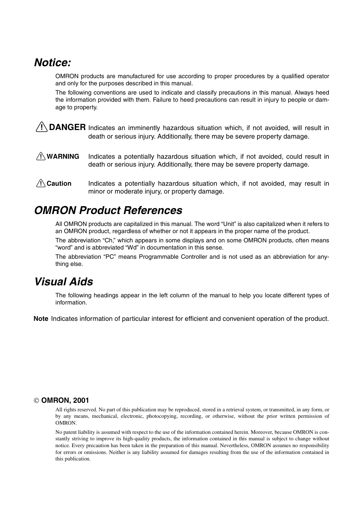# *Notice:*

OMRON products are manufactured for use according to proper procedures by a qualified operator and only for the purposes described in this manual.

The following conventions are used to indicate and classify precautions in this manual. Always heed the information provided with them. Failure to heed precautions can result in injury to people or damage to property.

 $\sqrt{N}$  DANGER Indicates an imminently hazardous situation which, if not avoided, will result in death or serious injury. Additionally, there may be severe property damage.

- $\triangle$  WARNING Indicates a potentially hazardous situation which, if not avoided, could result in death or serious injury. Additionally, there may be severe property damage.
- $\bigwedge$  Caution Indicates a potentially hazardous situation which, if not avoided, may result in minor or moderate injury, or property damage.

# *OMRON Product References*

All OMRON products are capitalized in this manual. The word "Unit" is also capitalized when it refers to an OMRON product, regardless of whether or not it appears in the proper name of the product.

The abbreviation "Ch," which appears in some displays and on some OMRON products, often means "word" and is abbreviated "Wd" in documentation in this sense.

The abbreviation "PC" means Programmable Controller and is not used as an abbreviation for anything else.

# *Visual Aids*

The following headings appear in the left column of the manual to help you locate different types of information.

**Note** Indicates information of particular interest for efficient and convenient operation of the product.

#### **OMRON, 2001**

All rights reserved. No part of this publication may be reproduced, stored in a retrieval system, or transmitted, in any form, or by any means, mechanical, electronic, photocopying, recording, or otherwise, without the prior written permission of OMRON.

No patent liability is assumed with respect to the use of the information contained herein. Moreover, because OMRON is constantly striving to improve its high-quality products, the information contained in this manual is subject to change without notice. Every precaution has been taken in the preparation of this manual. Nevertheless, OMRON assumes no responsibility for errors or omissions. Neither is any liability assumed for damages resulting from the use of the information contained in this publication.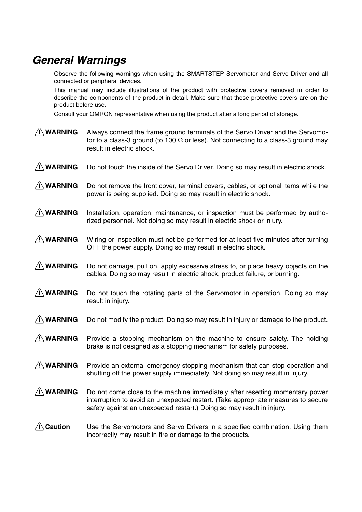# *General Warnings*

Observe the following warnings when using the SMARTSTEP Servomotor and Servo Driver and all connected or peripheral devices.

This manual may include illustrations of the product with protective covers removed in order to describe the components of the product in detail. Make sure that these protective covers are on the product before use.

Consult your OMRON representative when using the product after a long period of storage.

- $\bigwedge$  WARNING Always connect the frame ground terminals of the Servo Driver and the Servomotor to a class-3 ground (to 100  $\Omega$  or less). Not connecting to a class-3 ground may result in electric shock.
- $\bigwedge$  WARNING Do not touch the inside of the Servo Driver. Doing so may result in electric shock.
- $\bigwedge$  WARNING Do not remove the front cover, terminal covers, cables, or optional items while the power is being supplied. Doing so may result in electric shock.
- $\bigwedge$  WARNING Installation, operation, maintenance, or inspection must be performed by authorized personnel. Not doing so may result in electric shock or injury.
- $\bigwedge$  WARNING Wiring or inspection must not be performed for at least five minutes after turning OFF the power supply. Doing so may result in electric shock.
- $\bigwedge$  WARNING Do not damage, pull on, apply excessive stress to, or place heavy objects on the cables. Doing so may result in electric shock, product failure, or burning.
- $\sqrt{!}$  WARNING Do not touch the rotating parts of the Servomotor in operation. Doing so may result in injury.
- $\bigwedge$  **WARNING** Do not modify the product. Doing so may result in injury or damage to the product.
- $\bigwedge$  WARNING Provide a stopping mechanism on the machine to ensure safety. The holding brake is not designed as a stopping mechanism for safety purposes.
- $\bigwedge$  WARNING Provide an external emergency stopping mechanism that can stop operation and shutting off the power supply immediately. Not doing so may result in injury.
- $\bigwedge$  WARNING Do not come close to the machine immediately after resetting momentary power interruption to avoid an unexpected restart. (Take appropriate measures to secure safety against an unexpected restart.) Doing so may result in injury.
- $\bigwedge$  Caution Use the Servomotors and Servo Drivers in a specified combination. Using them incorrectly may result in fire or damage to the products.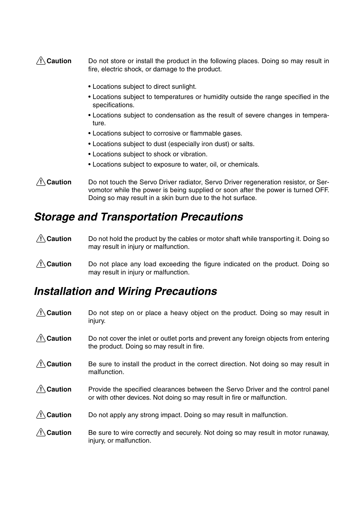#### $\bigwedge$  Caution Do not store or install the product in the following places. Doing so may result in fire, electric shock, or damage to the product.

- Locations subject to direct sunlight.
- Locations subject to temperatures or humidity outside the range specified in the specifications.
- Locations subject to condensation as the result of severe changes in temperature.
- Locations subject to corrosive or flammable gases.
- Locations subject to dust (especially iron dust) or salts.
- Locations subject to shock or vibration.
- Locations subject to exposure to water, oil, or chemicals.

#### $\bigwedge$  Caution Do not touch the Servo Driver radiator, Servo Driver regeneration resistor, or Servomotor while the power is being supplied or soon after the power is turned OFF. Doing so may result in a skin burn due to the hot surface.

#### *Storage and Transportation Precautions*

- $\bigwedge$  Caution Do not hold the product by the cables or motor shaft while transporting it. Doing so may result in injury or malfunction.
- $\triangle$  Caution Do not place any load exceeding the figure indicated on the product. Doing so may result in injury or malfunction.

## *Installation and Wiring Precautions*

 $\triangle$  Caution Do not step on or place a heavy object on the product. Doing so may result in injury.  $\bigwedge$  Caution Do not cover the inlet or outlet ports and prevent any foreign objects from entering the product. Doing so may result in fire.  $\bigwedge$  Caution Be sure to install the product in the correct direction. Not doing so may result in malfunction.  $\triangle$  Caution Provide the specified clearances between the Servo Driver and the control panel or with other devices. Not doing so may result in fire or malfunction.  $\bigwedge$  Caution Do not apply any strong impact. Doing so may result in malfunction.  $\bigwedge$  Caution Be sure to wire correctly and securely. Not doing so may result in motor runaway, injury, or malfunction.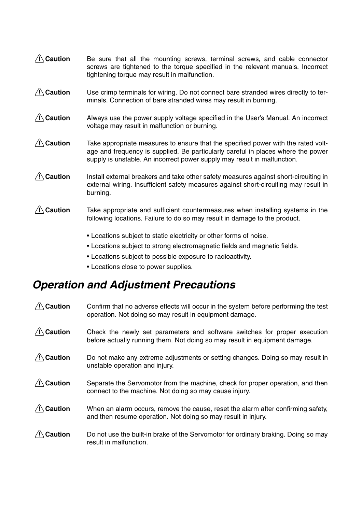| $\sqrt{N}$ Caution | Be sure that all the mounting screws, terminal screws, and cable connector<br>screws are tightened to the torque specified in the relevant manuals. Incorrect<br>tightening torque may result in malfunction.                                     |
|--------------------|---------------------------------------------------------------------------------------------------------------------------------------------------------------------------------------------------------------------------------------------------|
| $\sqrt{!}$ Caution | Use crimp terminals for wiring. Do not connect bare stranded wires directly to ter-<br>minals. Connection of bare stranded wires may result in burning.                                                                                           |
| $\sqrt{N}$ Caution | Always use the power supply voltage specified in the User's Manual. An incorrect<br>voltage may result in malfunction or burning.                                                                                                                 |
| $\sqrt{!}$ Caution | Take appropriate measures to ensure that the specified power with the rated volt-<br>age and frequency is supplied. Be particularly careful in places where the power<br>supply is unstable. An incorrect power supply may result in malfunction. |
| $\sqrt{N}$ Caution | Install external breakers and take other safety measures against short-circuiting in<br>external wiring. Insufficient safety measures against short-circuiting may result in<br>burning.                                                          |
| $\sqrt{N}$ Caution | Take appropriate and sufficient countermeasures when installing systems in the<br>following locations. Failure to do so may result in damage to the product.                                                                                      |
|                    | • Locations subject to static electricity or other forms of noise.<br>. Locations subject to strong electromagnetic fields and magnetic fields.                                                                                                   |

- Locations subject to possible exposure to radioactivity.
- Locations close to power supplies.

# *Operation and Adjustment Precautions*

| $\bigwedge$ Caution | Confirm that no adverse effects will occur in the system before performing the test<br>operation. Not doing so may result in equipment damage.          |
|---------------------|---------------------------------------------------------------------------------------------------------------------------------------------------------|
| Caution             | Check the newly set parameters and software switches for proper execution<br>before actually running them. Not doing so may result in equipment damage. |
| $\sqrt{N}$ Caution  | Do not make any extreme adjustments or setting changes. Doing so may result in<br>unstable operation and injury.                                        |
| <b>Caution</b>      | Separate the Servomotor from the machine, check for proper operation, and then<br>connect to the machine. Not doing so may cause injury.                |
| <b>Caution</b>      | When an alarm occurs, remove the cause, reset the alarm after confirming safety,<br>and then resume operation. Not doing so may result in injury.       |
| Caution             | Do not use the built-in brake of the Servomotor for ordinary braking. Doing so may<br>result in malfunction.                                            |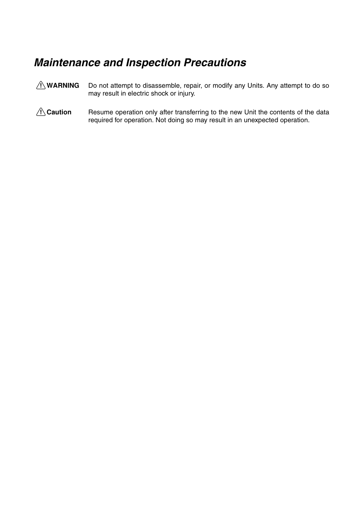# *Maintenance and Inspection Precautions*

- $\bigwedge$  WARNING Do not attempt to disassemble, repair, or modify any Units. Any attempt to do so may result in electric shock or injury.
- **A** Caution Resume operation only after transferring to the new Unit the contents of the data required for operation. Not doing so may result in an unexpected operation.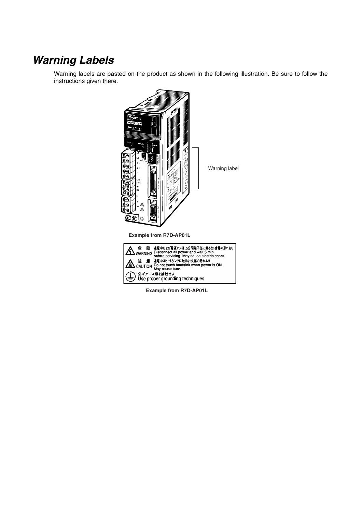# *Warning Labels*

Warning labels are pasted on the product as shown in the following illustration. Be sure to follow the instructions given there.



**Example from R7D-AP01L**

≐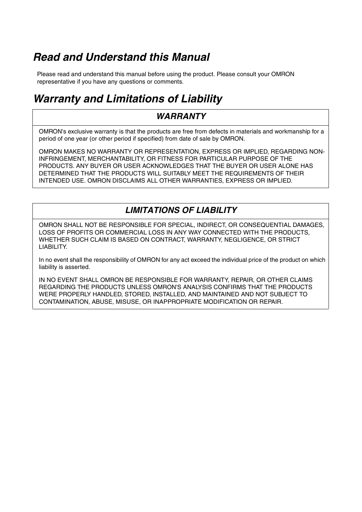# *Read and Understand this Manual*

Please read and understand this manual before using the product. Please consult your OMRON representative if you have any questions or comments.

# *Warranty and Limitations of Liability*

#### *WARRANTY*

OMRON's exclusive warranty is that the products are free from defects in materials and workmanship for a period of one year (or other period if specified) from date of sale by OMRON.

OMRON MAKES NO WARRANTY OR REPRESENTATION, EXPRESS OR IMPLIED, REGARDING NON-INFRINGEMENT, MERCHANTABILITY, OR FITNESS FOR PARTICULAR PURPOSE OF THE PRODUCTS. ANY BUYER OR USER ACKNOWLEDGES THAT THE BUYER OR USER ALONE HAS DETERMINED THAT THE PRODUCTS WILL SUITABLY MEET THE REQUIREMENTS OF THEIR INTENDED USE. OMRON DISCLAIMS ALL OTHER WARRANTIES, EXPRESS OR IMPLIED.

#### *LIMITATIONS OF LIABILITY*

OMRON SHALL NOT BE RESPONSIBLE FOR SPECIAL, INDIRECT, OR CONSEQUENTIAL DAMAGES, LOSS OF PROFITS OR COMMERCIAL LOSS IN ANY WAY CONNECTED WITH THE PRODUCTS, WHETHER SUCH CLAIM IS BASED ON CONTRACT, WARRANTY, NEGLIGENCE, OR STRICT LIABILITY.

In no event shall the responsibility of OMRON for any act exceed the individual price of the product on which liability is asserted.

IN NO EVENT SHALL OMRON BE RESPONSIBLE FOR WARRANTY, REPAIR, OR OTHER CLAIMS REGARDING THE PRODUCTS UNLESS OMRON'S ANALYSIS CONFIRMS THAT THE PRODUCTS WERE PROPERLY HANDLED, STORED, INSTALLED, AND MAINTAINED AND NOT SUBJECT TO CONTAMINATION, ABUSE, MISUSE, OR INAPPROPRIATE MODIFICATION OR REPAIR.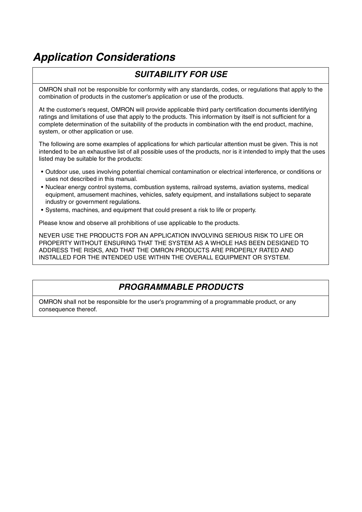# *Application Considerations*

## *SUITABILITY FOR USE*

OMRON shall not be responsible for conformity with any standards, codes, or regulations that apply to the combination of products in the customer's application or use of the products.

At the customer's request, OMRON will provide applicable third party certification documents identifying ratings and limitations of use that apply to the products. This information by itself is not sufficient for a complete determination of the suitability of the products in combination with the end product, machine, system, or other application or use.

The following are some examples of applications for which particular attention must be given. This is not intended to be an exhaustive list of all possible uses of the products, nor is it intended to imply that the uses listed may be suitable for the products:

- Outdoor use, uses involving potential chemical contamination or electrical interference, or conditions or uses not described in this manual.
- Nuclear energy control systems, combustion systems, railroad systems, aviation systems, medical equipment, amusement machines, vehicles, safety equipment, and installations subject to separate industry or government regulations.
- Systems, machines, and equipment that could present a risk to life or property.

Please know and observe all prohibitions of use applicable to the products.

NEVER USE THE PRODUCTS FOR AN APPLICATION INVOLVING SERIOUS RISK TO LIFE OR PROPERTY WITHOUT ENSURING THAT THE SYSTEM AS A WHOLE HAS BEEN DESIGNED TO ADDRESS THE RISKS, AND THAT THE OMRON PRODUCTS ARE PROPERLY RATED AND INSTALLED FOR THE INTENDED USE WITHIN THE OVERALL EQUIPMENT OR SYSTEM.

#### *PROGRAMMABLE PRODUCTS*

OMRON shall not be responsible for the user's programming of a programmable product, or any consequence thereof.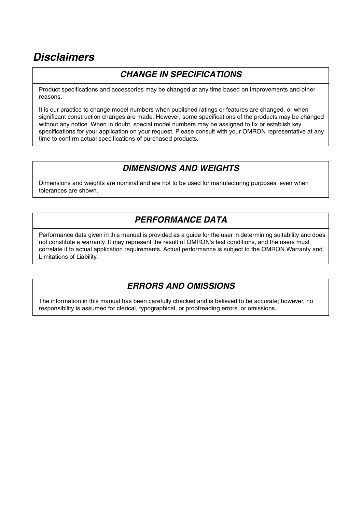# *Disclaimers*

#### *CHANGE IN SPECIFICATIONS*

Product specifications and accessories may be changed at any time based on improvements and other reasons.

It is our practice to change model numbers when published ratings or features are changed, or when significant construction changes are made. However, some specifications of the products may be changed without any notice. When in doubt, special model numbers may be assigned to fix or establish key specifications for your application on your request. Please consult with your OMRON representative at any time to confirm actual specifications of purchased products.

#### *DIMENSIONS AND WEIGHTS*

Dimensions and weights are nominal and are not to be used for manufacturing purposes, even when tolerances are shown.

#### *PERFORMANCE DATA*

Performance data given in this manual is provided as a guide for the user in determining suitability and does not constitute a warranty. It may represent the result of OMRON's test conditions, and the users must correlate it to actual application requirements. Actual performance is subject to the OMRON Warranty and Limitations of Liability.

## *ERRORS AND OMISSIONS*

The information in this manual has been carefully checked and is believed to be accurate; however, no responsibility is assumed for clerical, typographical, or proofreading errors, or omissions.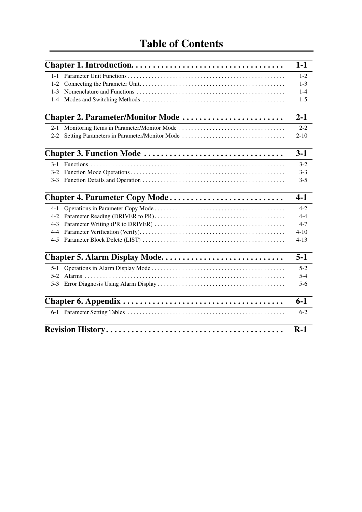|         |                                                | $1-1$    |
|---------|------------------------------------------------|----------|
|         |                                                |          |
|         |                                                | $1 - 2$  |
| $1 - 2$ |                                                | $1 - 3$  |
| $1 - 3$ |                                                | $1 - 4$  |
| $1 - 4$ |                                                | $1-5$    |
|         | Chapter 2. Parameter/Monitor Mode              | $2 - 1$  |
|         | 2-1 Monitoring Items in Parameter/Monitor Mode | $2 - 2$  |
| $2 - 2$ | Setting Parameters in Parameter/Monitor Mode   | $2 - 10$ |
|         |                                                | $3-1$    |
| $3 - 1$ |                                                | $3 - 2$  |
| $3-2$   |                                                | $3 - 3$  |
|         |                                                | $3 - 5$  |
|         | Chapter 4. Parameter Copy Mode                 | $4-1$    |
| $4 - 1$ |                                                | $4 - 2$  |
| $4-2$   |                                                | $4 - 4$  |
| $4 - 3$ |                                                | $4 - 7$  |
| 4-4     |                                                | $4 - 10$ |
| $4 - 5$ |                                                | $4 - 13$ |
|         |                                                | $5 - 1$  |
| $5 - 1$ |                                                | $5 - 2$  |
| $5-2$   |                                                | $5 - 4$  |
| $5-3$   |                                                | $5 - 6$  |
|         |                                                | $6 - 1$  |
|         |                                                | $6 - 2$  |
|         |                                                | $R-1$    |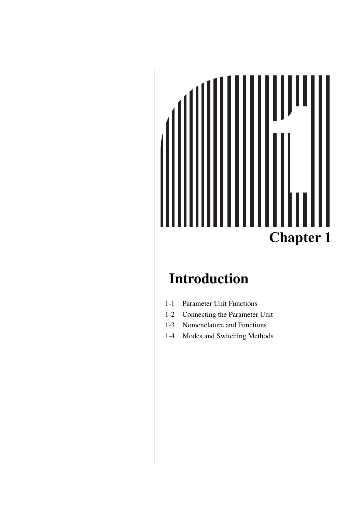# **Chapter 1**

# <span id="page-15-0"></span>**Introduction**

- [1-1 Parameter Unit Functions](#page-16-0)
- [1-2 Connecting the Parameter Unit](#page-17-0)
- [1-3 Nomenclature and Functions](#page-18-0)
- [1-4 Modes and Switching Methods](#page-19-0)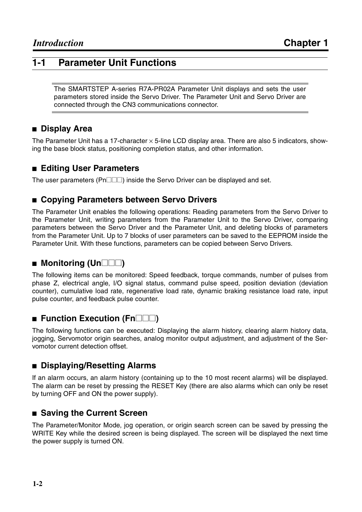## <span id="page-16-0"></span>**1-1 Parameter Unit Functions**

The SMARTSTEP A-series R7A-PR02A Parameter Unit displays and sets the user parameters stored inside the Servo Driver. The Parameter Unit and Servo Driver are connected through the CN3 communications connector.

#### ■ **Display Area**

The Parameter Unit has a 17-character  $\times$  5-line LCD display area. There are also 5 indicators, showing the base block status, positioning completion status, and other information.

#### ■ **Editing User Parameters**

The user parameters ( $Pn\square\square$ ) inside the Servo Driver can be displayed and set.

#### ■ Copying Parameters between Servo Drivers

The Parameter Unit enables the following operations: Reading parameters from the Servo Driver to the Parameter Unit, writing parameters from the Parameter Unit to the Servo Driver, comparing parameters between the Servo Driver and the Parameter Unit, and deleting blocks of parameters from the Parameter Unit. Up to 7 blocks of user parameters can be saved to the EEPROM inside the Parameter Unit. With these functions, parameters can be copied between Servo Drivers.

#### ■ **Monitoring (Un**□□□)

The following items can be monitored: Speed feedback, torque commands, number of pulses from phase Z, electrical angle, I/O signal status, command pulse speed, position deviation (deviation counter), cumulative load rate, regenerative load rate, dynamic braking resistance load rate, input pulse counter, and feedback pulse counter.

#### **Execution (Fn** $\Box$ )

The following functions can be executed: Displaying the alarm history, clearing alarm history data, jogging, Servomotor origin searches, analog monitor output adjustment, and adjustment of the Servomotor current detection offset.

#### ■ **Displaying/Resetting Alarms**

If an alarm occurs, an alarm history (containing up to the 10 most recent alarms) will be displayed. The alarm can be reset by pressing the RESET Key (there are also alarms which can only be reset by turning OFF and ON the power supply).

#### ■ Saving the Current Screen

The Parameter/Monitor Mode, jog operation, or origin search screen can be saved by pressing the WRITE Key while the desired screen is being displayed. The screen will be displayed the next time the power supply is turned ON.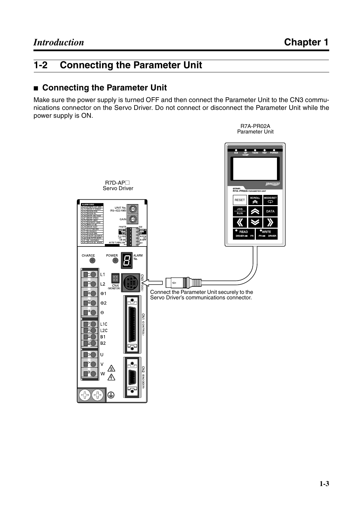# <span id="page-17-0"></span>**1-2 Connecting the Parameter Unit**

#### ■ **Connecting the Parameter Unit**

Make sure the power supply is turned OFF and then connect the Parameter Unit to the CN3 communications connector on the Servo Driver. Do not connect or disconnect the Parameter Unit while the power supply is ON.

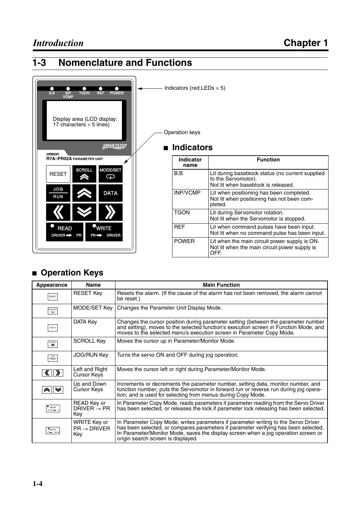# <span id="page-18-0"></span>**1-3 Nomenclature and Functions**



| Indicator<br>name | <b>Function</b>                                                                                                |
|-------------------|----------------------------------------------------------------------------------------------------------------|
| B.B               | Lit during baseblock status (no current supplied<br>to the Servomotor).<br>Not lit when baseblock is released. |
| <b>INP/VCMP</b>   | Lit when positioning has been completed.<br>Not lit when positioning has not been com-<br>pleted.              |
| <b>TGON</b>       | Lit during Servomotor rotation.<br>Not lit when the Servomotor is stopped.                                     |
| <b>RFF</b>        | Lit when command pulses have been input.<br>Not lit when no command pulse has been input.                      |
| <b>POWER</b>      | Lit when the main circuit power supply is ON.<br>Not lit when the main circuit power supply is<br>OFF.         |

#### ■ **Operation Keys**

| Appearance                                                              | <b>Name</b>                                    | <b>Main Function</b>                                                                                                                                                                                                                                                                                  |
|-------------------------------------------------------------------------|------------------------------------------------|-------------------------------------------------------------------------------------------------------------------------------------------------------------------------------------------------------------------------------------------------------------------------------------------------------|
| RESET                                                                   | <b>RESET Key</b>                               | Resets the alarm. (If the cause of the alarm has not been removed, the alarm cannot<br>be reset.)                                                                                                                                                                                                     |
| MODE/SET<br>$\overline{\phantom{a}}$                                    | MODE/SET Key                                   | Changes the Parameter Unit Display Mode.                                                                                                                                                                                                                                                              |
| DATA                                                                    | DATA Key                                       | Changes the cursor position during parameter setting (between the parameter number<br>and setting), moves to the selected function's execution screen in Function Mode, and<br>moves to the selected menu's execution screen in Parameter Copy Mode.                                                  |
| SCROLL<br>◚                                                             | <b>SCROLL Key</b>                              | Moves the cursor up in Parameter/Monitor Mode.                                                                                                                                                                                                                                                        |
| JOG<br>RUN                                                              | <b>JOG/RUN Key</b>                             | Turns the servo ON and OFF during jog operation.                                                                                                                                                                                                                                                      |
| $\langle \hspace{-.08in} \langle \cdot \rangle \hspace{-.08in} \rangle$ | Left and Right<br><b>Cursor Keys</b>           | Moves the cursor left or right during Parameter/Monitor Mode.                                                                                                                                                                                                                                         |
|                                                                         | Up and Down<br>Cursor Keys                     | Increments or decrements the parameter number, setting data, monitor number, and<br>function number; puts the Servomotor in forward run or reverse run during jog opera-<br>tion; and is used for selecting from menus during Copy Mode.                                                              |
| $\bullet$ READ<br>DRIVER <sub>.</sub>                                   | READ Key or<br>DRIVER $\rightarrow$ PR<br>Key  | In Parameter Copy Mode, reads parameters if parameter reading from the Servo Driver<br>has been selected, or releases the lock if parameter lock releasing has been selected.                                                                                                                         |
| $\bullet$ WRITE<br>R P DRIVER                                           | WRITE Key or<br>$PR \rightarrow DRIVER$<br>Key | In Parameter Copy Mode, writes parameters if parameter writing to the Servo Driver<br>has been selected, or compares parameters if parameter verifying has been selected.<br>In Parameter/Monitor Mode, saves the display screen when a jog operation screen or<br>origin search screen is displayed. |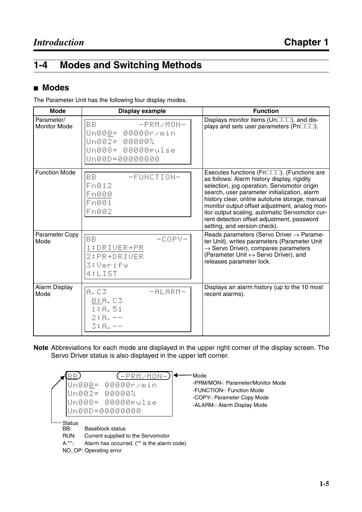# <span id="page-19-0"></span>**1-4 Modes and Switching Methods**

#### ■ **Modes**

The Parameter Unit has the following four display modes.

| <b>Mode</b>                       | Display example                                                                                                  | <b>Function</b>                                                                                                                                                                                                                                                                                                                                                                                                             |
|-----------------------------------|------------------------------------------------------------------------------------------------------------------|-----------------------------------------------------------------------------------------------------------------------------------------------------------------------------------------------------------------------------------------------------------------------------------------------------------------------------------------------------------------------------------------------------------------------------|
| Parameter/<br><b>Monitor Mode</b> | <b>BB</b><br>$-PRM$ /MON-<br> Un00 <u>0</u> = 00000r/min<br>Un002= 00000%<br>Un008= 00000rulse<br>Un00D=00000000 | Displays monitor items (Un $\square\square\square$ ), and dis-<br>plays and sets user parameters ( $Pn\square\square\square$ ).                                                                                                                                                                                                                                                                                             |
| <b>Function Mode</b>              | BB.<br>-FUNCTION-<br>Fn012<br>Fn000<br>Fn001<br>Fn002                                                            | Executes functions (Fn□□□). (Functions are<br>as follows: Alarm history display, rigidity<br>selection, jog operation, Servomotor origin<br>search, user parameter initialization, alarm<br>history clear, online autotune storage, manual<br>monitor output offset adjustment, analog mon-<br>itor output scaling, automatic Servomotor cur-<br>rent detection offset adjustment, password<br>setting, and version check). |
| Parameter Copy<br>Mode            | <b>BB</b><br>$-COPY-$<br>1:DRIVER+PR<br>2: PR+DRIVER<br><b>3:Verify</b><br>4:LIST                                | Reads parameters (Servo Driver → Parame-<br>ter Unit), writes parameters (Parameter Unit<br>$\rightarrow$ Servo Driver), compares parameters<br>(Parameter Unit ↔ Servo Driver), and<br>releases parameter lock.                                                                                                                                                                                                            |
| Alarm Display<br>Mode             | A. C3<br>一日已日民时一<br>0: A. C3<br>1:A.51<br>$2: A. - -$<br>3:8.--                                                  | Displays an alarm history (up to the 10 most<br>recent alarms).                                                                                                                                                                                                                                                                                                                                                             |

**Note** Abbreviations for each mode are displayed in the upper right corner of the display screen. The Servo Driver status is also displayed in the upper left corner.

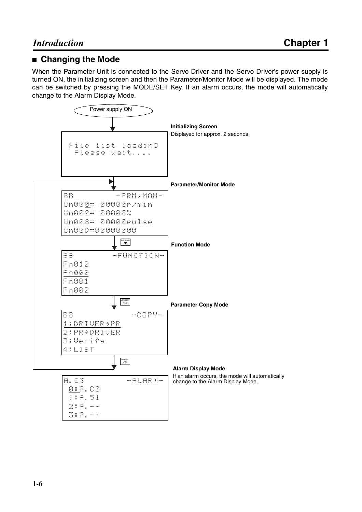#### ■ **Changing the Mode**

When the Parameter Unit is connected to the Servo Driver and the Servo Driver's power supply is turned ON, the initializing screen and then the Parameter/Monitor Mode will be displayed. The mode can be switched by pressing the MODE/SET Key. If an alarm occurs, the mode will automatically change to the Alarm Display Mode.

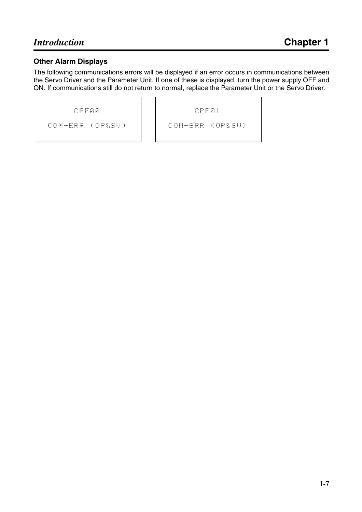#### **Other Alarm Displays**

The following communications errors will be displayed if an error occurs in communications between the Servo Driver and the Parameter Unit. If one of these is displayed, turn the power supply OFF and ON. If communications still do not return to normal, replace the Parameter Unit or the Servo Driver.

COM-ERR (OP&SV)

CPF01 COM-ERR (OP&SV)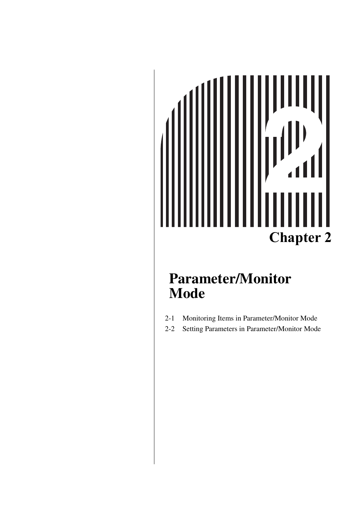# **Chapter 2**

# <span id="page-23-0"></span>**Parameter/Monitor Mode**

- [2-1 Monitoring Items in Parameter/Monitor Mode](#page-24-0)
- [2-2 Setting Parameters in Parameter/Monitor Mode](#page-32-0)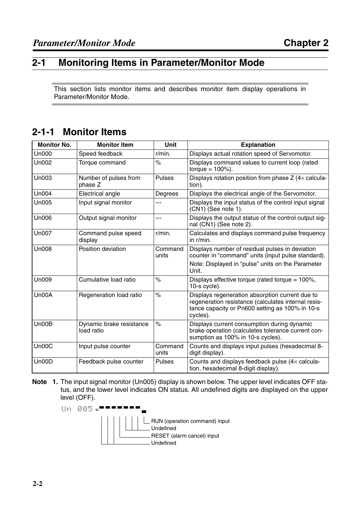#### <span id="page-24-0"></span>**2-1 Monitoring Items in Parameter/Monitor Mode**

This section lists monitor items and describes monitor item display operations in Parameter/Monitor Mode.

#### **2-1-1 Monitor Items**

| <b>Monitor No.</b> | <b>Monitor item</b>                    | <b>Unit</b>          | <b>Explanation</b>                                                                                                                                                    |
|--------------------|----------------------------------------|----------------------|-----------------------------------------------------------------------------------------------------------------------------------------------------------------------|
| <b>Un000</b>       | Speed feedback                         | $r/min$ .            | Displays actual rotation speed of Servomotor.                                                                                                                         |
| Un002              | Torque command                         | $\%$                 | Displays command values to current loop (rated<br>torque = $100%$ ).                                                                                                  |
| Un003              | Number of pulses from<br>phase Z       | Pulses               | Displays rotation position from phase $Z$ (4 $\times$ calcula-<br>tion).                                                                                              |
| Un004              | Electrical angle                       | Degrees              | Displays the electrical angle of the Servomotor.                                                                                                                      |
| <b>Un005</b>       | Input signal monitor                   | ---                  | Displays the input status of the control input signal<br>(CN1) (See note 1).                                                                                          |
| <b>Un006</b>       | Output signal monitor                  | ---                  | Displays the output status of the control output sig-<br>nal (CN1) (See note 2).                                                                                      |
| <b>Un007</b>       | Command pulse speed<br>display         | $r/min$ .            | Calculates and displays command pulse frequency<br>in $r/m$ in.                                                                                                       |
| <b>Un008</b>       | Position deviation                     | Command<br>units     | Displays number of residual pulses in deviation<br>counter in "command" units (input pulse standard).                                                                 |
|                    |                                        |                      | Note: Displayed in "pulse" units on the Parameter<br>Unit.                                                                                                            |
| <b>Un009</b>       | Cumulative load ratio                  | $\%$                 | Displays effective torque (rated torque = $100\%$ ,<br>10-s cycle).                                                                                                   |
| Un00A              | Regeneration load ratio                | $\frac{1}{\sqrt{2}}$ | Displays regeneration absorption current due to<br>regeneration resistance (calculates internal resis-<br>tance capacity or Pn600 setting as 100% in 10-s<br>cycles). |
| Un00B              | Dynamic brake resistance<br>load ratio | $\%$                 | Displays current consumption during dynamic<br>brake operation (calculates tolerance current con-<br>sumption as 100% in 10-s cycles).                                |
| Un00C              | Input pulse counter                    | Command<br>units     | Counts and displays input pulses (hexadecimal 8-<br>digit display).                                                                                                   |
| Un00D              | Feedback pulse counter                 | <b>Pulses</b>        | Counts and displays feedback pulse $(4 \times$ calcula-<br>tion, hexadecimal 8-digit display).                                                                        |

**Note 1.** The input signal monitor (Un005) display is shown below. The upper level indicates OFF status, and the lower level indicates ON status. All undefined digits are displayed on the upper level (OFF).

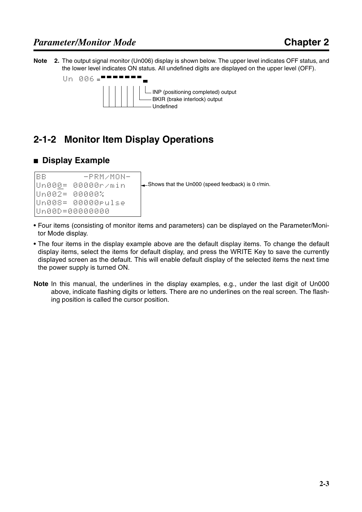**Note 2.** The output signal monitor (Un006) display is shown below. The upper level indicates OFF status, and the lower level indicates ON status. All undefined digits are displayed on the upper level (OFF).





# **2-1-2 Monitor Item Display Operations**

#### ■ **Display Example**

```
BB -PRM/MON-
Un000= 00000r/minUn002= 00000%Un008= 00000pulseUn00D=00000000
```
 $\Box$ Shows that the Un000 (speed feedback) is 0 r/min.

- Four items (consisting of monitor items and parameters) can be displayed on the Parameter/Monitor Mode display.
- The four items in the display example above are the default display items. To change the default display items, select the items for default display, and press the WRITE Key to save the currently displayed screen as the default. This will enable default display of the selected items the next time the power supply is turned ON.
- **Note** In this manual, the underlines in the display examples, e.g., under the last digit of Un000 above, indicate flashing digits or letters. There are no underlines on the real screen. The flashing position is called the cursor position.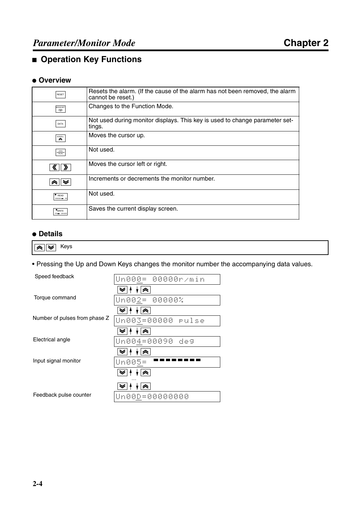## ■ **Operation Key Functions**

#### ● **Overview**

| <b>RESET</b>                         | Resets the alarm. (If the cause of the alarm has not been removed, the alarm<br>cannot be reset.) |
|--------------------------------------|---------------------------------------------------------------------------------------------------|
| MODE/SET<br>$\overline{\mathcal{P}}$ | Changes to the Function Mode.                                                                     |
| DATA                                 | Not used during monitor displays. This key is used to change parameter set-<br>tings.             |
| SCROLL<br>◚                          | Moves the cursor up.                                                                              |
| <b>JOG</b><br><b>RUN</b>             | Not used.                                                                                         |
|                                      | Moves the cursor left or right.                                                                   |
|                                      | Increments or decrements the monitor number.                                                      |
| $\bullet$ READ<br>DRIVER - PP        | Not used.                                                                                         |
| $\bullet$ WRITE<br>PR + DRIVER       | Saves the current display screen.                                                                 |

#### ● **Details**

 $\overline{\mathbf{R}}$   $\overline{\mathbf{W}}$  Keys

• Pressing the Up and Down Keys changes the monitor number the accompanying data values.

| Speed feedback                | Un000= 00000r/min |
|-------------------------------|-------------------|
|                               |                   |
| Torque command                | Un002= 00000%     |
|                               |                   |
| Number of pulses from phase Z | Un003=00000 rulse |
|                               |                   |
| Electrical angle              | Un004=00090 deg   |
|                               |                   |
| Input signal monitor          | Un005=            |
|                               |                   |
|                               |                   |
| Feedback pulse counter        | Un00D=00000000    |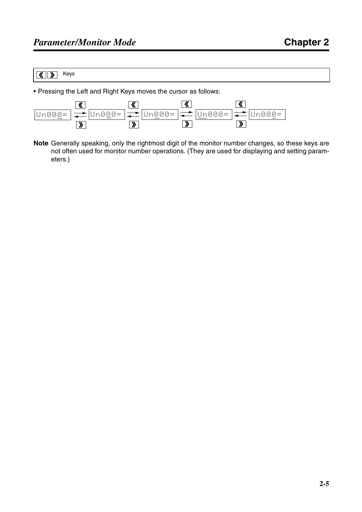#### Keys  $\sqrt{\left(\frac{1}{2}\right)^2}$

• Pressing the Left and Right Keys moves the cursor as follows:



**Note** Generally speaking, only the rightmost digit of the monitor number changes, so these keys are not often used for monitor number operations. (They are used for displaying and setting parameters.)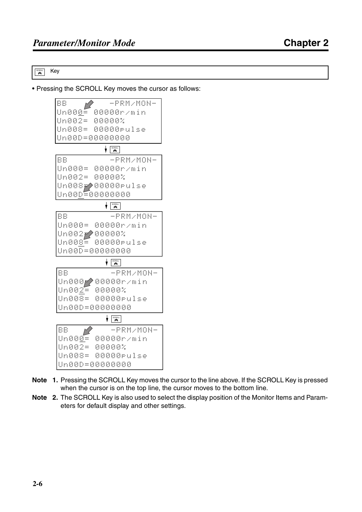$\overline{\mathbf{a}}$  Key

• Pressing the SCROLL Key moves the cursor as follows:



- **Note 1.** Pressing the SCROLL Key moves the cursor to the line above. If the SCROLL Key is pressed when the cursor is on the top line, the cursor moves to the bottom line.
- **Note 2.** The SCROLL Key is also used to select the display position of the Monitor Items and Parameters for default display and other settings.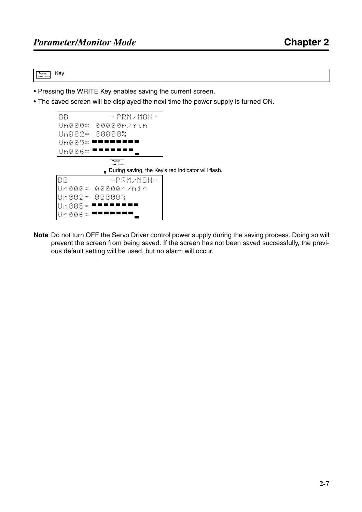$\overset{\bullet}{\underset{\mathsf{PR}\rightarrow\mathsf{DRWER}}{\bullet}}$ Key

- Pressing the WRITE Key enables saving the current screen.
- The saved screen will be displayed the next time the power supply is turned ON.



**Note** Do not turn OFF the Servo Driver control power supply during the saving process. Doing so will prevent the screen from being saved. If the screen has not been saved successfully, the previous default setting will be used, but no alarm will occur.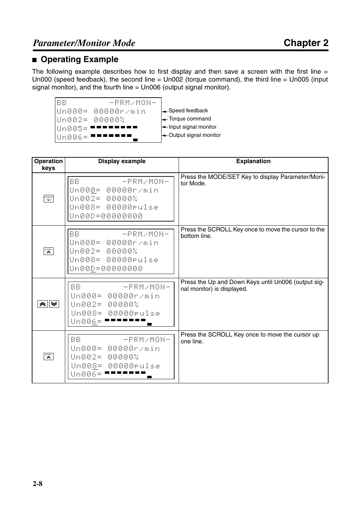#### ■ **Operating Example**

The following example describes how to first display and then save a screen with the first line  $=$ Un000 (speed feedback), the second line = Un002 (torque command), the third line = Un005 (input signal monitor), and the fourth line = Un006 (output signal monitor).



- Speed feedback
- Torque command
- Input signal monitor
- ← Output signal monitor

| Operation<br>keys                        | <b>Display example</b>                                                                                 | <b>Explanation</b>                                                                |
|------------------------------------------|--------------------------------------------------------------------------------------------------------|-----------------------------------------------------------------------------------|
| MODE/SET                                 | <b>BB</b><br>$-PRM$ /MON-<br>Un000= 00000r/min<br>Un002= 00000%<br>Un008= 00000rulse<br>Un00D=00000000 | Press the MODE/SET Key to display Parameter/Moni-<br>tor Mode.                    |
| $\overbrace{\mathbf{R}}^{\text{SCROLL}}$ | <b>BB</b><br>$-PRM$ /MON-<br>Un000= 00000r/min<br>Un002= 00000%<br>Un008= 00000rulse<br>Un00D=00000000 | Press the SCROLL Key once to move the cursor to the<br>bottom line.               |
| ∧∥≫                                      | BB<br>$-$ PRM/MON-<br>Un000= 00000r/min<br>Un002= 00000%<br>Un008= 00000rulse<br>Un006=                | Press the Up and Down Keys until Un006 (output sig-<br>nal monitor) is displayed. |
| $\mathbf{\hat{z}}$                       | BB<br>$-PRM$ /MON-<br>Un000= 00000r/min<br>Un002= 00000%<br>Un008= 00000rulse<br>Un006=                | Press the SCROLL Key once to move the cursor up<br>one line.                      |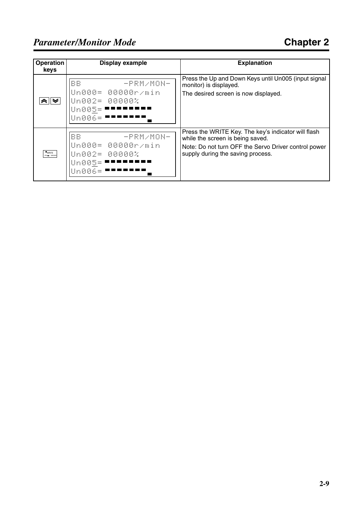| <b>Operation</b><br>keys     | <b>Display example</b>                                                              | <b>Explanation</b>                                                                                                                                                                   |
|------------------------------|-------------------------------------------------------------------------------------|--------------------------------------------------------------------------------------------------------------------------------------------------------------------------------------|
| "≈∥≫                         | $-PRM$ /MON-<br>BB<br>Un000= 00000r/min<br>Un002= 00000%<br>Un005=<br>linAAA=       | Press the Up and Down Keys until Un005 (input signal<br>monitor) is displayed.<br>The desired screen is now displayed.                                                               |
| <b>WRITE</b><br>PR PR DRIVER | <b>BB</b><br>$-PRM$ /MON-<br>Un000= 00000r/min<br>Un002= 00000%<br>Un005=<br>Un006= | Press the WRITE Key. The key's indicator will flash<br>while the screen is being saved.<br>Note: Do not turn OFF the Servo Driver control power<br>supply during the saving process. |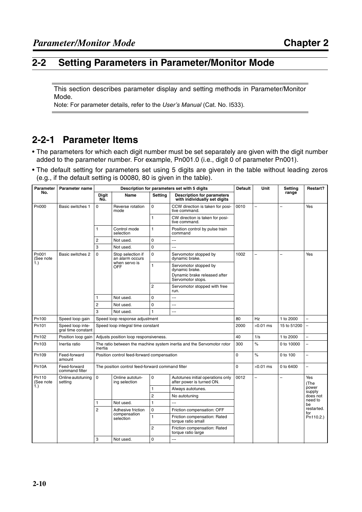#### <span id="page-32-0"></span>**2-2 Setting Parameters in Parameter/Monitor Mode**

This section describes parameter display and setting methods in Parameter/Monitor Mode.

Note: For parameter details, refer to the *User's Manual* (Cat. No. I533).

## **2-2-1 Parameter Items**

- The parameters for which each digit number must be set separately are given with the digit number added to the parameter number. For example, Pn001.0 (i.e., digit 0 of parameter Pn001).
- The default setting for parameters set using 5 digits are given in the table without leading zeros (e.g., if the default setting is 00080, 80 is given in the table).

| <b>Parameter</b>          | Parameter name                         | Description for parameters set with 5 digits                                     |                                                                     |                |                                                                                              | <b>Default</b> | Unit                     | Setting        | Restart?                                   |
|---------------------------|----------------------------------------|----------------------------------------------------------------------------------|---------------------------------------------------------------------|----------------|----------------------------------------------------------------------------------------------|----------------|--------------------------|----------------|--------------------------------------------|
| No.                       |                                        | <b>Digit</b><br>No.                                                              | Name                                                                | <b>Setting</b> | <b>Description for parameters</b><br>with individually set digits                            |                |                          | range          |                                            |
| Pn000                     | Basic switches 1                       | $\Omega$                                                                         | Reverse rotation<br>mode                                            | 0              | CCW direction is taken for posi-<br>tive command.                                            | 0010           | $\overline{\phantom{0}}$ | $\overline{a}$ | Yes                                        |
|                           |                                        |                                                                                  |                                                                     | 1              | CW direction is taken for posi-<br>tive command.                                             |                |                          |                |                                            |
|                           |                                        | 1                                                                                | Control mode<br>selection                                           | 1              | Position control by pulse train<br>command                                                   |                |                          |                |                                            |
|                           |                                        | 2                                                                                | Not used.                                                           | $\mathbf 0$    |                                                                                              |                |                          |                |                                            |
|                           |                                        | 3                                                                                | Not used.                                                           | $\mathbf 0$    | uuu.                                                                                         |                |                          |                |                                            |
| Pn001<br>(See note<br>1.) | Basic switches 2                       | $\mathbf 0$                                                                      | Stop selection if<br>an alarm occurs<br>when servo is<br><b>OFF</b> | $\mathbf 0$    | Servomotor stopped by<br>dynamic brake.                                                      | 1002           | $\equiv$                 | L              | Yes                                        |
|                           |                                        |                                                                                  |                                                                     | 1              | Servomotor stopped by<br>dynamic brake.<br>Dynamic brake released after<br>Servomotor stops. |                |                          |                |                                            |
|                           |                                        |                                                                                  |                                                                     | $\overline{c}$ | Servomotor stopped with free<br>run.                                                         |                |                          |                |                                            |
|                           |                                        | 1                                                                                | Not used.                                                           | $\mathbf 0$    | Щ,                                                                                           |                |                          |                |                                            |
|                           |                                        | $\overline{2}$                                                                   | Not used.                                                           | $\mathbf 0$    | ---                                                                                          |                |                          |                |                                            |
|                           |                                        | 3                                                                                | Not used.                                                           | $\mathbf{1}$   |                                                                                              |                |                          |                |                                            |
| Pn100                     | Speed loop gain                        | Speed loop response adjustment                                                   |                                                                     |                |                                                                                              | 80             | Hz                       | 1 to 2000      | $\overline{a}$                             |
| Pn101                     | Speed loop inte-<br>gral time constant | Speed loop integral time constant                                                |                                                                     |                |                                                                                              | 2000           | $\times$ 0.01 ms         | 15 to 51200    | L,                                         |
| Pn102                     | Position loop gain                     | Adjusts position loop responsiveness.                                            |                                                                     |                |                                                                                              | 40             | 1/s                      | 1 to 2000      | L,                                         |
| Pn103                     | Inertia ratio                          | The ratio between the machine system inertia and the Servomotor rotor<br>inertia |                                                                     |                |                                                                                              | 300            | $\%$                     | 0 to 10000     | L.                                         |
| Pn109                     | Feed-forward<br>amount                 | Position control feed-forward compensation                                       |                                                                     |                |                                                                                              | 0              | $\%$                     | 0 to 100       | $\overline{a}$                             |
| Pn10A                     | Feed-forward<br>command filter         | The position control feed-forward command filter                                 |                                                                     |                |                                                                                              | 0              | $\times$ 0.01 ms         | 0 to 6400      | $\equiv$                                   |
| Pn110<br>(See note<br>1.) | Online autotuning<br>setting           | $\Omega$                                                                         | Online autotun-<br>ing selection                                    | $\mathbf 0$    | Autotunes initial operations only<br>after power is turned ON.                               | 0012           | $\overline{a}$           | $\overline{a}$ | Yes<br>(The<br>power<br>supply<br>does not |
|                           |                                        |                                                                                  |                                                                     | 1              | Always autotunes.                                                                            |                |                          |                |                                            |
|                           |                                        |                                                                                  |                                                                     | $\overline{2}$ | No autotuning                                                                                |                |                          |                |                                            |
|                           |                                        | 1                                                                                | Not used.                                                           | 1              |                                                                                              |                |                          |                | need to<br>be                              |
|                           |                                        | $\overline{2}$                                                                   | Adhesive friction<br>compensation<br>selection                      | 0              | Friction compensation: OFF                                                                   |                |                          |                | restarted.<br>for<br>Pn110.2.)             |
|                           |                                        |                                                                                  |                                                                     | 1              | Friction compensation: Rated<br>torque ratio small                                           |                |                          |                |                                            |
|                           |                                        |                                                                                  |                                                                     | $\overline{2}$ | Friction compensation: Rated<br>torque ratio large                                           |                |                          |                |                                            |
|                           |                                        | 3                                                                                | Not used.                                                           | 0              |                                                                                              |                |                          |                |                                            |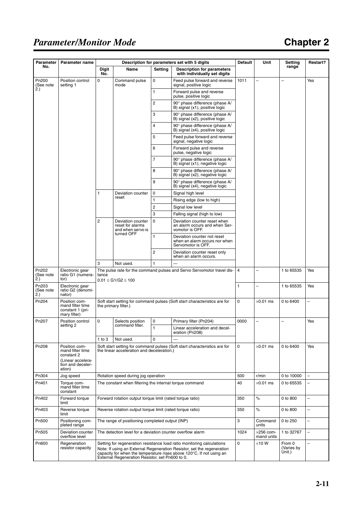# *Parameter/Monitor Mode*

# **Chapter 2**

| <b>Parameter</b>          | Parameter name                                                                                      | Description for parameters set with 5 digits                                                                                                                                                                                                                                |                                                                                                    |                | <b>Default</b>                                                                     | Unit | Setting                         | Restart?                       |                          |
|---------------------------|-----------------------------------------------------------------------------------------------------|-----------------------------------------------------------------------------------------------------------------------------------------------------------------------------------------------------------------------------------------------------------------------------|----------------------------------------------------------------------------------------------------|----------------|------------------------------------------------------------------------------------|------|---------------------------------|--------------------------------|--------------------------|
| No.                       |                                                                                                     | <b>Digit</b><br>No.                                                                                                                                                                                                                                                         | Name                                                                                               | <b>Setting</b> | <b>Description for parameters</b><br>with individually set digits                  |      |                                 | range                          |                          |
| Pn200<br>(See note        | Position control<br>setting 1                                                                       | $\mathbf 0$                                                                                                                                                                                                                                                                 | Command pulse<br>mode                                                                              | $\mathbf 0$    | Feed pulse forward and reverse<br>signal, positive logic                           | 1011 |                                 |                                | Yes                      |
| 2.)                       |                                                                                                     |                                                                                                                                                                                                                                                                             |                                                                                                    | 1              | Forward pulse and reverse<br>pulse, positive logic                                 |      |                                 |                                |                          |
|                           |                                                                                                     |                                                                                                                                                                                                                                                                             |                                                                                                    | 2              | 90° phase difference (phase A/<br>B) signal (x1), positive logic                   |      |                                 |                                |                          |
|                           |                                                                                                     |                                                                                                                                                                                                                                                                             |                                                                                                    | 3              | 90° phase difference (phase A/<br>B) signal (x2), positive logic                   |      |                                 |                                |                          |
|                           |                                                                                                     |                                                                                                                                                                                                                                                                             |                                                                                                    | 4              | 90° phase difference (phase A/<br>B) signal (x4), positive logic                   |      |                                 |                                |                          |
|                           |                                                                                                     |                                                                                                                                                                                                                                                                             |                                                                                                    | 5              | Feed pulse forward and reverse<br>signal, negative logic                           |      |                                 |                                |                          |
|                           |                                                                                                     |                                                                                                                                                                                                                                                                             |                                                                                                    | 6              | Forward pulse and reverse<br>pulse, negative logic                                 |      |                                 |                                |                          |
|                           |                                                                                                     |                                                                                                                                                                                                                                                                             |                                                                                                    | $\overline{7}$ | 90° phase difference (phase A/<br>B) signal (x1), negative logic                   |      |                                 |                                |                          |
|                           |                                                                                                     |                                                                                                                                                                                                                                                                             |                                                                                                    | 8              | 90° phase difference (phase A/<br>B) signal (x2), negative logic                   |      |                                 |                                |                          |
|                           |                                                                                                     |                                                                                                                                                                                                                                                                             |                                                                                                    | 9              | 90° phase difference (phase A/<br>B) signal (x4), negative logic                   |      |                                 |                                |                          |
|                           |                                                                                                     | 1                                                                                                                                                                                                                                                                           | Deviation counter                                                                                  | $\mathbf 0$    | Signal high level                                                                  |      |                                 |                                |                          |
|                           |                                                                                                     |                                                                                                                                                                                                                                                                             | reset                                                                                              | 1              | Rising edge (low to high)                                                          |      |                                 |                                |                          |
|                           |                                                                                                     |                                                                                                                                                                                                                                                                             |                                                                                                    | $\overline{c}$ | Signal low level                                                                   |      |                                 |                                |                          |
|                           |                                                                                                     |                                                                                                                                                                                                                                                                             |                                                                                                    | 3              | Falling signal (high to low)                                                       |      |                                 |                                |                          |
|                           |                                                                                                     | $\overline{2}$                                                                                                                                                                                                                                                              | Deviation counter<br>reset for alarms<br>and when servo is                                         | $\mathbf 0$    | Deviation counter reset when<br>an alarm occurs and when Ser-<br>vomotor is OFF.   |      |                                 |                                |                          |
|                           |                                                                                                     |                                                                                                                                                                                                                                                                             | turned OFF                                                                                         |                | Deviation counter not reset<br>when an alarm occurs nor when<br>Servomotor is OFF. |      |                                 |                                |                          |
|                           |                                                                                                     |                                                                                                                                                                                                                                                                             |                                                                                                    | $\overline{2}$ | Deviation counter reset only<br>when an alarm occurs.                              |      |                                 |                                |                          |
|                           |                                                                                                     | 3                                                                                                                                                                                                                                                                           | Not used.                                                                                          |                |                                                                                    |      |                                 |                                |                          |
| Pn202<br>(See note<br>2.) | Electronic gear<br>ratio G1 (numera-<br>tor)                                                        | tance                                                                                                                                                                                                                                                                       | The pulse rate for the command pulses and Servo Servomotor travel dis-<br>$0.01 \le G1/G2 \le 100$ |                |                                                                                    |      |                                 | 1 to 65535                     | Yes                      |
| Pn203<br>(See note<br>2.) | Electronic gear<br>ratio G2 (denomi-<br>nator)                                                      |                                                                                                                                                                                                                                                                             |                                                                                                    |                |                                                                                    |      | -                               | 1 to 65535                     | Yes                      |
| Pn204                     | Position com-<br>mand filter time<br>constant 1 (pri-<br>mary filter)                               | Soft start setting for command pulses (Soft start characteristics are for<br>the primary filter.)                                                                                                                                                                           |                                                                                                    |                |                                                                                    | 0    | $\times$ 0.01 ms                | 0 to 6400                      | -                        |
| Pn207                     | Position control                                                                                    | $\mathbf 0$                                                                                                                                                                                                                                                                 | Selects position                                                                                   | 0              | Primary filter (Pn204)                                                             | 0000 |                                 |                                | Yes                      |
|                           | setting 2                                                                                           |                                                                                                                                                                                                                                                                             | command filter.                                                                                    | $\mathbf{1}$   | Linear acceleration and decel-<br>eration (Pn208)                                  |      |                                 |                                |                          |
|                           |                                                                                                     | $1$ to $3$                                                                                                                                                                                                                                                                  | Not used.                                                                                          | $\mathbf 0$    |                                                                                    |      |                                 |                                |                          |
| Pn208                     | Position com-<br>mand filter time<br>constant 2<br>(Linear accelera-<br>tion and deceler-<br>ation) | 0<br>Soft start setting for command pulses (Soft start characteristics are for<br>$\times$ 0.01 ms<br>0 to 6400<br>the linear acceleration and deceleration.)                                                                                                               |                                                                                                    |                |                                                                                    |      |                                 | Yes                            |                          |
| Pn304                     | Jog speed                                                                                           | Rotation speed during jog operation                                                                                                                                                                                                                                         |                                                                                                    |                |                                                                                    | 500  | r/min                           | 0 to 10000                     |                          |
| Pn401                     | Torque com-<br>mand filter time<br>constant                                                         | The constant when filtering the internal torque command                                                                                                                                                                                                                     |                                                                                                    |                |                                                                                    | 40   | $\times$ 0.01 ms                | 0 to 65535                     | $\overline{\phantom{0}}$ |
| Pn402                     | Forward torque<br>limit                                                                             | Forward rotation output torque limit (rated torque ratio)                                                                                                                                                                                                                   |                                                                                                    |                |                                                                                    | 350  | ℅                               | 0 to 800                       | L                        |
| Pn403                     | Reverse torque<br>limit                                                                             | Reverse rotation output torque limit (rated torque ratio)                                                                                                                                                                                                                   |                                                                                                    |                |                                                                                    | 350  | ℅                               | 0 to 800                       | $\overline{\phantom{0}}$ |
| Pn500                     | Positioning com-<br>pleted range                                                                    | The range of positioning completed output (INP)                                                                                                                                                                                                                             |                                                                                                    |                |                                                                                    | 3    | Command<br>units                | 0 to 250                       | -                        |
| Pn505                     | Deviation counter<br>overflow level                                                                 | The detection level for a deviation counter overflow alarm                                                                                                                                                                                                                  |                                                                                                    |                |                                                                                    | 1024 | $\times$ 256 com-<br>mand units | 1 to 32767                     | $\overline{\phantom{0}}$ |
| Pn600                     | Regeneration<br>resistor capacity                                                                   | Setting for regeneration resistance load ratio monitoring calculations<br>Note: If using an External Regeneration Resistor, set the regeneration<br>capacity for when the temperature rises above 120°C. If not using an<br>External Regeneration Resistor, set Pn600 to 0. |                                                                                                    |                |                                                                                    |      | $\times$ 10 W                   | From 0<br>(Varies by<br>Ùnit.) | -                        |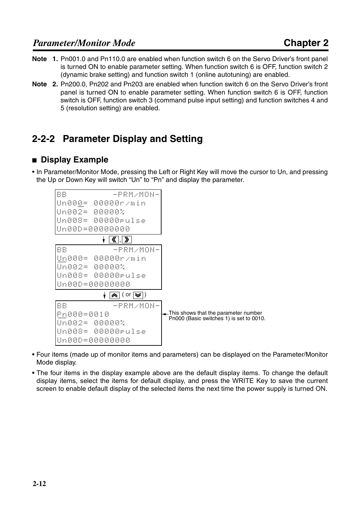- **Note 1.** Pn001.0 and Pn110.0 are enabled when function switch 6 on the Servo Driver's front panel is turned ON to enable parameter setting. When function switch 6 is OFF, function switch 2 (dynamic brake setting) and function switch 1 (online autotuning) are enabled.
- **Note 2.** Pn200.0, Pn202 and Pn203 are enabled when function switch 6 on the Servo Driver's front panel is turned ON to enable parameter setting. When function switch 6 is OFF, function switch is OFF, function switch 3 (command pulse input setting) and function switches 4 and 5 (resolution setting) are enabled.

# **2-2-2 Parameter Display and Setting**

#### ■ **Display Example**

• In Parameter/Monitor Mode, pressing the Left or Right Key will move the cursor to Un, and pressing the Up or Down Key will switch "Un" to "Pn" and display the parameter.



- Four items (made up of monitor items and parameters) can be displayed on the Parameter/Monitor Mode display.
- The four items in the display example above are the default display items. To change the default display items, select the items for default display, and press the WRITE Key to save the current screen to enable default display of the selected items the next time the power supply is turned ON.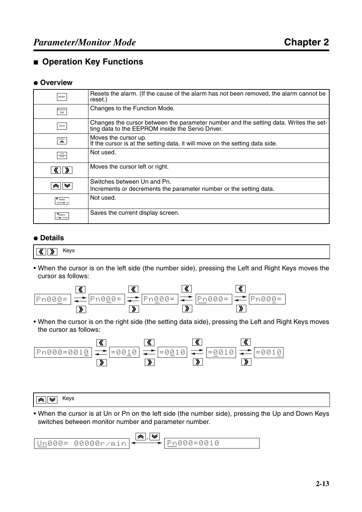#### ■ **Operation Key Functions**

#### ● **Overview**

| RESET                                                                                                                                                                                                                                                                                                                                                                       | Resets the alarm. (If the cause of the alarm has not been removed, the alarm cannot be<br>reset.)                                         |
|-----------------------------------------------------------------------------------------------------------------------------------------------------------------------------------------------------------------------------------------------------------------------------------------------------------------------------------------------------------------------------|-------------------------------------------------------------------------------------------------------------------------------------------|
| MODE/SET<br>$\boldsymbol{\varphi}$                                                                                                                                                                                                                                                                                                                                          | Changes to the Function Mode.                                                                                                             |
| DATA                                                                                                                                                                                                                                                                                                                                                                        | Changes the cursor between the parameter number and the setting data. Writes the set-<br>ting data to the EEPROM inside the Servo Driver. |
| $\begin{picture}(20,20) \put(0,0){\vector(0,1){30}} \put(15,0){\vector(0,1){30}} \put(15,0){\vector(0,1){30}} \put(15,0){\vector(0,1){30}} \put(15,0){\vector(0,1){30}} \put(15,0){\vector(0,1){30}} \put(15,0){\vector(0,1){30}} \put(15,0){\vector(0,1){30}} \put(15,0){\vector(0,1){30}} \put(15,0){\vector(0,1){30}} \put(15,0){\vector(0,1){30}} \put(15,0){\vector(0$ | Moves the cursor up.<br>If the cursor is at the setting data, it will move on the setting data side.                                      |
| $rac{JOG}{RUN}$                                                                                                                                                                                                                                                                                                                                                             | Not used.                                                                                                                                 |
|                                                                                                                                                                                                                                                                                                                                                                             | Moves the cursor left or right.                                                                                                           |
|                                                                                                                                                                                                                                                                                                                                                                             | Switches between Un and Pn.                                                                                                               |
| "≈∥≫                                                                                                                                                                                                                                                                                                                                                                        | Increments or decrements the parameter number or the setting data.                                                                        |
| $\bullet$ READ<br>DRIVER -                                                                                                                                                                                                                                                                                                                                                  | Not used.                                                                                                                                 |
| <b>*</b> WRITE<br>PR P DRIVER                                                                                                                                                                                                                                                                                                                                               | Saves the current display screen.                                                                                                         |

#### ● **Details**

```
\overline{\text{K}} \overline{\text{W}} Keys
```
• When the cursor is on the left side (the number side), pressing the Left and Right Keys moves the cursor as follows:



• When the cursor is on the right side (the setting data side), pressing the Left and Right Keys moves the cursor as follows:



$$
\boxed{\blacktriangle} \boxed{\blacktriangleright}
$$
 Keys

• When the cursor is at Un or Pn on the left side (the number side), pressing the Up and Down Keys switches between monitor number and parameter number.

$$
\boxed{\underline{\mathsf{Un000}} = \mathsf{00000r/min}} \stackrel{\text{(a),\forall}}{\longleftarrow} \boxed{\underline{\mathsf{Pn000}} = \mathsf{0010}}
$$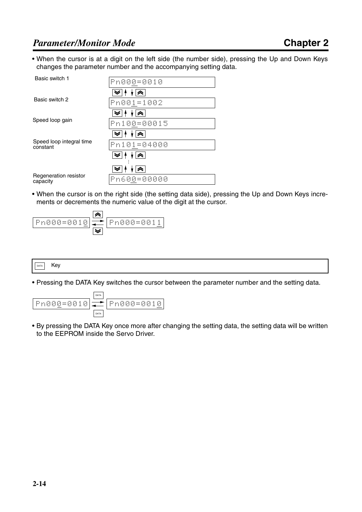• When the cursor is at a digit on the left side (the number side), pressing the Up and Down Keys changes the parameter number and the accompanying setting data.

| Basic switch 1                       | Pn000=0010  |
|--------------------------------------|-------------|
| Basic switch 2                       | Pn001=1002  |
|                                      |             |
| Speed loop gain                      | Pn100=00015 |
| Speed loop integral time<br>constant | Pn101=04000 |
|                                      |             |
| Regeneration resistor<br>capacity    | Pn600=00000 |

• When the cursor is on the right side (the setting data side), pressing the Up and Down Keys increments or decrements the numeric value of the digit at the cursor.



#### DATA Key

• Pressing the DATA Key switches the cursor between the parameter number and the setting data.



• By pressing the DATA Key once more after changing the setting data, the setting data will be written to the EEPROM inside the Servo Driver.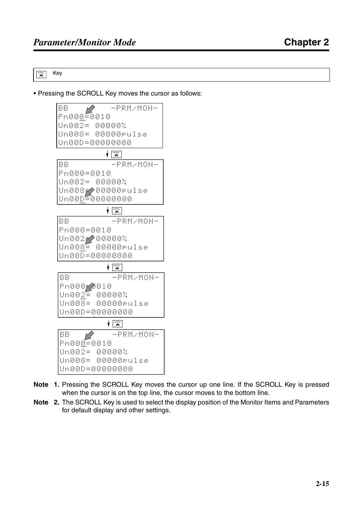$\overline{\mathbf{R}}$  Key

• Pressing the SCROLL Key moves the cursor as follows:



- **Note 1.** Pressing the SCROLL Key moves the cursor up one line. If the SCROLL Key is pressed when the cursor is on the top line, the cursor moves to the bottom line.
- **Note 2.** The SCROLL Key is used to select the display position of the Monitor Items and Parameters for default display and other settings.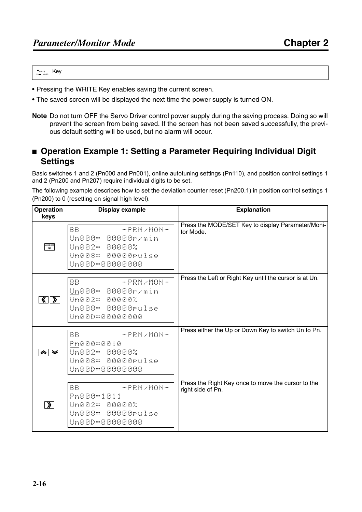**WRITE** Key

- Pressing the WRITE Key enables saving the current screen.
- The saved screen will be displayed the next time the power supply is turned ON.
- **Note** Do not turn OFF the Servo Driver control power supply during the saving process. Doing so will prevent the screen from being saved. If the screen has not been saved successfully, the previous default setting will be used, but no alarm will occur.

#### ■ **Operation Example 1: Setting a Parameter Requiring Individual Digit Settings**

Basic switches 1 and 2 (Pn000 and Pn001), online autotuning settings (Pn110), and position control settings 1 and 2 (Pn200 and Pn207) require individual digits to be set.

The following example describes how to set the deviation counter reset (Pn200.1) in position control settings 1 (Pn200) to 0 (resetting on signal high level).

| <b>Operation</b><br>keys | <b>Display example</b>                                                                                                      | <b>Explanation</b>                                                      |
|--------------------------|-----------------------------------------------------------------------------------------------------------------------------|-------------------------------------------------------------------------|
| MODE/SET                 | <b>BB</b><br>$-PRM$ /MON-<br>Un000= 00000r/min<br>Un002= 00000%<br>Un008= 00000rulse<br>Un00D=00000000                      | Press the MODE/SET Key to display Parameter/Moni-<br>tor Mode.          |
| <u>《   》</u>             | <b>BB</b><br>$-PRM$ /MON-<br>Un000= 00000r/min<br>Un002= 00000%<br>Un008= 00000rulse<br>Un00D=00000000                      | Press the Left or Right Key until the cursor is at Un.                  |
|                          | <b>BB</b><br>$-PRM$ /MON-<br>Pn000=0010<br>Un002= 00000%<br>Un008= 00000rulse<br>Un00D=00000000                             | Press either the Up or Down Key to switch Un to Pn.                     |
| $\sqrt{ }$               | <b>BB</b><br>ACCEPTED AND ACCEPTED AT A PERIODIC AT A<br>Pn000=1011<br>Un002= 00000%<br>Un008= 00000rulse<br>Un00D=00000000 | Press the Right Key once to move the cursor to the<br>right side of Pn. |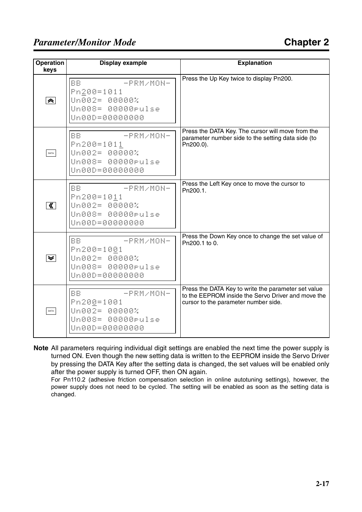| <b>Operation</b><br>keys | <b>Display example</b>                                                                       | <b>Explanation</b>                                                                                                                                |
|--------------------------|----------------------------------------------------------------------------------------------|---------------------------------------------------------------------------------------------------------------------------------------------------|
| $\hat{\phantom{a}}$      | BB.<br>$-PRM$ /MON-<br>Pn200=1011<br>Un002= 00000%<br>Un008= 00000rulse<br>Un00D=00000000    | Press the Up Key twice to display Pn200.                                                                                                          |
| DATA                     | BB.<br>$-PRM$ /MON-<br>Pn200=1011<br>Un002= 00000%<br>Un008= 00000rulse<br>Un00D=00000000    | Press the DATA Key. The cursor will move from the<br>parameter number side to the setting data side (to<br>Pn200.0).                              |
| $\overline{\mathbf{K}}$  | BB.<br>$-PRM$ /MON-<br>Pn200=1011<br>Un002= 00000%<br>Un008= 00000rulse<br>Un00D=00000000    | Press the Left Key once to move the cursor to<br>Pn200.1.                                                                                         |
| $\leqslant$              | BB.<br>$-PRM$ /MON-<br>Pn200=1001<br>Un002= 00000%<br>Un008= 00000rulse<br>Un00D=00000000    | Press the Down Key once to change the set value of<br>Pn200.1 to 0.                                                                               |
| DATA                     | <b>BB</b><br>-PRM/MON-<br>Pn200=1001<br>Un002= 00000%<br>Un008= 00000rulse<br>Un00D=00000000 | Press the DATA Key to write the parameter set value<br>to the EEPROM inside the Servo Driver and move the<br>cursor to the parameter number side. |

**Note** All parameters requiring individual digit settings are enabled the next time the power supply is turned ON. Even though the new setting data is written to the EEPROM inside the Servo Driver by pressing the DATA Key after the setting data is changed, the set values will be enabled only after the power supply is turned OFF, then ON again.

For Pn110.2 (adhesive friction compensation selection in online autotuning settings), however, the power supply does not need to be cycled. The setting will be enabled as soon as the setting data is changed.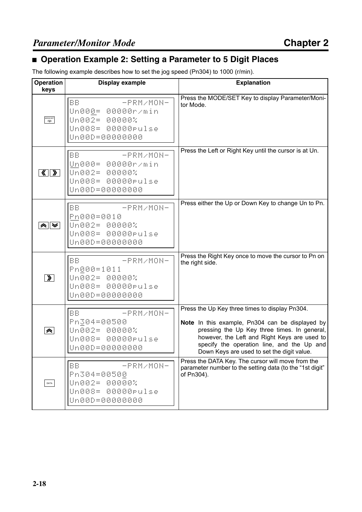# ■ **Operation Example 2: Setting a Parameter to 5 Digit Places**

The following example describes how to set the jog speed (Pn304) to 1000 (r/min).

| Operation<br>keys                   | <b>Display example</b>                                                                                 | <b>Explanation</b>                                                                                                                                                                                                                                                                            |
|-------------------------------------|--------------------------------------------------------------------------------------------------------|-----------------------------------------------------------------------------------------------------------------------------------------------------------------------------------------------------------------------------------------------------------------------------------------------|
| MODE/SET                            | <b>BB</b><br>$-PRM$ /MON-<br>Un000= 00000r/min<br>Un002= 00000%<br>Un008= 00000rulse<br>Un00D=00000000 | Press the MODE/SET Key to display Parameter/Moni-<br>tor Mode.                                                                                                                                                                                                                                |
| $\langle \langle   \rangle \rangle$ | -PRM/MON-<br><b>BB</b><br>Un000= 00000r/min<br>Un002= 00000%<br>Un008= 00000rulse<br>Un00D=00000000    | Press the Left or Right Key until the cursor is at Un.                                                                                                                                                                                                                                        |
| ⊗∥≫                                 | BB.<br>- PRM/MON-<br>Pn000=0010<br>Un002= 00000%<br>Un008= 00000rulse<br>Un00D=00000000                | Press either the Up or Down Key to change Un to Pn.                                                                                                                                                                                                                                           |
| $\lambda$                           | <b>BB</b><br>$-PRM$ /MON-<br>Pn000=1011<br>Un002= 00000%<br>Un008= 00000rulse<br>Un00D=00000000        | Press the Right Key once to move the cursor to Pn on<br>the right side.                                                                                                                                                                                                                       |
| $\hat{\phantom{a}}$                 | BB.<br>$-PRM$ /MON-<br>Pn304=00500<br>Un002= 00000%<br>Un008= 00000rulse<br>Un00D=00000000             | Press the Up Key three times to display Pn304.<br>Note In this example, Pn304 can be displayed by<br>pressing the Up Key three times. In general,<br>however, the Left and Right Keys are used to<br>specify the operation line, and the Up and<br>Down Keys are used to set the digit value. |
| DATA                                | BB<br>$-PRM$ /MON-<br>Pn304=00500<br>00000%<br>Un002=<br>Un008= 00000rulse<br>Un00D=00000000           | Press the DATA Key. The cursor will move from the<br>parameter number to the setting data (to the "1st digit"<br>of Pn304).                                                                                                                                                                   |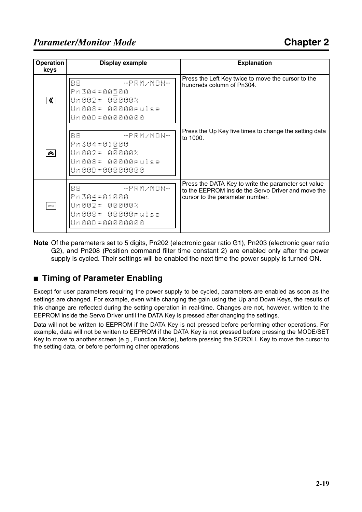| <b>Operation</b><br>keys    | Display example                                                                              | <b>Explanation</b>                                                                                                                           |
|-----------------------------|----------------------------------------------------------------------------------------------|----------------------------------------------------------------------------------------------------------------------------------------------|
| — ≪ ∣                       | BB.<br>$-PRM$ /MON-<br> Pn304=00500<br> Un002= 00000%<br>Un008= 00000rulse<br>Un00D=00000000 | Press the Left Key twice to move the cursor to the<br>hundreds column of Pn304.                                                              |
| $\left  \mathbf{z} \right $ | BB.<br>- PRM/MON-<br>Pn304=01000<br> Un002= 00000%<br>Un008= 00000rulse<br>Un00D=00000000    | Press the Up Key five times to change the setting data<br>to 1000.                                                                           |
| DATA                        | BB.<br>- PRM/MON-<br>Pn304=01000<br> Un002= 00000%<br>Un008= 00000rulse<br>Un00D=00000000    | Press the DATA Key to write the parameter set value<br>to the EEPROM inside the Servo Driver and move the<br>cursor to the parameter number. |

**Note** Of the parameters set to 5 digits, Pn202 (electronic gear ratio G1), Pn203 (electronic gear ratio G2), and Pn208 (Position command filter time constant 2) are enabled only after the power supply is cycled. Their settings will be enabled the next time the power supply is turned ON.

# ■ **Timing of Parameter Enabling**

Except for user parameters requiring the power supply to be cycled, parameters are enabled as soon as the settings are changed. For example, even while changing the gain using the Up and Down Keys, the results of this change are reflected during the setting operation in real-time. Changes are not, however, written to the EEPROM inside the Servo Driver until the DATA Key is pressed after changing the settings.

Data will not be written to EEPROM if the DATA Key is not pressed before performing other operations. For example, data will not be written to EEPROM if the DATA Key is not pressed before pressing the MODE/SET Key to move to another screen (e.g., Function Mode), before pressing the SCROLL Key to move the cursor to the setting data, or before performing other operations.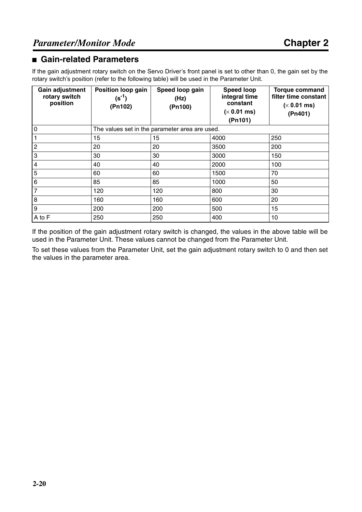#### ■ Gain-related Parameters

If the gain adjustment rotary switch on the Servo Driver's front panel is set to other than 0, the gain set by the rotary switch's position (refer to the following table) will be used in the Parameter Unit.

| Gain adjustment<br>rotary switch<br>position | Position loop gain<br>$(s^{-1})$<br>(Pn102) | Speed loop gain<br>(Hz)<br>(Pn100)             | <b>Speed loop</b><br>integral time<br>constant<br>$(x 0.01$ ms)<br>(Pin101) | <b>Torque command</b><br>filter time constant<br>$(x 0.01$ ms)<br>(Ph401) |
|----------------------------------------------|---------------------------------------------|------------------------------------------------|-----------------------------------------------------------------------------|---------------------------------------------------------------------------|
| $\mathbf 0$                                  |                                             | The values set in the parameter area are used. |                                                                             |                                                                           |
|                                              | 15                                          | 15                                             | 4000                                                                        | 250                                                                       |
| $\overline{c}$                               | 20                                          | 20                                             | 3500                                                                        | 200                                                                       |
| 3                                            | 30                                          | 30                                             | 3000                                                                        | 150                                                                       |
| 4                                            | 40                                          | 40                                             | 2000                                                                        | 100                                                                       |
| 5                                            | 60                                          | 60                                             | 1500                                                                        | 70                                                                        |
| 6                                            | 85                                          | 85                                             | 1000                                                                        | 50                                                                        |
| $\overline{7}$                               | 120                                         | 120                                            | 800                                                                         | 30                                                                        |
| 8                                            | 160                                         | 160                                            | 600                                                                         | 20                                                                        |
| 9                                            | 200                                         | 200                                            | 500                                                                         | 15                                                                        |
| A to F                                       | 250                                         | 250                                            | 400                                                                         | 10                                                                        |

If the position of the gain adjustment rotary switch is changed, the values in the above table will be used in the Parameter Unit. These values cannot be changed from the Parameter Unit.

To set these values from the Parameter Unit, set the gain adjustment rotary switch to 0 and then set the values in the parameter area.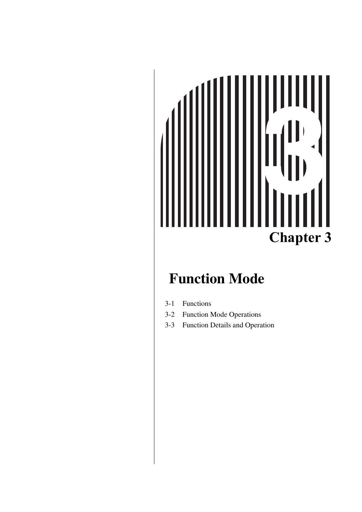# $\blacktriangleleft$ **Chapter 3**

# **Function Mode**

- [3-1 Functions](#page-44-0)
- [3-2 Function Mode Operations](#page-45-0)
- [3-3 Function Details and Operation](#page-47-0)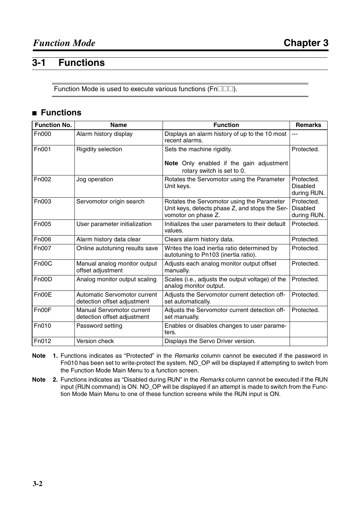# <span id="page-44-0"></span>**3-1 Functions**

Function Mode is used to execute various functions ( $Fn$  $\Box$  $\Box$ ).

# ■ **Functions**

| <b>Function No.</b> | <b>Name</b>                                                     | <b>Function</b>                                                                                                     | <b>Remarks</b>                               |
|---------------------|-----------------------------------------------------------------|---------------------------------------------------------------------------------------------------------------------|----------------------------------------------|
| F <sub>n000</sub>   | Alarm history display                                           | Displays an alarm history of up to the 10 most<br>recent alarms.                                                    | ---                                          |
| <b>Fn001</b>        | <b>Rigidity selection</b>                                       | Sets the machine rigidity.                                                                                          | Protected.                                   |
|                     |                                                                 | Note Only enabled if the gain adjustment<br>rotary switch is set to 0.                                              |                                              |
| Fn002               | Jog operation                                                   | Rotates the Servomotor using the Parameter<br>Unit keys.                                                            | Protected.<br><b>Disabled</b><br>during RUN. |
| Fn003               | Servomotor origin search                                        | Rotates the Servomotor using the Parameter<br>Unit keys, detects phase Z, and stops the Ser-<br>vomotor on phase Z. | Protected.<br><b>Disabled</b><br>during RUN. |
| Fn005               | User parameter initialization                                   | Initializes the user parameters to their default<br>values.                                                         | Protected.                                   |
| Fn006               | Alarm history data clear                                        | Clears alarm history data.                                                                                          | Protected.                                   |
| Fn007               | Online autotuning results save                                  | Writes the load inertia ratio determined by<br>autotuning to Pn103 (inertia ratio).                                 | Protected.                                   |
| Fn00C               | Manual analog monitor output<br>offset adjustment               | Adjusts each analog monitor output offset<br>manually.                                                              | Protected.                                   |
| Fn00D               | Analog monitor output scaling                                   | Scales (i.e., adjusts the output voltage) of the<br>analog monitor output.                                          | Protected.                                   |
| Fn00E               | Automatic Servomotor current<br>detection offset adjustment     | Adjusts the Servomotor current detection off-<br>set automatically.                                                 | Protected.                                   |
| Fn00F               | <b>Manual Servomotor current</b><br>detection offset adjustment | Adjusts the Servomotor current detection off-<br>set manually.                                                      | Protected.                                   |
| Fn010               | Password setting                                                | Enables or disables changes to user parame-<br>ters.                                                                |                                              |
| Fn012               | Version check                                                   | Displays the Servo Driver version.                                                                                  |                                              |

**Note 1.** Functions indicates as "Protected" in the *Remarks* column cannot be executed if the password in Fn010 has been set to write-protect the system. NO\_OP will be displayed if attempting to switch from the Function Mode Main Menu to a function screen.

**Note 2.** Functions indicates as "Disabled during RUN" in the *Remarks* column cannot be executed if the RUN input (RUN command) is ON. NO\_OP will be displayed if an attempt is made to switch from the Function Mode Main Menu to one of these function screens while the RUN input is ON.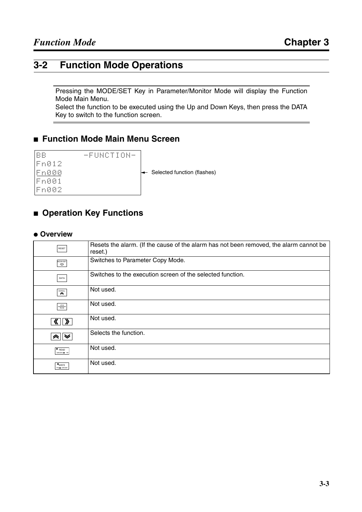# <span id="page-45-0"></span>**3-2 Function Mode Operations**

Pressing the MODE/SET Key in Parameter/Monitor Mode will display the Function Mode Main Menu.

Select the function to be executed using the Up and Down Keys, then press the DATA Key to switch to the function screen.

#### ■ **Function Mode Main Menu Screen**

| <b>BB</b>     |  |  |  | 一只目科的工工自科一 |  |
|---------------|--|--|--|------------|--|
| Fn012         |  |  |  |            |  |
| <u> En000</u> |  |  |  |            |  |
| Fn001         |  |  |  |            |  |
| Fn002         |  |  |  |            |  |

Gelected function (flashes)

## ■ **Operation Key Functions**

#### ● **Overview**

| RESET                             | Resets the alarm. (If the cause of the alarm has not been removed, the alarm cannot be<br>reset.) |
|-----------------------------------|---------------------------------------------------------------------------------------------------|
| MODE/SET<br>$\boldsymbol{\nabla}$ | Switches to Parameter Copy Mode.                                                                  |
| DATA                              | Switches to the execution screen of the selected function.                                        |
| SCROLL<br>$\hat{\phantom{1}}$     | Not used.                                                                                         |
| $\frac{\text{JOG}}{\text{RUN}}$   | Not used.                                                                                         |
|                                   | Not used.                                                                                         |
| "≫∥≫                              | Selects the function.                                                                             |
| $\bullet$ READ<br>DRIVER > PF     | Not used.                                                                                         |
| <b>*WRITE</b><br>PR + DRIVER      | Not used.                                                                                         |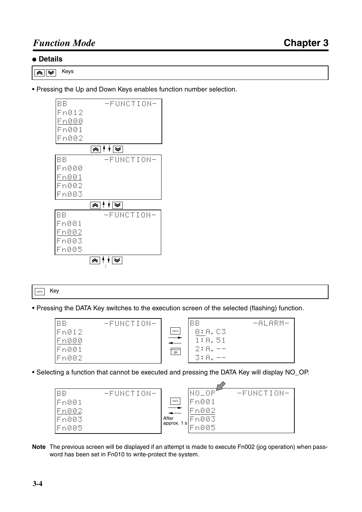#### ● **Details**

Keys  $\overline{\tilde{\mathbf{z}}}\overline{\mathbf{z}}$ 

• Pressing the Up and Down Keys enables function number selection.

| BB            | -FUNCTION-      |
|---------------|-----------------|
| Fn012         |                 |
| <u>Fn00</u> 0 |                 |
| Fn001         |                 |
| Fn002         |                 |
|               | ଛା । ∤ । ≅ା     |
| BB            | -FUNCTION-      |
| Fn000         |                 |
| <u> Fn001</u> |                 |
| Fn002         |                 |
| Fn003         |                 |
|               | ଛା । √ । ≅      |
| BB            | -FUNCTION-      |
| Fn001         |                 |
| Fn002         |                 |
| Fn003         |                 |
| Fn005         |                 |
|               | <u>'≫</u> ∤ ∤ ∏ |
|               |                 |

DATA Key

• Pressing the DATA Key switches to the execution screen of the selected (flashing) function.

| <b>BB</b><br>-FUNCTION- |                       | BB                  | $-ALRM-$ |
|-------------------------|-----------------------|---------------------|----------|
| Fn012                   | DATA                  | 0:A.C3              |          |
| Fn000                   |                       | 1:A.51              |          |
| Fn001                   | MODE/SET<br>$\varphi$ | 2:A.<br>----- ----- |          |
| Fn002                   |                       | 3:A.<br>            |          |

• Selecting a function that cannot be executed and pressing the DATA Key will display NO\_OP.



**Note** The previous screen will be displayed if an attempt is made to execute Fn002 (jog operation) when password has been set in Fn010 to write-protect the system.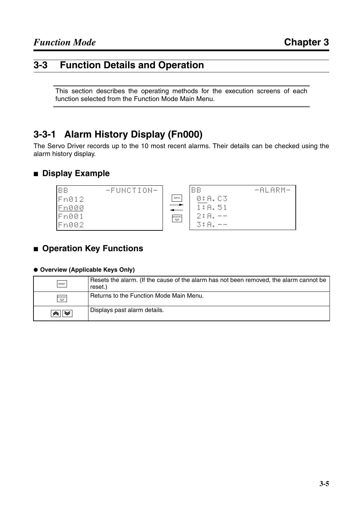# <span id="page-47-0"></span>**3-3 Function Details and Operation**

This section describes the operating methods for the execution screens of each function selected from the Function Mode Main Menu.

# **3-3-1 Alarm History Display (Fn000)**

The Servo Driver records up to the 10 most recent alarms. Their details can be checked using the alarm history display.

### ■ **Display Example**



# ■ **Operation Key Functions**

#### ● **Overview (Applicable Keys Only)**

| RESET                                        | Resets the alarm. (If the cause of the alarm has not been removed, the alarm cannot be<br>reset.) |
|----------------------------------------------|---------------------------------------------------------------------------------------------------|
| MODE/SET                                     | Returns to the Function Mode Main Menu.                                                           |
| $\overline{\mathbb{R}}\overline{\mathbb{V}}$ | Displays past alarm details.                                                                      |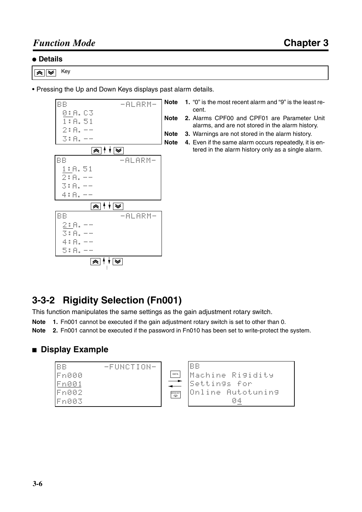#### ● **Details**

 $\overline{\mathbb{R}}$ Key

• Pressing the Up and Down Keys displays past alarm details.



- **Note 1.** "0" is the most recent alarm and "9" is the least recent.
- **Note 2.** Alarms CPF00 and CPF01 are Parameter Unit alarms, and are not stored in the alarm history.
- **Note 3.** Warnings are not stored in the alarm history.
- **Note 4.** Even if the same alarm occurs repeatedly, it is entered in the alarm history only as a single alarm.

# **3-3-2 Rigidity Selection (Fn001)**

This function manipulates the same settings as the gain adjustment rotary switch.

- **Note 1.** Fn001 cannot be executed if the gain adjustment rotary switch is set to other than 0.
- **Note 2.** Fn001 cannot be executed if the password in Fn010 has been set to write-protect the system.

#### ■ **Display Example**

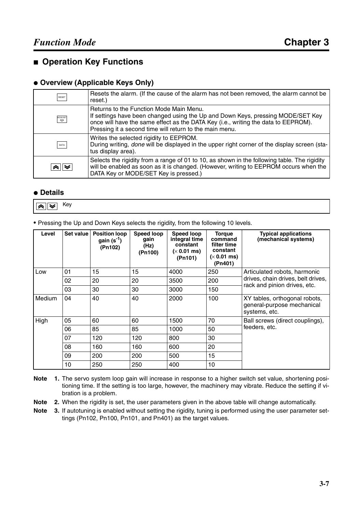#### ■ **Operation Key Functions**

#### ● **Overview (Applicable Keys Only)**

| RESET    | Resets the alarm. (If the cause of the alarm has not been removed, the alarm cannot be<br>reset.)                                                                                                                                                                           |
|----------|-----------------------------------------------------------------------------------------------------------------------------------------------------------------------------------------------------------------------------------------------------------------------------|
| MODE/SET | Returns to the Function Mode Main Menu.<br>If settings have been changed using the Up and Down Keys, pressing MODE/SET Key<br>once will have the same effect as the DATA Key (i.e., writing the data to EEPROM).<br>Pressing it a second time will return to the main menu. |
| DATA     | Writes the selected rigidity to EEPROM.<br>During writing, done will be displayed in the upper right corner of the display screen (sta-<br>tus display area).                                                                                                               |
|          | Selects the rigidity from a range of 01 to 10, as shown in the following table. The rigidity<br>will be enabled as soon as it is changed. (However, writing to EEPROM occurs when the<br>DATA Key or MODE/SET Key is pressed.)                                              |

#### ● **Details**

Key $\overline{\mathbb{R}}$ 

• Pressing the Up and Down Keys selects the rigidity, from the following 10 levels.

| Level  | Set value | <b>Position loop</b><br>gain $(s^{-1})$<br>(Pn102) | Speed loop<br>gain<br>(Hz)<br>(Pn100) | Speed loop<br>integral time<br>constant<br>$(x 0.01$ ms)<br>(Pn101) | <b>Torgue</b><br>command<br>filter time<br>constant<br>$(x 0.01$ ms)<br>(Pn401) | <b>Typical applications</b><br>(mechanical systems)                          |
|--------|-----------|----------------------------------------------------|---------------------------------------|---------------------------------------------------------------------|---------------------------------------------------------------------------------|------------------------------------------------------------------------------|
| Low    | 01        | 15                                                 | 15                                    | 4000                                                                | 250                                                                             | Articulated robots, harmonic                                                 |
|        | 02        | 20                                                 | 20                                    | 3500                                                                | 200                                                                             | drives, chain drives, belt drives,                                           |
|        | 03        | 30                                                 | 30                                    | 3000                                                                | 150                                                                             | rack and pinion drives, etc.                                                 |
| Medium | 04        | 40                                                 | 40                                    | 2000                                                                | 100                                                                             | XY tables, orthogonal robots,<br>general-purpose mechanical<br>systems, etc. |
| High   | 05        | 60                                                 | 60                                    | 1500                                                                | 70                                                                              | Ball screws (direct couplings),                                              |
|        | 06        | 85                                                 | 85                                    | 1000                                                                | 50                                                                              | feeders, etc.                                                                |
|        | 07        | 120                                                | 120                                   | 800                                                                 | 30                                                                              |                                                                              |
|        | 08        | 160                                                | 160                                   | 600                                                                 | 20                                                                              |                                                                              |
|        | 09        | 200                                                | 200                                   | 500                                                                 | 15                                                                              |                                                                              |
|        | 10        | 250                                                | 250                                   | 400                                                                 | 10                                                                              |                                                                              |

- **Note 1.** The servo system loop gain will increase in response to a higher switch set value, shortening positioning time. If the setting is too large, however, the machinery may vibrate. Reduce the setting if vibration is a problem.
- **Note 2.** When the rigidity is set, the user parameters given in the above table will change automatically.
- **Note 3.** If autotuning is enabled without setting the rigidity, tuning is performed using the user parameter settings (Pn102, Pn100, Pn101, and Pn401) as the target values.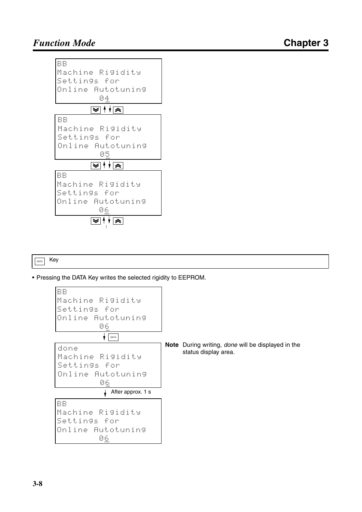

 $\boxed{\text{data}}$  Key

• Pressing the DATA Key writes the selected rigidity to EEPROM.

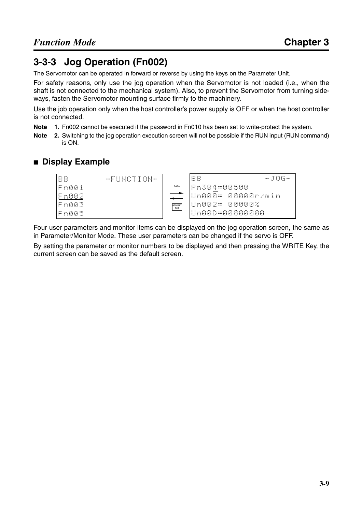# **3-3-3 Jog Operation (Fn002)**

The Servomotor can be operated in forward or reverse by using the keys on the Parameter Unit.

For safety reasons, only use the jog operation when the Servomotor is not loaded (i.e., when the shaft is not connected to the mechanical system). Also, to prevent the Servomotor from turning sideways, fasten the Servomotor mounting surface firmly to the machinery.

Use the job operation only when the host controller's power supply is OFF or when the host controller is not connected.

- **Note 1.** Fn002 cannot be executed if the password in Fn010 has been set to write-protect the system.
- **Note 2.** Switching to the jog operation execution screen will not be possible if the RUN input (RUN command) is ON.

### ■ **Display Example**



Four user parameters and monitor items can be displayed on the jog operation screen, the same as in Parameter/Monitor Mode. These user parameters can be changed if the servo is OFF.

By setting the parameter or monitor numbers to be displayed and then pressing the WRITE Key, the current screen can be saved as the default screen.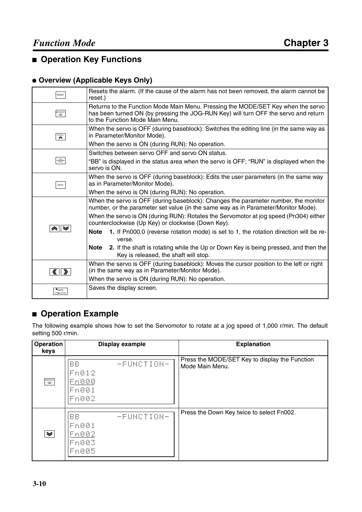# ■ **Operation Key Functions**

#### ● **Overview (Applicable Keys Only)**

| RESET                                                                                               | Resets the alarm. (If the cause of the alarm has not been removed, the alarm cannot be<br>reset.)                                                                                                          |
|-----------------------------------------------------------------------------------------------------|------------------------------------------------------------------------------------------------------------------------------------------------------------------------------------------------------------|
| MODE/SET                                                                                            | Returns to the Function Mode Main Menu. Pressing the MODE/SET Key when the servo<br>has been turned ON (by pressing the JOG-RUN Key) will turn OFF the servo and return<br>to the Function Mode Main Menu. |
| $\mathbf{\hat{z}}$                                                                                  | When the servo is OFF (during baseblock): Switches the editing line (in the same way as<br>in Parameter/Monitor Mode).                                                                                     |
|                                                                                                     | When the servo is ON (during RUN): No operation.                                                                                                                                                           |
|                                                                                                     | Switches between servo OFF and servo ON status.                                                                                                                                                            |
| $\ensuremath{\mathsf{J}}\xspace\ensuremath{\mathsf{O}}\xspace\ensuremath{\mathsf{G}}\xspace$<br>RUN | "BB" is displayed in the status area when the servo is OFF; "RUN" is displayed when the<br>servo is ON.                                                                                                    |
| DATA                                                                                                | When the servo is OFF (during baseblock): Edits the user parameters (in the same way<br>as in Parameter/Monitor Mode).                                                                                     |
|                                                                                                     | When the servo is ON (during RUN): No operation.                                                                                                                                                           |
|                                                                                                     | When the servo is OFF (during baseblock): Changes the parameter number, the monitor<br>number, or the parameter set value (in the same way as in Parameter/Monitor Mode).                                  |
|                                                                                                     | When the servo is ON (during RUN): Rotates the Servomotor at jog speed (Pn304) either<br>counterclockwise (Up Key) or clockwise (Down Key).                                                                |
|                                                                                                     | 1. If Pn000.0 (reverse rotation mode) is set to 1, the rotation direction will be re-<br><b>Note</b><br>verse.                                                                                             |
|                                                                                                     | 2. If the shaft is rotating while the Up or Down Key is being pressed, and then the<br>Note<br>Key is released, the shaft will stop.                                                                       |
|                                                                                                     | When the servo is OFF (during baseblock): Moves the cursor position to the left or right                                                                                                                   |
|                                                                                                     | (in the same way as in Parameter/Monitor Mode).                                                                                                                                                            |
|                                                                                                     | When the servo is ON (during RUN): No operation.                                                                                                                                                           |
| <b>WRITE</b><br>R + DRIVER                                                                          | Saves the display screen.                                                                                                                                                                                  |

# ■ **Operation Example**

The following example shows how to set the Servomotor to rotate at a jog speed of 1,000 r/min. The default setting 500 r/min.

| Operation<br>keys     | <b>Display example</b>                               | <b>Explanation</b>                                                |
|-----------------------|------------------------------------------------------|-------------------------------------------------------------------|
| MODE/SET              | BB<br>-FUNCTION-<br>Fn012<br>Fn000<br>Fn001<br>Fn002 | Press the MODE/SET Key to display the Function<br>Mode Main Menu. |
| $\blacktriangleright$ | BB<br>-FUNCTION-<br>Fn001<br>Fn002<br>Fn003<br>Fn005 | Press the Down Key twice to select Fn002.                         |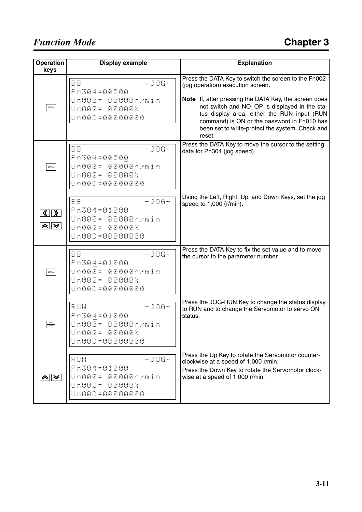# *Function Mode*

| <b>Operation</b><br>keys               | <b>Display example</b>                                                                          | <b>Explanation</b>                                                                                                                                                                                                                                                                                                                                             |
|----------------------------------------|-------------------------------------------------------------------------------------------------|----------------------------------------------------------------------------------------------------------------------------------------------------------------------------------------------------------------------------------------------------------------------------------------------------------------------------------------------------------------|
| DATA                                   | <b>BB</b><br>$-J06-$<br>Pn304=00500<br>Un000= 00000r/min<br>Un002= 00000%<br>Un00D=00000000     | Press the DATA Key to switch the screen to the Fn002<br>(jog operation) execution screen.<br>Note If, after pressing the DATA Key, the screen does<br>not switch and NO_OP is displayed in the sta-<br>tus display area, either the RUN input (RUN<br>command) is ON or the password in Fn010 has<br>been set to write-protect the system. Check and<br>reset. |
| DATA                                   | <b>BB</b><br>$-JOG -$<br>Pn304=00500<br>Un000= 00000r/min<br>Un002= 00000%<br>Un00D=00000000    | Press the DATA Key to move the cursor to the setting<br>data for Pn304 (jog speed).                                                                                                                                                                                                                                                                            |
| $\langle \cdot   \cdot \rangle$<br>⊗∥≫ | <b>BB</b><br>$-J06-$<br>Pn304=01000<br>Un000= 00000r/min<br>Un002= 00000%<br>Un00D=00000000     | Using the Left, Right, Up, and Down Keys, set the jog<br>speed to 1,000 (r/min).                                                                                                                                                                                                                                                                               |
| DATA                                   | $-J06-$<br><b>BB</b><br>Pn304=01000<br>Un000= 00000r/min<br>Un002= 00000%<br>Un00D=00000000     | Press the DATA Key to fix the set value and to move<br>the cursor to the parameter number.                                                                                                                                                                                                                                                                     |
| $rac{10G}{RUN}$                        | RUN<br>$-J06-$<br>Pn304=01000<br>Un000= 00000r/min<br>Un002= 00000%<br>Un00D=00000000           | Press the JOG-RUN Key to change the status display<br>to RUN and to change the Servomotor to servo ON<br>status.                                                                                                                                                                                                                                               |
| ⊗∥≫                                    | $-J06-$<br>RUN<br>Pn304=01000<br><u>Un000=</u><br>00000r/min<br>Un002= 00000%<br>Un00D=00000000 | Press the Up Key to rotate the Servomotor counter-<br>clockwise at a speed of 1,000 r/min.<br>Press the Down Key to rotate the Servomotor clock-<br>wise at a speed of 1,000 r/min.                                                                                                                                                                            |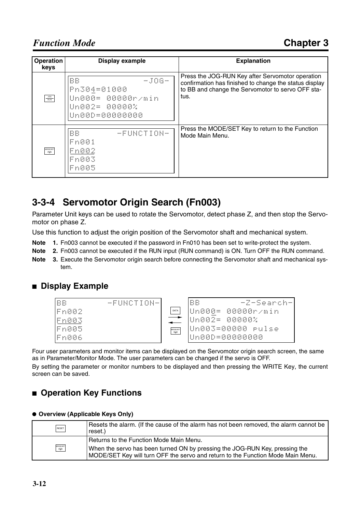| <b>Operation</b><br>keys        | Display example                                                                        | <b>Explanation</b>                                                                                                                                                      |
|---------------------------------|----------------------------------------------------------------------------------------|-------------------------------------------------------------------------------------------------------------------------------------------------------------------------|
| $\frac{\text{JOG}}{\text{RUN}}$ | $-J06-$<br>BB<br>Pn304=01000<br> Un000= 00000r/min<br>Un002= 00000%<br> Un00D=00000000 | Press the JOG-RUN Key after Servomotor operation<br>confirmation has finished to change the status display<br>to BB and change the Servomotor to servo OFF sta-<br>tus. |
| MODE/SET                        | -FUNCTION-<br>BB<br>Fn001<br>Fn002<br>Fn003<br>Fn005                                   | Press the MODE/SET Key to return to the Function<br>Mode Main Menu.                                                                                                     |

# **3-3-4 Servomotor Origin Search (Fn003)**

Parameter Unit keys can be used to rotate the Servomotor, detect phase Z, and then stop the Servomotor on phase Z.

Use this function to adjust the origin position of the Servomotor shaft and mechanical system.

- **Note 1.** Fn003 cannot be executed if the password in Fn010 has been set to write-protect the system.
- **Note 2.** Fn003 cannot be executed if the RUN input (RUN command) is ON. Turn OFF the RUN command.
- **Note 3.** Execute the Servomotor origin search before connecting the Servomotor shaft and mechanical system.

#### ■ **Display Example**



Four user parameters and monitor items can be displayed on the Servomotor origin search screen, the same as in Parameter/Monitor Mode. The user parameters can be changed if the servo is OFF.

By setting the parameter or monitor numbers to be displayed and then pressing the WRITE Key, the current screen can be saved.

# ■ **Operation Key Functions**

#### ● **Overview (Applicable Keys Only)**

| RESET    | Resets the alarm. (If the cause of the alarm has not been removed, the alarm cannot be<br>reset.)                      |
|----------|------------------------------------------------------------------------------------------------------------------------|
| MODE/SET | Returns to the Function Mode Main Menu.<br>When the servo has been turned ON by pressing the JOG-RUN Key, pressing the |
|          | MODE/SET Key will turn OFF the servo and return to the Function Mode Main Menu.                                        |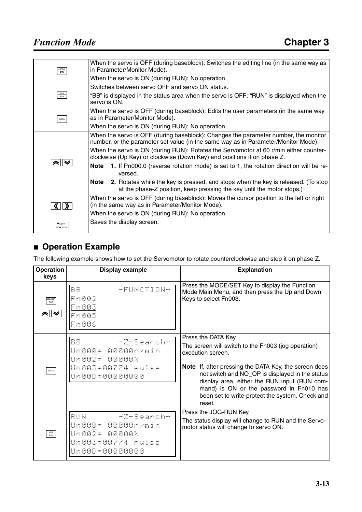| $\sum_{i=1}^{\text{SCROLL}}$   | When the servo is OFF (during baseblock): Switches the editing line (in the same way as<br>in Parameter/Monitor Mode).                                                     |
|--------------------------------|----------------------------------------------------------------------------------------------------------------------------------------------------------------------------|
|                                | When the servo is ON (during RUN): No operation.                                                                                                                           |
|                                | Switches between servo OFF and servo ON status.                                                                                                                            |
| <b>JOG</b><br><b>RUN</b>       | "BB" is displayed in the status area when the servo is OFF; "RUN" is displayed when the<br>servo is ON.                                                                    |
| DATA                           | When the servo is OFF (during baseblock): Edits the user parameters (in the same way<br>as in Parameter/Monitor Mode).                                                     |
|                                | When the servo is ON (during RUN): No operation.                                                                                                                           |
|                                | When the servo is OFF (during baseblock): Changes the parameter number, the monitor<br>number, or the parameter set value (in the same way as in Parameter/Monitor Mode).  |
|                                | When the servo is ON (during RUN): Rotates the Servomotor at 60 r/min either counter-<br>clockwise (Up Key) or clockwise (Down Key) and positions it on phase Z.           |
| "∧∥≫                           | 1. If Pn000.0 (reverse rotation mode) is set to 1, the rotation direction will be re-<br>Note<br>versed.                                                                   |
|                                | <b>2.</b> Rotates while the key is pressed, and stops when the key is released. (To stop<br>Note<br>at the phase-Z position, keep pressing the key until the motor stops.) |
|                                | When the servo is OFF (during baseblock): Moves the cursor position to the left or right                                                                                   |
|                                | (in the same way as in Parameter/Monitor Mode).                                                                                                                            |
|                                | When the servo is ON (during RUN): No operation.                                                                                                                           |
| $\bullet$ WRITE<br>PR - DRIVER | Saves the display screen.                                                                                                                                                  |

# ■ **Operation Example**

The following example shows how to set the Servomotor to rotate counterclockwise and stop it on phase Z.

| <b>Operation</b><br>keys | Display example                                                                                   | <b>Explanation</b>                                                                                                                                                                                                                                                                                                                                                          |
|--------------------------|---------------------------------------------------------------------------------------------------|-----------------------------------------------------------------------------------------------------------------------------------------------------------------------------------------------------------------------------------------------------------------------------------------------------------------------------------------------------------------------------|
| MODE/SET                 | BB.<br>-FUNCTION-<br>Fn002<br>Fn003<br>Fn005<br>Fn006                                             | Press the MODE/SET Key to display the Function<br>Mode Main Menu, and then press the Up and Down<br>Keys to select Fn003.                                                                                                                                                                                                                                                   |
| DATA                     | -Z-Search-<br><b>BB</b><br>Un000= 00000r/min<br>Un002= 00000%<br>Un00D=00000000                   | Press the DATA Key.<br>The screen will switch to the Fn003 (jog operation)<br>execution screen.<br><b>Note</b> If, after pressing the DATA Key, the screen does<br>not switch and NO_OP is displayed in the status<br>display area, either the RUN input (RUN com-<br>mand) is ON or the password in Fn010 has<br>been set to write-protect the system. Check and<br>reset. |
| $\frac{10G}{100}$        | - Z-Search-<br>RUN.<br>Un000= 00000r/min<br> Un002= 00000%<br>Un003=00774 rulse<br>Un00D=00000000 | Press the JOG-RUN Key.<br>The status display will change to RUN and the Servo-<br>motor status will change to servo ON.                                                                                                                                                                                                                                                     |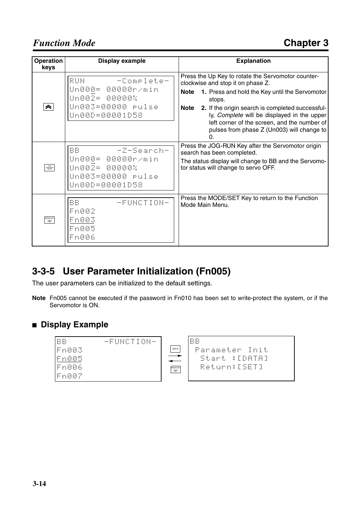# *Function Mode*

| Operation<br>keys  | Display example                                                                                   | <b>Explanation</b>                                                                                                                                                                                                                                                                                                                                                                     |
|--------------------|---------------------------------------------------------------------------------------------------|----------------------------------------------------------------------------------------------------------------------------------------------------------------------------------------------------------------------------------------------------------------------------------------------------------------------------------------------------------------------------------------|
| $\hat{\mathbf{z}}$ | - -Complete-<br>RUN.<br>Un000= 00000r/min<br>Un002= 00000%<br>Un003=00000 rulse<br>Un00D=00001D58 | Press the Up Key to rotate the Servomotor counter-<br>clockwise and stop it on phase Z.<br><b>Note</b><br>1. Press and hold the Key until the Servomotor<br>stops.<br>Note 2. If the origin search is completed successful-<br>ly, Complete will be displayed in the upper<br>left corner of the screen, and the number of<br>pulses from phase Z (Un003) will change to<br>$\Omega$ . |
| $rac{10G}{RUN}$    | -Z-Search-<br>BB.<br>Un000= 00000r/min<br>Un002= 00000%<br>Un003=00000 pulse<br>Un00D=00001D58    | Press the JOG-RUN Key after the Servomotor origin<br>search has been completed.<br>The status display will change to BB and the Servomo-<br>tor status will change to servo OFF.                                                                                                                                                                                                       |
| MODE/SET           | BB.<br>-FUNCTION-<br>Fn002<br>Fn003<br>Fn005<br>Fn006                                             | Press the MODE/SET Key to return to the Function<br>Mode Main Menu.                                                                                                                                                                                                                                                                                                                    |

# **3-3-5 User Parameter Initialization (Fn005)**

The user parameters can be initialized to the default settings.

**Note** Fn005 cannot be executed if the password in Fn010 has been set to write-protect the system, or if the Servomotor is ON.

#### ■ **Display Example**

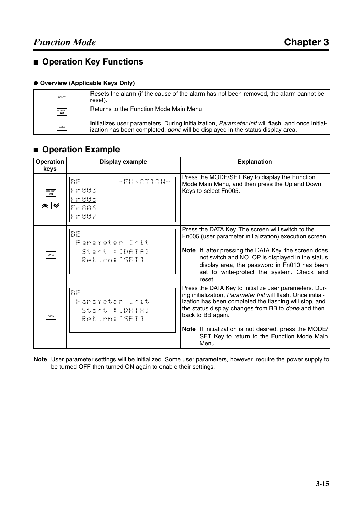# ■ **Operation Key Functions**

#### ● **Overview (Applicable Keys Only)**

| RESET    | Resets the alarm (if the cause of the alarm has not been removed, the alarm cannot be<br>reset).                                                                                          |
|----------|-------------------------------------------------------------------------------------------------------------------------------------------------------------------------------------------|
| MODE/SET | Returns to the Function Mode Main Menu.                                                                                                                                                   |
| DATA     | Initializes user parameters. During initialization, <i>Parameter Init</i> will flash, and once initial-<br>ization has been completed, done will be displayed in the status display area. |

# ■ **Operation Example**

| Operation<br>keys | <b>Display example</b>                                        | <b>Explanation</b>                                                                                                                                                                                                                                                                                                                                                             |
|-------------------|---------------------------------------------------------------|--------------------------------------------------------------------------------------------------------------------------------------------------------------------------------------------------------------------------------------------------------------------------------------------------------------------------------------------------------------------------------|
| MODE/SET<br>à∥≫   | -FUNCTION-<br>BB.<br>Fn003<br>Fn005<br>Fn006<br>Fn007         | Press the MODE/SET Key to display the Function<br>Mode Main Menu, and then press the Up and Down<br>Keys to select Fn005.                                                                                                                                                                                                                                                      |
| DATA              | <b>BB</b><br>Parameter Init<br>Start : [DATA]<br>Return:[SET] | Press the DATA Key. The screen will switch to the<br>Fn005 (user parameter initialization) execution screen.<br>Note If, after pressing the DATA Key, the screen does<br>not switch and NO_OP is displayed in the status<br>display area, the password in Fn010 has been<br>set to write-protect the system. Check and<br>reset.                                               |
| DATA              | <b>BB</b><br>Parameter Init<br>Start : [DATA]<br>Return:[SET] | Press the DATA Key to initialize user parameters. Dur-<br>ing initialization, Parameter Init will flash. Once initial-<br>ization has been completed the flashing will stop, and<br>the status display changes from BB to done and then<br>back to BB again.<br>Note If initialization is not desired, press the MODE/<br>SET Key to return to the Function Mode Main<br>Menu. |

**Note** User parameter settings will be initialized. Some user parameters, however, require the power supply to be turned OFF then turned ON again to enable their settings.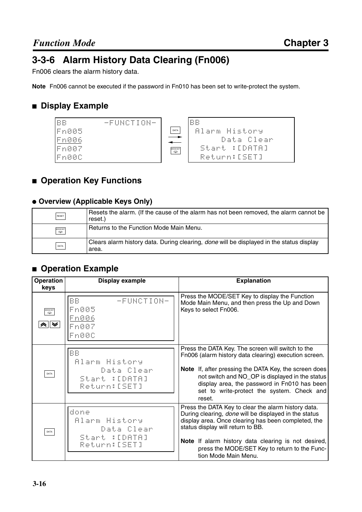# **3-3-6 Alarm History Data Clearing (Fn006)**

Fn006 clears the alarm history data.

**Note** Fn006 cannot be executed if the password in Fn010 has been set to write-protect the system.

### ■ **Display Example**



# ■ **Operation Key Functions**

#### ● **Overview (Applicable Keys Only)**

| RESET    | Resets the alarm. (If the cause of the alarm has not been removed, the alarm cannot be<br>reset.)        |
|----------|----------------------------------------------------------------------------------------------------------|
| MODE/SET | Returns to the Function Mode Main Menu.                                                                  |
| DATA     | Clears alarm history data. During clearing, <i>done</i> will be displayed in the status display<br>area. |

#### ■ **Operation Example**

| <b>Operation</b><br>keys | <b>Display example</b>                                                     | <b>Explanation</b>                                                                                                                                                                                                                                                                                                                       |
|--------------------------|----------------------------------------------------------------------------|------------------------------------------------------------------------------------------------------------------------------------------------------------------------------------------------------------------------------------------------------------------------------------------------------------------------------------------|
| MODE/SET                 | BB.<br>-FUNCTION-<br>Fn005<br>Fn006<br>Fn007<br>Fn000                      | Press the MODE/SET Key to display the Function<br>Mode Main Menu, and then press the Up and Down<br>Keys to select Fn006.                                                                                                                                                                                                                |
| DATA                     | <b>BB</b><br>Alarm History<br>Data Clear<br>Start : [DATA]<br>Return:[SET] | Press the DATA Key. The screen will switch to the<br>Fn006 (alarm history data clearing) execution screen.<br>Note If, after pressing the DATA Key, the screen does<br>not switch and NO_OP is displayed in the status<br>display area, the password in Fn010 has been<br>set to write-protect the system. Check and<br>reset.           |
| DATA                     | done<br>Alarm History<br>Data Clear<br>Start : [DATA]<br>Return:[SET]      | Press the DATA Key to clear the alarm history data.<br>During clearing, done will be displayed in the status<br>display area. Once clearing has been completed, the<br>status display will return to BB.<br>Note If alarm history data clearing is not desired,<br>press the MODE/SET Key to return to the Func-<br>tion Mode Main Menu. |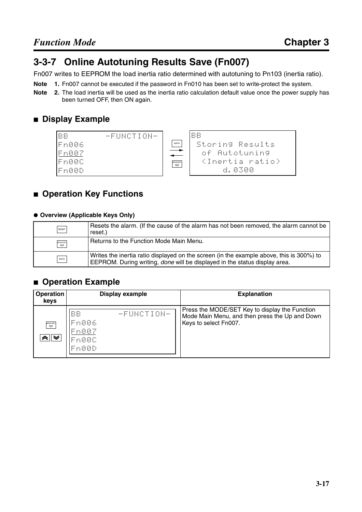# **3-3-7 Online Autotuning Results Save (Fn007)**

Fn007 writes to EEPROM the load inertia ratio determined with autotuning to Pn103 (inertia ratio).

- **Note 1.** Fn007 cannot be executed if the password in Fn010 has been set to write-protect the system.
- **Note 2.** The load inertia will be used as the inertia ratio calculation default value once the power supply has been turned OFF, then ON again.

# ■ **Display Example**



# ■ **Operation Key Functions**

#### ● **Overview (Applicable Keys Only)**

| RESET    | Resets the alarm. (If the cause of the alarm has not been removed, the alarm cannot be<br>reset.)                                                                             |
|----------|-------------------------------------------------------------------------------------------------------------------------------------------------------------------------------|
| MODE/SET | Returns to the Function Mode Main Menu.                                                                                                                                       |
| DATA     | Writes the inertia ratio displayed on the screen (in the example above, this is 300%) to<br>EEPROM. During writing, <i>done</i> will be displayed in the status display area. |

#### ■ **Operation Example**

| <b>Operation</b><br>keys | <b>Display example</b>                                 | <b>Explanation</b>                                                                                                        |
|--------------------------|--------------------------------------------------------|---------------------------------------------------------------------------------------------------------------------------|
| MODE/SET                 | BB<br>-FUNCTION-<br>Fn006<br> Fn007<br>Fn00C<br> Fn00D | Press the MODE/SET Key to display the Function<br>Mode Main Menu, and then press the Up and Down<br>Keys to select Fn007. |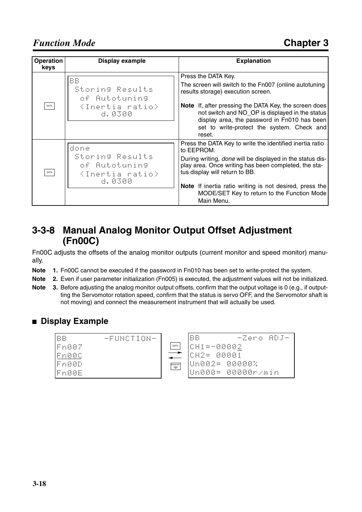| Operation<br>keys | Display example                                                                      | <b>Explanation</b>                                                                                                                                                                                                                                                                                                                                    |
|-------------------|--------------------------------------------------------------------------------------|-------------------------------------------------------------------------------------------------------------------------------------------------------------------------------------------------------------------------------------------------------------------------------------------------------------------------------------------------------|
| DATA              | BВ<br>Storing Results<br>of Autotuning<br><inertia ratio=""><br/>d. 0300</inertia>   | Press the DATA Key.<br>The screen will switch to the Fn007 (online autotuning<br>results storage) execution screen.<br><b>Note</b> If, after pressing the DATA Key, the screen does<br>not switch and NO_OP is displayed in the status<br>display area, the password in Fn010 has been<br>set to write-protect the system. Check and<br>reset.        |
| DATA              | done<br>Storing Results<br>of Autotuning<br><inertia ratio=""><br/>d. 0300</inertia> | Press the DATA Key to write the identified inertia ratio<br>to EEPROM.<br>During writing, done will be displayed in the status dis-<br>play area. Once writing has been completed, the sta-<br>tus display will return to BB.<br>Note If inertia ratio writing is not desired, press the<br>MODE/SET Key to return to the Function Mode<br>Main Menu. |

# **3-3-8 Manual Analog Monitor Output Offset Adjustment (Fn00C)**

Fn00C adjusts the offsets of the analog monitor outputs (current monitor and speed monitor) manually.

- **Note 1.** Fn00C cannot be executed if the password in Fn010 has been set to write-protect the system.
- **Note 2.** Even if user parameter initialization (Fn005) is executed, the adjustment values will not be initialized.
- **Note 3.** Before adjusting the analog monitor output offsets, confirm that the output voltage is 0 (e.g., if outputting the Servomotor rotation speed, confirm that the status is servo OFF, and the Servomotor shaft is not moving) and connect the measurement instrument that will actually be used.

#### ■ **Display Example**

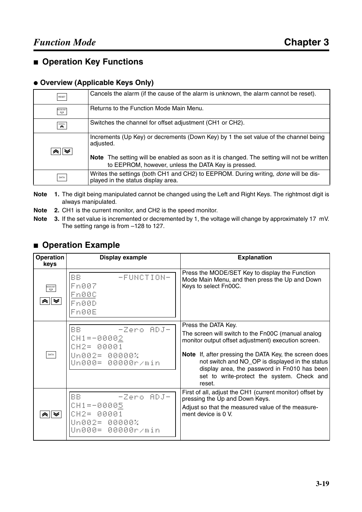# ■ **Operation Key Functions**

#### ● **Overview (Applicable Keys Only)**

| RESET                              | Cancels the alarm (if the cause of the alarm is unknown, the alarm cannot be reset).                                                                     |
|------------------------------------|----------------------------------------------------------------------------------------------------------------------------------------------------------|
| MODE/SET<br>$\boldsymbol{\varphi}$ | Returns to the Function Mode Main Menu.                                                                                                                  |
| $\mathop{\text{SCROL}}$            | Switches the channel for offset adjustment (CH1 or CH2).                                                                                                 |
| "≈ ⊠                               | Increments (Up Key) or decrements (Down Key) by 1 the set value of the channel being<br>adjusted.                                                        |
|                                    | <b>Note</b> The setting will be enabled as soon as it is changed. The setting will not be written<br>to EEPROM, however, unless the DATA Key is pressed. |
| DATA                               | Writes the settings (both CH1 and CH2) to EEPROM. During writing, done will be dis-<br>played in the status display area.                                |

- **Note 1.** The digit being manipulated cannot be changed using the Left and Right Keys. The rightmost digit is always manipulated.
- **Note 2.** CH1 is the current monitor, and CH2 is the speed monitor.
- **Note 3.** If the set value is incremented or decremented by 1, the voltage will change by approximately 17 mV. The setting range is from –128 to 127.

#### ■ **Operation Example**

| <b>Operation</b><br>keys | Display example                                                                                        | <b>Explanation</b>                                                                                                                                                                                                                                                                                                                                   |
|--------------------------|--------------------------------------------------------------------------------------------------------|------------------------------------------------------------------------------------------------------------------------------------------------------------------------------------------------------------------------------------------------------------------------------------------------------------------------------------------------------|
| MODE/SET                 | BB.<br>-FUNCTION-<br>Fn007<br>Fn00C<br>Fn00D<br>Fn00E                                                  | Press the MODE/SET Key to display the Function<br>Mode Main Menu, and then press the Up and Down<br>Keys to select Fn00C.                                                                                                                                                                                                                            |
| DATA                     | - -Zero ADJ-<br>BB.<br>CH1=-00002<br>CH2= 00001<br>Un002= 00000%<br>Un000= 00000r/min                  | Press the DATA Key.<br>The screen will switch to the Fn00C (manual analog<br>monitor output offset adjustment) execution screen.<br>Note If, after pressing the DATA Key, the screen does<br>not switch and NO_OP is displayed in the status<br>display area, the password in Fn010 has been<br>set to write-protect the system. Check and<br>reset. |
|                          | <b>BB</b><br>-Zero ADJ-<br>CH1 = - 00005<br>80001<br>$CH2 =$<br>Un002= 00000%<br>00000r/min<br>iinAAA= | First of all, adjust the CH1 (current monitor) offset by<br>pressing the Up and Down Keys.<br>Adjust so that the measured value of the measure-<br>ment device is 0 V.                                                                                                                                                                               |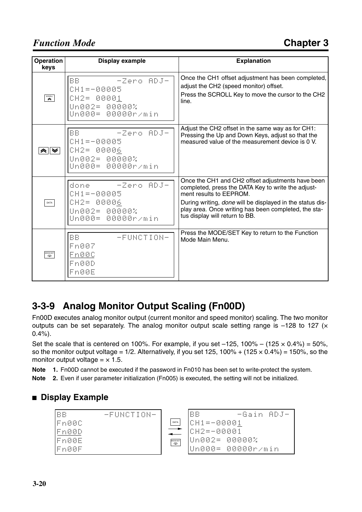# *Function Mode*

| Operation<br>keys      | <b>Display example</b>                                                                    | <b>Explanation</b>                                                                                                                                                                                                                                                                        |
|------------------------|-------------------------------------------------------------------------------------------|-------------------------------------------------------------------------------------------------------------------------------------------------------------------------------------------------------------------------------------------------------------------------------------------|
| $\sum_{\text{SCBOLT}}$ | BB.<br>-Zero ADJ-<br>CH1 = - 00005<br>CH2= 00001<br>Un002= 00000%<br>Un000= 00000r/min    | Once the CH1 offset adjustment has been completed,<br>adjust the CH2 (speed monitor) offset.<br>Press the SCROLL Key to move the cursor to the CH2<br>line.                                                                                                                               |
| ∧∥≫∣                   | BB - - Zero ADJ-<br>CH1 = - 00005<br>CH2= 00006<br>Un002= 00000%<br>Un000= 00000r/min     | Adjust the CH2 offset in the same way as for CH1:<br>Pressing the Up and Down Keys, adjust so that the<br>measured value of the measurement device is 0 V.                                                                                                                                |
| $\mathsf{DATA}$        | - -Zero ADJ-<br>done<br>CH1 = - 00005<br>CH2= 00006<br>Un002= 00000%<br>Un000= 00000r/min | Once the CH1 and CH2 offset adjustments have been<br>completed, press the DATA Key to write the adjust-<br>ment results to EEPROM.<br>During writing, done will be displayed in the status dis-<br>play area. Once writing has been completed, the sta-<br>tus display will return to BB. |
| MODE/SET<br>무          | BB.<br>-FUNCTION-<br>Fn007<br>Fn00C<br>Fn00D<br>Fn00E                                     | Press the MODE/SET Key to return to the Function<br>Mode Main Menu.                                                                                                                                                                                                                       |

# **3-3-9 Analog Monitor Output Scaling (Fn00D)**

Fn00D executes analog monitor output (current monitor and speed monitor) scaling. The two monitor outputs can be set separately. The analog monitor output scale setting range is  $-128$  to 127 ( $\times$ 0.4%).

Set the scale that is centered on 100%. For example, if you set  $-125$ , 100% –  $(125 \times 0.4\%) = 50\%$ , so the monitor output voltage =  $1/2$ . Alternatively, if you set 125, 100% + (125 x 0.4%) = 150%, so the monitor output voltage  $= \times 1.5$ .

**Note 1.** Fn00D cannot be executed if the password in Fn010 has been set to write-protect the system.

**Note 2.** Even if user parameter initialization (Fn005) is executed, the setting will not be initialized.

#### ■ **Display Example**

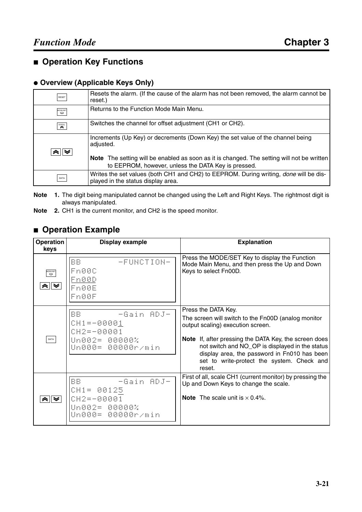# ■ **Operation Key Functions**

#### ● **Overview (Applicable Keys Only)**

| RESET                                                        | Resets the alarm. (If the cause of the alarm has not been removed, the alarm cannot be<br>reset.)                                                        |
|--------------------------------------------------------------|----------------------------------------------------------------------------------------------------------------------------------------------------------|
| MODE/SET<br>$\boldsymbol{\varphi}$                           | Returns to the Function Mode Main Menu.                                                                                                                  |
| $\mathop{\mathrm{SCROL}}\limits_{\mathcal{P}\in\mathcal{P}}$ | Switches the channel for offset adjustment (CH1 or CH2).                                                                                                 |
|                                                              | Increments (Up Key) or decrements (Down Key) the set value of the channel being<br>adjusted.                                                             |
|                                                              | <b>Note</b> The setting will be enabled as soon as it is changed. The setting will not be written<br>to EEPROM, however, unless the DATA Key is pressed. |
| DATA                                                         | Writes the set values (both CH1 and CH2) to EEPROM. During writing, <i>done</i> will be dis-<br>played in the status display area.                       |

**Note 1.** The digit being manipulated cannot be changed using the Left and Right Keys. The rightmost digit is always manipulated.

**Note 2.** CH1 is the current monitor, and CH2 is the speed monitor.

#### ■ **Operation Example**

| Operation<br>keys | Display example                                                                          | <b>Explanation</b>                                                                                                                                                                                                                                                                                                                  |
|-------------------|------------------------------------------------------------------------------------------|-------------------------------------------------------------------------------------------------------------------------------------------------------------------------------------------------------------------------------------------------------------------------------------------------------------------------------------|
| MODE/SET          | BB.<br>-FUNCTION-<br>Fn00C<br>Fn00D<br>Fn00E<br>Fn00F                                    | Press the MODE/SET Key to display the Function<br>Mode Main Menu, and then press the Up and Down<br>Keys to select Fn00D.                                                                                                                                                                                                           |
| DATA              | - -Gain ADJ-<br>BB.<br>CH1 = - 00001<br>CH2=-00001<br>Un002= 00000%<br>Un000= 00000r/min | Press the DATA Key.<br>The screen will switch to the Fn00D (analog monitor<br>output scaling) execution screen.<br>Note If, after pressing the DATA Key, the screen does<br>not switch and NO_OP is displayed in the status<br>display area, the password in Fn010 has been<br>set to write-protect the system. Check and<br>reset. |
| ≪∥≫∣              | BB.<br>-Gain ADJ-<br>CH1= 00125<br>CH2=-00001<br>Un002= 00000%<br>Un000= 00000r/min      | First of all, scale CH1 (current monitor) by pressing the<br>Up and Down Keys to change the scale.<br><b>Note</b> The scale unit is $\times$ 0.4%.                                                                                                                                                                                  |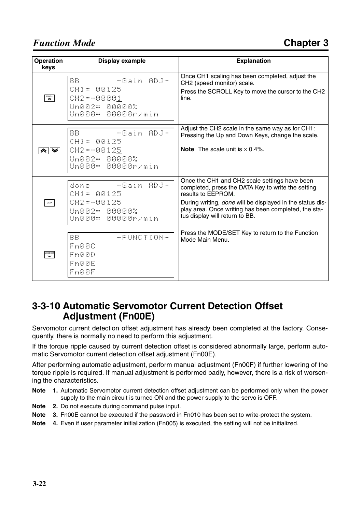# *Function Mode*

| Operation<br>keys                                                                                                                                                                                                                                                                                                                                   | <b>Display example</b>                                                                | <b>Explanation</b>                                                                                                                                                                                                                                                                      |
|-----------------------------------------------------------------------------------------------------------------------------------------------------------------------------------------------------------------------------------------------------------------------------------------------------------------------------------------------------|---------------------------------------------------------------------------------------|-----------------------------------------------------------------------------------------------------------------------------------------------------------------------------------------------------------------------------------------------------------------------------------------|
| $\begin{picture}(180,10) \put(0,0){\line(1,0){10}} \put(0,0){\line(1,0){10}} \put(10,0){\line(1,0){10}} \put(10,0){\line(1,0){10}} \put(10,0){\line(1,0){10}} \put(10,0){\line(1,0){10}} \put(10,0){\line(1,0){10}} \put(10,0){\line(1,0){10}} \put(10,0){\line(1,0){10}} \put(10,0){\line(1,0){10}} \put(10,0){\line(1,0){10}} \put(10,0){\line(1$ | BB.<br>-Gain ADJ-<br>CH1= 00125<br>CH2=-00001<br>Un002= 00000%<br>Un000= 00000r/min   | Once CH1 scaling has been completed, adjust the<br>CH2 (speed monitor) scale.<br>Press the SCROLL Key to move the cursor to the CH2<br>line.                                                                                                                                            |
| (≫∥≫                                                                                                                                                                                                                                                                                                                                                | BB - - Gain ADJ-<br>CH1= 00125<br>CH2 = - 00125<br>Un002= 00000%<br>Un000= 00000r/min | Adjust the CH2 scale in the same way as for CH1:<br>Pressing the Up and Down Keys, change the scale.<br><b>Note</b> The scale unit is $\times$ 0.4%.                                                                                                                                    |
| DATA                                                                                                                                                                                                                                                                                                                                                | done - -Gain ADJ-<br>CH1= 00125<br>CH2=-00125<br>Un002= 00000%<br>Un000= 00000r/min   | Once the CH1 and CH2 scale settings have been<br>completed, press the DATA Key to write the setting<br>results to EEPROM.<br>During writing, <i>done</i> will be displayed in the status dis-<br>play area. Once writing has been completed, the sta-<br>tus display will return to BB. |
| MODE/SET                                                                                                                                                                                                                                                                                                                                            | BB.<br>-FUNCTION-<br>Fn00C<br>Fn00D<br>Fn00E<br>Fn00F                                 | Press the MODE/SET Key to return to the Function<br>Mode Main Menu.                                                                                                                                                                                                                     |

# **3-3-10 Automatic Servomotor Current Detection Offset Adjustment (Fn00E)**

Servomotor current detection offset adjustment has already been completed at the factory. Consequently, there is normally no need to perform this adjustment.

If the torque ripple caused by current detection offset is considered abnormally large, perform automatic Servomotor current detection offset adjustment (Fn00E).

After performing automatic adjustment, perform manual adjustment (Fn00F) if further lowering of the torque ripple is required. If manual adjustment is performed badly, however, there is a risk of worsening the characteristics.

- **Note 1.** Automatic Servomotor current detection offset adjustment can be performed only when the power supply to the main circuit is turned ON and the power supply to the servo is OFF.
- **Note 2.** Do not execute during command pulse input.
- **Note 3.** Fn00E cannot be executed if the password in Fn010 has been set to write-protect the system.
- **Note 4.** Even if user parameter initialization (Fn005) is executed, the setting will not be initialized.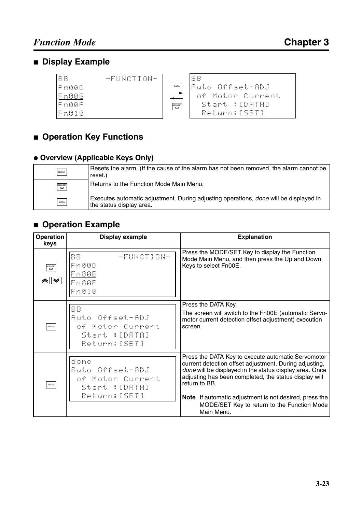# ■ **Display Example**

| <b>BB</b><br>-FUNCTION- |          | BB               |
|-------------------------|----------|------------------|
| IFn00D                  | DATA     | lAuto Offeet-ADJ |
| Fn00E                   |          | of Motor Current |
| Fn00F                   | MODE/SET | Start :[DATA]    |
| Fn010                   |          | Return:[56]      |

# ■ **Operation Key Functions**

### ● **Overview (Applicable Keys Only)**

| RESET    | Resets the alarm. (If the cause of the alarm has not been removed, the alarm cannot be<br>reset.)                        |
|----------|--------------------------------------------------------------------------------------------------------------------------|
| MODE/SET | Returns to the Function Mode Main Menu.                                                                                  |
| DATA     | Executes automatic adjustment. During adjusting operations, <i>done</i> will be displayed in<br>the status display area. |

# ■ **Operation Example**

| <b>Operation</b><br>keys | Display example                                                                   | <b>Explanation</b>                                                                                                                                                                                                                                                                                                 |
|--------------------------|-----------------------------------------------------------------------------------|--------------------------------------------------------------------------------------------------------------------------------------------------------------------------------------------------------------------------------------------------------------------------------------------------------------------|
| MODE/SET<br>≪ ∥ ≫        | BB.<br>-FUNCTION-<br>Fn00D<br>Fn00E<br>Fn00F<br>Fn010                             | Press the MODE/SET Key to display the Function<br>Mode Main Menu, and then press the Up and Down<br>Keys to select Fn00E.                                                                                                                                                                                          |
| DATA                     | <b>BB</b><br>Auto Offset-ADJ<br>of Motor Current<br>Start :[DATA]<br>Return:[SET] | Press the DATA Key.<br>The screen will switch to the Fn00E (automatic Servo-<br>motor current detection offset adjustment) execution<br>screen.                                                                                                                                                                    |
| DATA                     | done<br>Auto Offset-ADJ<br>of Motor Current<br>Start :[DATA]<br>Return:[SET]      | Press the DATA Key to execute automatic Servomotor<br>current detection offset adjustment. During adjusting,<br>done will be displayed in the status display area. Once<br>adjusting has been completed, the status display will<br>return to BB.<br><b>Note</b> If automatic adjustment is not desired, press the |
|                          |                                                                                   | MODE/SET Key to return to the Function Mode<br>Main Menu.                                                                                                                                                                                                                                                          |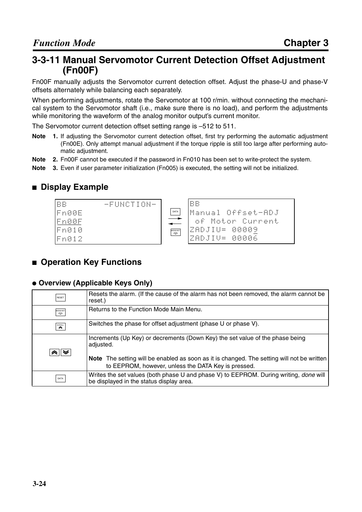# **3-3-11 Manual Servomotor Current Detection Offset Adjustment (Fn00F)**

Fn00F manually adjusts the Servomotor current detection offset. Adjust the phase-U and phase-V offsets alternately while balancing each separately.

When performing adjustments, rotate the Servomotor at 100 r/min. without connecting the mechanical system to the Servomotor shaft (i.e., make sure there is no load), and perform the adjustments while monitoring the waveform of the analog monitor output's current monitor.

The Servomotor current detection offset setting range is –512 to 511.

- **Note 1.** If adjusting the Servomotor current detection offset, first try performing the automatic adjustment (Fn00E). Only attempt manual adjustment if the torque ripple is still too large after performing automatic adjustment.
- **Note 2.** Fn00F cannot be executed if the password in Fn010 has been set to write-protect the system.
- **Note 3.** Even if user parameter initialization (Fn005) is executed, the setting will not be initialized.

#### ■ **Display Example**



#### ■ **Operation Key Functions**

#### ● **Overview (Applicable Keys Only)**

| RESET                                        | Resets the alarm. (If the cause of the alarm has not been removed, the alarm cannot be<br>reset.)                                                                                               |
|----------------------------------------------|-------------------------------------------------------------------------------------------------------------------------------------------------------------------------------------------------|
| MODE/SET<br>$\boldsymbol{\nabla}$            | Returns to the Function Mode Main Menu.                                                                                                                                                         |
| $\mathop{\mathrm{SCROL}}\limits_{\mathbb R}$ | Switches the phase for offset adjustment (phase U or phase V).                                                                                                                                  |
| $\mathbb{Q} \times \mathbb{R}$               | Increments (Up Key) or decrements (Down Key) the set value of the phase being<br>adjusted.<br><b>Note</b> The setting will be enabled as soon as it is changed. The setting will not be written |
|                                              | to EEPROM, however, unless the DATA Key is pressed.                                                                                                                                             |
| DATA                                         | Writes the set values (both phase U and phase V) to EEPROM. During writing, done will<br>be displayed in the status display area.                                                               |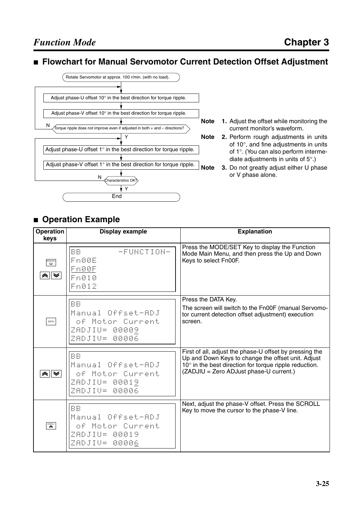#### ■ **Flowchart for Manual Servomotor Current Detection Offset Adjustment**



- **Note 1.** Adjust the offset while monitoring the current monitor's waveform.
- **Note 2.** Perform rough adjustments in units of 10°, and fine adjustments in units of 1°. (You can also perform intermediate adjustments in units of 5°.)
- **Note 3.** Do not greatly adjust either U phase or V phase alone.

# ■ **Operation Example**

| <b>Operation</b><br>keys                 | <b>Display example</b>                                                               | <b>Explanation</b>                                                                                                                                                                                                 |
|------------------------------------------|--------------------------------------------------------------------------------------|--------------------------------------------------------------------------------------------------------------------------------------------------------------------------------------------------------------------|
| MODE/SET<br>a∥ ≫                         | BB.<br>-FUNCTION-<br>Fn00E<br><u> En00F</u><br>Fn010<br>Fn012                        | Press the MODE/SET Key to display the Function<br>Mode Main Menu, and then press the Up and Down<br>Keys to select Fn00F.                                                                                          |
| DATA                                     | <b>BB</b><br>Manual Offset-ADJ<br>of Motor Current<br>ZADJIU= 00009<br>ZADJIV= 00006 | Press the DATA Key.<br>The screen will switch to the Fn00F (manual Servomo-<br>tor current detection offset adjustment) execution<br>screen.                                                                       |
| ⊗∥≫                                      | <b>BB</b><br>Manual Offset-ADJ<br>of Motor Current<br>ZADJIU= 00019<br>ZADJIV= 00006 | First of all, adjust the phase-U offset by pressing the<br>Up and Down Keys to change the offset unit. Adjust<br>10° in the best direction for torque ripple reduction.<br>(ZADJIU = Zero ADJust phase-U current.) |
| $\overbrace{\mathbf{R}}^{\text{SCROLL}}$ | <b>BB</b><br>Manual Offset-ADJ<br>of Motor Current<br>ZADJIU= 00019<br>ZADJIV= 00006 | Next, adjust the phase-V offset. Press the SCROLL<br>Key to move the cursor to the phase-V line.                                                                                                                   |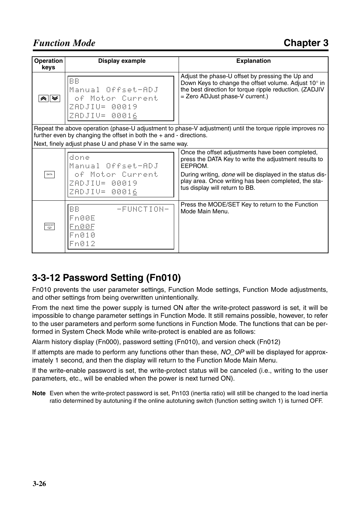| Operation<br>keys | Display example                                                                                                                                                                      | <b>Explanation</b>                                                                                                                                                                                                                                                          |  |  |
|-------------------|--------------------------------------------------------------------------------------------------------------------------------------------------------------------------------------|-----------------------------------------------------------------------------------------------------------------------------------------------------------------------------------------------------------------------------------------------------------------------------|--|--|
| ∧∥≫⊦              | <b>BB</b><br>Manual Offset-ADJ<br>of Motor Current<br>ZADJIU= 00019<br>ZADJIV= 00016                                                                                                 | Adjust the phase-U offset by pressing the Up and<br>Down Keys to change the offset volume. Adjust 10° in<br>the best direction for torque ripple reduction. (ZADJIV<br>= Zero ADJust phase-V current.)                                                                      |  |  |
|                   | Repeat the above operation (phase-U adjustment to phase-V adjustment) until the torque ripple improves no<br>further even by changing the offset in both the $+$ and $-$ directions. |                                                                                                                                                                                                                                                                             |  |  |
|                   | Next, finely adjust phase U and phase V in the same way.                                                                                                                             |                                                                                                                                                                                                                                                                             |  |  |
| DATA              | done<br>Manual Offset-ADJ<br>of Motor Current<br>ZADJIU= 00019<br>ZADJIV= 00016                                                                                                      | Once the offset adjustments have been completed,<br>press the DATA Key to write the adjustment results to<br>EEPROM.<br>During writing, done will be displayed in the status dis-<br>play area. Once writing has been completed, the sta-<br>tus display will return to BB. |  |  |
|                   |                                                                                                                                                                                      |                                                                                                                                                                                                                                                                             |  |  |
| MODE/SET          | BB.<br>-FUNCTION-<br>Fn00E<br>Fn00F<br>Fn010<br>Fn012                                                                                                                                | Press the MODE/SET Key to return to the Function<br>Mode Main Menu.                                                                                                                                                                                                         |  |  |

# **3-3-12 Password Setting (Fn010)**

Fn010 prevents the user parameter settings, Function Mode settings, Function Mode adjustments, and other settings from being overwritten unintentionally.

From the next time the power supply is turned ON after the write-protect password is set, it will be impossible to change parameter settings in Function Mode. It still remains possible, however, to refer to the user parameters and perform some functions in Function Mode. The functions that can be performed in System Check Mode while write-protect is enabled are as follows:

Alarm history display (Fn000), password setting (Fn010), and version check (Fn012)

If attempts are made to perform any functions other than these, *NO\_OP* will be displayed for approximately 1 second, and then the display will return to the Function Mode Main Menu.

If the write-enable password is set, the write-protect status will be canceled (i.e., writing to the user parameters, etc., will be enabled when the power is next turned ON).

**Note** Even when the write-protect password is set, Pn103 (inertia ratio) will still be changed to the load inertia ratio determined by autotuning if the online autotuning switch (function setting switch 1) is turned OFF.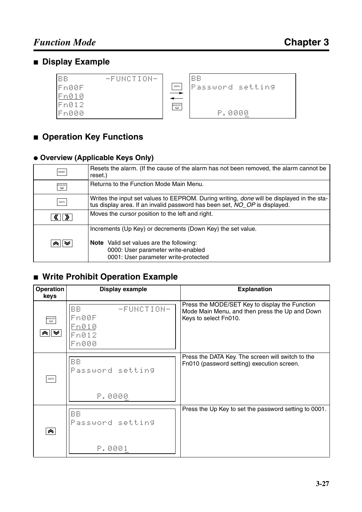# ■ **Display Example**

| lee    | -FUNCTION- |                       | BB               |
|--------|------------|-----------------------|------------------|
| lFn00F |            | DATA                  | Password setting |
| IFn010 |            |                       |                  |
| Fn012  |            | MODE/SET<br>$\varphi$ |                  |
| Fn000  |            |                       | 0000<br>p        |

# ■ **Operation Key Functions**

#### ● **Overview (Applicable Keys Only)**

| RESET                           | Resets the alarm. (If the cause of the alarm has not been removed, the alarm cannot be<br>reset.)                                                                              |
|---------------------------------|--------------------------------------------------------------------------------------------------------------------------------------------------------------------------------|
| MODE/SE<br>$\overline{\bullet}$ | Returns to the Function Mode Main Menu.                                                                                                                                        |
| DATA                            | Writes the input set values to EEPROM. During writing, <i>done</i> will be displayed in the sta-<br>tus display area. If an invalid password has been set, NO_OP is displayed. |
| »                               | Moves the cursor position to the left and right.                                                                                                                               |
|                                 | Increments (Up Key) or decrements (Down Key) the set value.                                                                                                                    |
| à∥≫                             | Note Valid set values are the following:                                                                                                                                       |
|                                 | 0000: User parameter write-enabled<br>0001: User parameter write-protected                                                                                                     |

# ■ **Write Prohibit Operation Example**

| <b>Operation</b><br>keys | Display example                                       | <b>Explanation</b>                                                                                                        |
|--------------------------|-------------------------------------------------------|---------------------------------------------------------------------------------------------------------------------------|
| MODE/SET<br>"≈∥≫         | BB.<br>-FUNCTION-<br>Fn00F<br>Fn010<br>Fn012<br>Fn000 | Press the MODE/SET Key to display the Function<br>Mode Main Menu, and then press the Up and Down<br>Keys to select Fn010. |
| DATA                     | BB<br>Password setting<br>P.0000                      | Press the DATA Key. The screen will switch to the<br>Fn010 (password setting) execution screen.                           |
| $\blacktriangle$         | BB<br>Password setting<br>P.0001                      | Press the Up Key to set the password setting to 0001.                                                                     |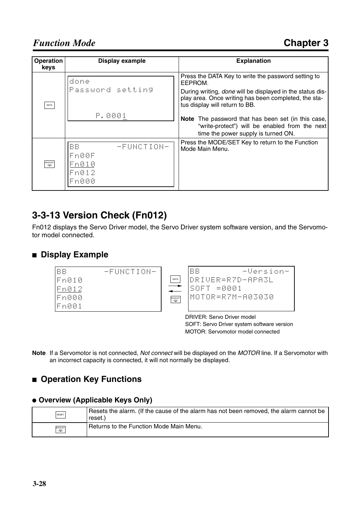| <b>Operation</b><br>keys | <b>Display example</b>  | <b>Explanation</b>                                                                                                                                         |
|--------------------------|-------------------------|------------------------------------------------------------------------------------------------------------------------------------------------------------|
|                          | done                    | Press the DATA Key to write the password setting to<br>EEPROM.                                                                                             |
| DATA                     | Password setting        | During writing, <i>done</i> will be displayed in the status dis-<br>play area. Once writing has been completed, the sta-<br>tus display will return to BB. |
|                          | P.0001                  | <b>Note</b> The password that has been set (in this case,                                                                                                  |
|                          |                         | "write-protect") will be enabled from the next<br>time the power supply is turned ON.                                                                      |
|                          | <b>BB</b><br>-FUNCTION- | Press the MODE/SET Key to return to the Function<br>Mode Main Menu.                                                                                        |
|                          | Fn00F                   |                                                                                                                                                            |
| MODE/SET                 | Fn010                   |                                                                                                                                                            |
|                          | Fn012                   |                                                                                                                                                            |
|                          | Fn000                   |                                                                                                                                                            |
|                          |                         |                                                                                                                                                            |

# **3-3-13 Version Check (Fn012)**

Fn012 displays the Servo Driver model, the Servo Driver system software version, and the Servomotor model connected.

#### ■ **Display Example**



DRIVER: Servo Driver model SOFT: Servo Driver system software version MOTOR: Servomotor model connected

**Note** If a Servomotor is not connected, *Not connect* will be displayed on the *MOTOR* line. If a Servomotor with an incorrect capacity is connected, it will not normally be displayed.

# ■ **Operation Key Functions**

#### ● **Overview (Applicable Keys Only)**

| RESET    | Resets the alarm. (If the cause of the alarm has not been removed, the alarm cannot be<br>reset.) |
|----------|---------------------------------------------------------------------------------------------------|
| MODE/SET | Returns to the Function Mode Main Menu.                                                           |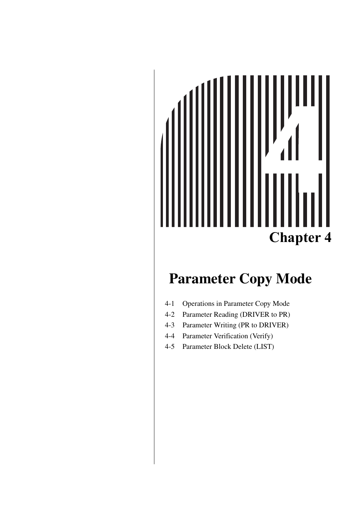# **Chapter 4**

# **Parameter Copy Mode**

- [4-1 Operations in Parameter Copy Mode](#page-72-0)
- [4-2 Parameter Reading \(DRIVER to PR\)](#page-74-0)
- [4-3 Parameter Writing \(PR to DRIVER\)](#page-77-0)
- [4-4 Parameter Verification \(Verify\)](#page-80-0)
- [4-5 Parameter Block Delete \(LIST\)](#page-83-0)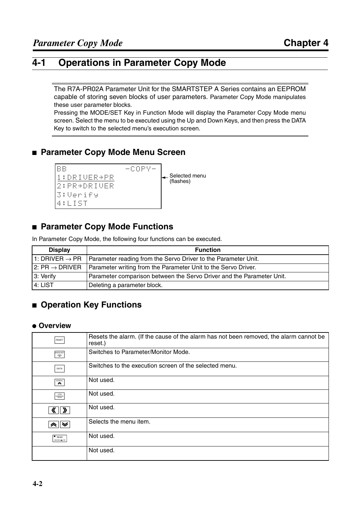#### **4-1 Operations in Parameter Copy Mode**

The R7A-PR02A Parameter Unit for the SMARTSTEP A Series contains an EEPROM capable of storing seven blocks of user parameters. Parameter Copy Mode manipulates these user parameter blocks.

Pressing the MODE/SET Key in Function Mode will display the Parameter Copy Mode menu screen. Select the menu to be executed using the Up and Down Keys, and then press the DATA Key to switch to the selected menu's execution screen.

#### ■ **Parameter Copy Mode Menu Screen**



#### ■ **Parameter Copy Mode Functions**

In Parameter Copy Mode, the following four functions can be executed.

| <b>Display</b>                          | <b>Function</b>                                                                             |
|-----------------------------------------|---------------------------------------------------------------------------------------------|
|                                         | 1: DRIVER $\rightarrow$ PR   Parameter reading from the Servo Driver to the Parameter Unit. |
| $\mathsf{I}$ 2: PR $\rightarrow$ DRIVER | Parameter writing from the Parameter Unit to the Servo Driver.                              |
| 3: Verify                               | Parameter comparison between the Servo Driver and the Parameter Unit.                       |
| 4: LIST                                 | Deleting a parameter block.                                                                 |

#### ■ **Operation Key Functions**

#### ● **Overview**

| RESET                                | Resets the alarm. (If the cause of the alarm has not been removed, the alarm cannot be<br>reset.) |
|--------------------------------------|---------------------------------------------------------------------------------------------------|
| MODE/SET<br>$\overline{\mathbf{P}}$  | Switches to Parameter/Monitor Mode.                                                               |
| DATA                                 | Switches to the execution screen of the selected menu.                                            |
| SCROLL<br>$\rightarrow$              | Not used.                                                                                         |
| JOG<br><b>RUN</b>                    | Not used.                                                                                         |
| $\rightarrow$                        | Not used.                                                                                         |
| ◚<br>❤                               | Selects the menu item.                                                                            |
| $\bullet$ READ<br>DRIVER <b>- PF</b> | Not used.                                                                                         |
|                                      | Not used.                                                                                         |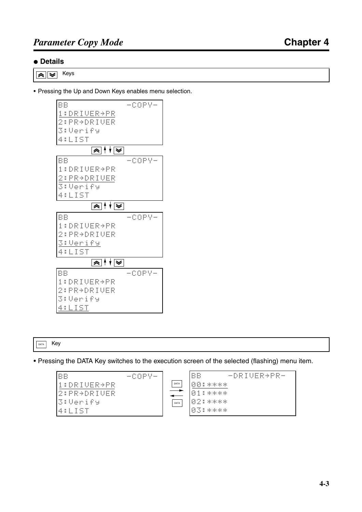#### ● **Details**

 $\sqrt{\approx}$  Keys

• Pressing the Up and Down Keys enables menu selection.



DATA Key

• Pressing the DATA Key switches to the execution screen of the selected (flashing) menu item.

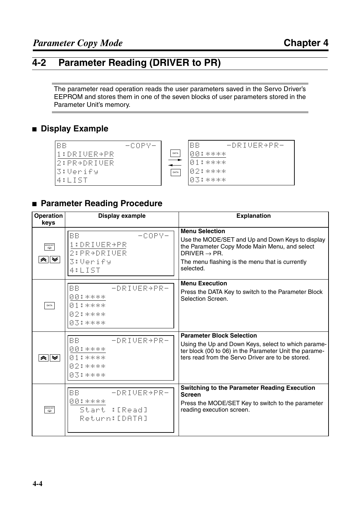#### **4-2 Parameter Reading (DRIVER to PR)**

The parameter read operation reads the user parameters saved in the Servo Driver's EEPROM and stores them in one of the seven blocks of user parameters stored in the Parameter Unit's memory.

#### ■ **Display Example**



#### ■ **Parameter Reading Procedure**

| <b>Operation</b><br>keys                  | <b>Display example</b>                                                | <b>Explanation</b>                                                                                                                                                                                                     |
|-------------------------------------------|-----------------------------------------------------------------------|------------------------------------------------------------------------------------------------------------------------------------------------------------------------------------------------------------------------|
| MODE/SET<br>$\boldsymbol{\varphi}$<br>"≈∥ | BB.<br>$-COPY-$<br>1:DRIVER+PR<br>2: PR+DRIUER<br>3:Verify<br>4:LIST  | <b>Menu Selection</b><br>Use the MODE/SET and Up and Down Keys to display<br>the Parameter Copy Mode Main Menu, and select<br>DRIVER $\rightarrow$ PR.<br>The menu flashing is the menu that is currently<br>selected. |
| DATA                                      | $-DRIUER+PR-$<br>BB.<br>国国王米米米米<br>图索米米米米<br>02:****<br>03:****       | <b>Menu Execution</b><br>Press the DATA Key to switch to the Parameter Block<br>Selection Screen.                                                                                                                      |
| à∥≫                                       | BB.<br>-DRIUER+PR-<br>国国王米米米米<br>图索音乐乐乐乐<br><b>图2:米米米米</b><br>图图音乐乐乐乐 | <b>Parameter Block Selection</b><br>Using the Up and Down Keys, select to which parame-<br>ter block (00 to 06) in the Parameter Unit the parame-<br>ters read from the Servo Driver are to be stored.                 |
| MODE/SET                                  | BB.<br>-DRIUER→PR-<br>图图是米米米米<br>Start : [Read]<br>Return:[DATA]      | <b>Switching to the Parameter Reading Execution</b><br><b>Screen</b><br>Press the MODE/SET Key to switch to the parameter<br>reading execution screen.                                                                 |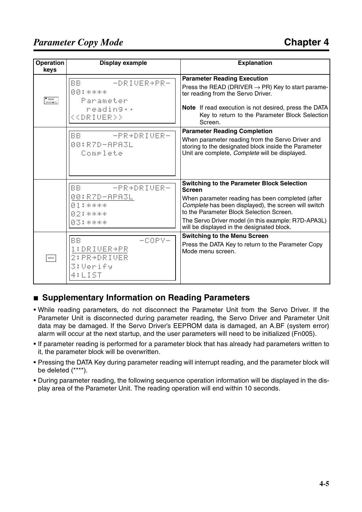#### *Parameter Copy Mode*

| Operation<br>keys             | <b>Display example</b>                                                           | <b>Explanation</b>                                                                                                                                                                                                                                                                                                              |
|-------------------------------|----------------------------------------------------------------------------------|---------------------------------------------------------------------------------------------------------------------------------------------------------------------------------------------------------------------------------------------------------------------------------------------------------------------------------|
| $\bullet$ READ<br>DRIVER + PF | BB.<br>-DRIUER+PR-<br>图图是米米米米<br>Parameter<br>reading<br>< <driver>&gt;</driver> | <b>Parameter Reading Execution</b><br>Press the READ (DRIVER $\rightarrow$ PR) Key to start parame-<br>ter reading from the Servo Driver.<br>Note If read execution is not desired, press the DATA<br>Key to return to the Parameter Block Selection<br>Screen.                                                                 |
|                               | BB.<br>-PR+DRIVER-<br>00:R7D-APA3L<br>Complete                                   | <b>Parameter Reading Completion</b><br>When parameter reading from the Servo Driver and<br>storing to the designated block inside the Parameter<br>Unit are complete, Complete will be displayed.                                                                                                                               |
|                               | <b>BB</b><br>-PR+DRIUER-<br>00:R7D-APA3L<br>图重音米米米米<br>02:****<br>83:****        | <b>Switching to the Parameter Block Selection</b><br><b>Screen</b><br>When parameter reading has been completed (after<br>Complete has been displayed), the screen will switch<br>to the Parameter Block Selection Screen.<br>The Servo Driver model (in this example: R7D-APA3L)<br>will be displayed in the designated block. |
| DATA                          | <b>BB</b><br>-COPY-<br>1:DRIUER+PR<br>2: PR+DRIUER<br><b>3:Verify</b><br>4:LIST  | <b>Switching to the Menu Screen</b><br>Press the DATA Key to return to the Parameter Copy<br>Mode menu screen.                                                                                                                                                                                                                  |

#### ■ Supplementary Information on Reading Parameters

- While reading parameters, do not disconnect the Parameter Unit from the Servo Driver. If the Parameter Unit is disconnected during parameter reading, the Servo Driver and Parameter Unit data may be damaged. If the Servo Driver's EEPROM data is damaged, an A.BF (system error) alarm will occur at the next startup, and the user parameters will need to be initialized (Fn005).
- If parameter reading is performed for a parameter block that has already had parameters written to it, the parameter block will be overwritten.
- Pressing the DATA Key during parameter reading will interrupt reading, and the parameter block will be deleted (\*\*\*\*).
- During parameter reading, the following sequence operation information will be displayed in the display area of the Parameter Unit. The reading operation will end within 10 seconds.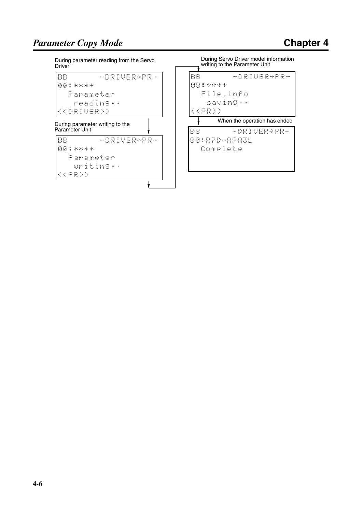During parameter reading from the Servo **Driver** 

BB -DRIVER+PR-00:\*\*\*\* Parameter reading%% <<DRIVER>> During parameter writing to the Parameter Unit  $\mathbf{r}$ 

| BB |  |               |  |  |  | $-DRIUER+PR-$ |  |  |  |  |
|----|--|---------------|--|--|--|---------------|--|--|--|--|
|    |  | 00:****       |  |  |  |               |  |  |  |  |
|    |  | Parameter     |  |  |  |               |  |  |  |  |
|    |  |               |  |  |  | writing       |  |  |  |  |
|    |  | $ <$ cpr $>>$ |  |  |  |               |  |  |  |  |
|    |  |               |  |  |  |               |  |  |  |  |

During Servo Driver model information writing to the Parameter Unit



Complete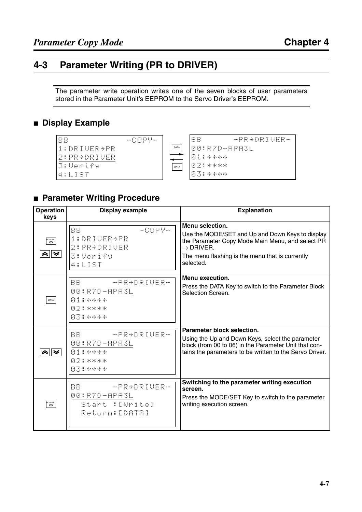#### **4-3 Parameter Writing (PR to DRIVER)**

The parameter write operation writes one of the seven blocks of user parameters stored in the Parameter Unit's EEPROM to the Servo Driver's EEPROM.

#### ■ **Display Example**



#### ■ **Parameter Writing Procedure**

| <b>Operation</b><br>keys | <b>Display example</b>                                                     | <b>Explanation</b>                                                                                                                                                                                               |
|--------------------------|----------------------------------------------------------------------------|------------------------------------------------------------------------------------------------------------------------------------------------------------------------------------------------------------------|
| MODE/SET<br>무            | <b>BB</b><br>$-COPY-$<br>1:DRIUER+PR<br>2: PR→DRIVER<br>3:Verify<br>4:LIST | Menu selection.<br>Use the MODE/SET and Up and Down Keys to display<br>the Parameter Copy Mode Main Menu, and select PR<br>$\rightarrow$ DRIVER.<br>The menu flashing is the menu that is currently<br>selected. |
| DATA                     | -PR+DRIVER-<br>BB.<br>00:R7D-APA3L<br>图索米米米米<br>02:****<br>03:****         | Menu execution.<br>Press the DATA Key to switch to the Parameter Block<br>Selection Screen.                                                                                                                      |
|                          | BB.<br>-PR+DRIUER-<br>00:R7D-APA3L<br>图索音乐乐乐乐<br>02:****<br>83:****        | Parameter block selection.<br>Using the Up and Down Keys, select the parameter<br>block (from 00 to 06) in the Parameter Unit that con-<br>tains the parameters to be written to the Servo Driver.               |
| mode/SET<br>국            | BB.<br>- PR→DRIUER-<br>00:R7D-APA3L<br>Start : [Write]<br>Return: [DATA]   | Switching to the parameter writing execution<br>screen.<br>Press the MODE/SET Key to switch to the parameter<br>writing execution screen.                                                                        |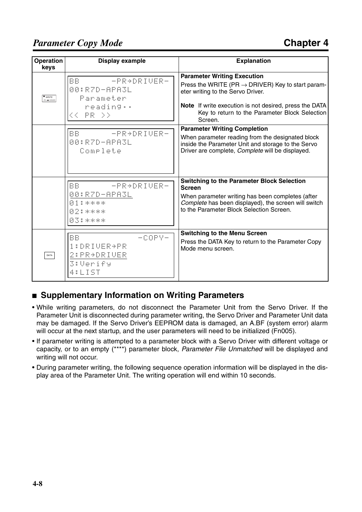#### *Parameter Copy Mode*

| <b>Operation</b><br>keys | <b>Display example</b>                                                       | <b>Explanation</b>                                                                                                                                                                                                                                              |
|--------------------------|------------------------------------------------------------------------------|-----------------------------------------------------------------------------------------------------------------------------------------------------------------------------------------------------------------------------------------------------------------|
| WRITE<br>R - DRIVER      | <b>BB</b><br>-PR+DRIUER-<br>00:R7D-APA3L<br>Parameter<br>reading<br>KK PR DD | <b>Parameter Writing Execution</b><br>Press the WRITE (PR $\rightarrow$ DRIVER) Key to start param-<br>eter writing to the Servo Driver.<br>Note If write execution is not desired, press the DATA<br>Key to return to the Parameter Block Selection<br>Screen. |
|                          | BB.<br>- PRADRIUER-<br>00:R7D-APA3L<br>Complete                              | <b>Parameter Writing Completion</b><br>When parameter reading from the designated block<br>inside the Parameter Unit and storage to the Servo<br>Driver are complete, Complete will be displayed.                                                               |
|                          | BB.<br>-PR+DRIVER-<br>00:R7D <u>-APA3L</u><br>图索尔米米米<br>图2:18米米米<br>招落音乐乐乐乐  | <b>Switching to the Parameter Block Selection</b><br><b>Screen</b><br>When parameter writing has been completes (after<br>Complete has been displayed), the screen will switch<br>to the Parameter Block Selection Screen.                                      |
| DATA                     | BB<br>-COPY-<br>1:DRIUER+PR<br>2: PR+DRIVER<br>3:Verify<br>4:LIST            | <b>Switching to the Menu Screen</b><br>Press the DATA Key to return to the Parameter Copy<br>Mode menu screen.                                                                                                                                                  |

#### ■ **Supplementary Information on Writing Parameters**

- While writing parameters, do not disconnect the Parameter Unit from the Servo Driver. If the Parameter Unit is disconnected during parameter writing, the Servo Driver and Parameter Unit data may be damaged. If the Servo Driver's EEPROM data is damaged, an A.BF (system error) alarm will occur at the next startup, and the user parameters will need to be initialized (Fn005).
- If parameter writing is attempted to a parameter block with a Servo Driver with different voltage or capacity, or to an empty (\*\*\*\*) parameter block, *Parameter File Unmatched* will be displayed and writing will not occur.
- During parameter writing, the following sequence operation information will be displayed in the display area of the Parameter Unit. The writing operation will end within 10 seconds.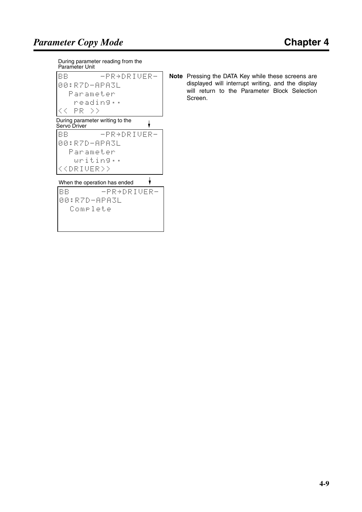During parameter reading from the Parameter Unit

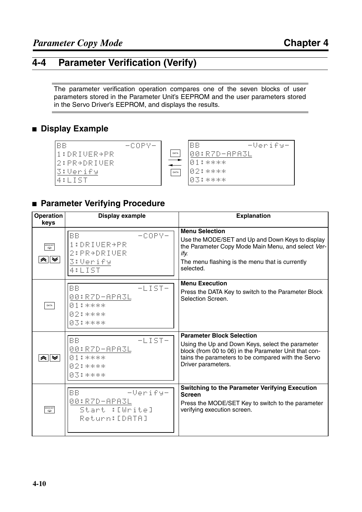#### **4-4 Parameter Verification (Verify)**

The parameter verification operation compares one of the seven blocks of user parameters stored in the Parameter Unit's EEPROM and the user parameters stored in the Servo Driver's EEPROM, and displays the results.

#### ■ **Display Example**

| BB                  | $-COPY-$ |      | BB           | -Verify- |
|---------------------|----------|------|--------------|----------|
| 1:DRIUER+PR         |          | DATA | 00:R7D-APA3L |          |
| 2:PR→DRIVER         |          |      | 国重音乐乐乐乐      |          |
| G:Verify            |          | DATA | 102:****     |          |
| 411<br>$\mathbf{1}$ |          |      | 03:****      |          |

#### ■ **Parameter Verifying Procedure**

| <b>Operation</b><br>keys                  | <b>Display example</b>                                                            | <b>Explanation</b>                                                                                                                                                                                                        |
|-------------------------------------------|-----------------------------------------------------------------------------------|---------------------------------------------------------------------------------------------------------------------------------------------------------------------------------------------------------------------------|
| MODE/SET<br>$\boldsymbol{\varphi}$<br>*∥≫ | <b>BB</b><br>$-COPY-$<br>1:DRIUER+PR<br>2: PR+DRIUER<br><b>3:Verify</b><br>4:LIST | <b>Menu Selection</b><br>Use the MODE/SET and Up and Down Keys to display<br>the Parameter Copy Mode Main Menu, and select Ver-<br>ify.<br>The menu flashing is the menu that is currently<br>selected.                   |
| DATA                                      | BB<br>$-LIST-$<br>00:R7D-APA3L<br>图索尔米米米<br>02:****<br>03:****                    | <b>Menu Execution</b><br>Press the DATA Key to switch to the Parameter Block<br>Selection Screen.                                                                                                                         |
| "≈∥≫                                      | <b>BB</b><br>$-LIST-$<br>00:R7D-APA3L<br>图索尔米米米<br><b>02:****</b><br>图图音乐乐乐乐      | <b>Parameter Block Selection</b><br>Using the Up and Down Keys, select the parameter<br>block (from 00 to 06) in the Parameter Unit that con-<br>tains the parameters to be compared with the Servo<br>Driver parameters. |
| MODE/SET<br>무                             | <b>BB</b><br>-Verify-<br>00:R7D-APA3L<br>Start :[Urite]<br>Return: [DATA]         | <b>Switching to the Parameter Verifying Execution</b><br><b>Screen</b><br>Press the MODE/SET Key to switch to the parameter<br>verifying execution screen.                                                                |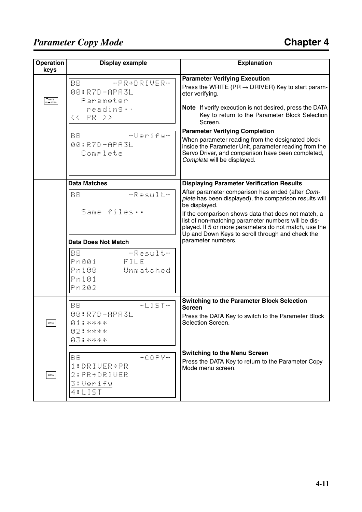#### *Parameter Copy Mode*

| <b>Operation</b><br>keys                    | <b>Display example</b>                                                     | <b>Explanation</b>                                                                                                                                                                                                                     |
|---------------------------------------------|----------------------------------------------------------------------------|----------------------------------------------------------------------------------------------------------------------------------------------------------------------------------------------------------------------------------------|
| $\bullet_{\text{WRITE}}$<br><b>B</b> DRIVER | <b>BB</b><br>-PR+DRIUER-<br>00:R7D-APA3L<br>Parameter<br>reading           | <b>Parameter Verifying Execution</b><br>Press the WRITE (PR $\rightarrow$ DRIVER) Key to start param-<br>eter verifying.<br>Note If verify execution is not desired, press the DATA                                                    |
|                                             | << PR >>                                                                   | Key to return to the Parameter Block Selection<br>Screen.                                                                                                                                                                              |
|                                             | <b>BB</b><br>-Verify-<br>00:R7D-APA3L<br>Comrlete                          | <b>Parameter Verifying Completion</b><br>When parameter reading from the designated block<br>inside the Parameter Unit, parameter reading from the<br>Servo Driver, and comparison have been completed,<br>Complete will be displayed. |
|                                             | <b>Data Matches</b>                                                        | <b>Displaying Parameter Verification Results</b>                                                                                                                                                                                       |
|                                             | -Result-<br><b>BB</b>                                                      | After parameter comparison has ended (after Com-<br>plete has been displayed), the comparison results will<br>be displayed.                                                                                                            |
|                                             | Same files                                                                 | If the comparison shows data that does not match, a<br>list of non-matching parameter numbers will be dis-<br>played. If 5 or more parameters do not match, use the<br>Up and Down Keys to scroll through and check the                |
|                                             | <b>Data Does Not Match</b>                                                 | parameter numbers.                                                                                                                                                                                                                     |
|                                             | -Result-<br>BB.<br>FILE<br>Pn001<br>Pn100<br>Unmatched<br>Pn101<br>Pn202   |                                                                                                                                                                                                                                        |
|                                             | $-LIST-$<br>BB.                                                            | <b>Switching to the Parameter Block Selection</b>                                                                                                                                                                                      |
| DATA                                        | 00:R7D-APA3L<br>图索尔米米米<br>图2:1 米米米米<br>03:****                             | <b>Screen</b><br>Press the DATA Key to switch to the Parameter Block<br>Selection Screen.                                                                                                                                              |
| DATA                                        | <b>BB</b><br>$-COPY-$<br>1:DRIUER+PR<br>2: PR+DRIUER<br>3:Verify<br>4:LIST | <b>Switching to the Menu Screen</b><br>Press the DATA Key to return to the Parameter Copy<br>Mode menu screen.                                                                                                                         |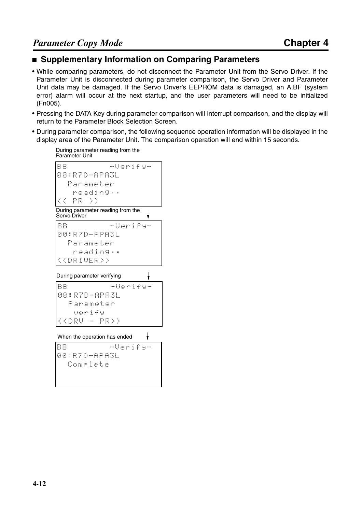#### ■ Supplementary Information on Comparing Parameters

- While comparing parameters, do not disconnect the Parameter Unit from the Servo Driver. If the Parameter Unit is disconnected during parameter comparison, the Servo Driver and Parameter Unit data may be damaged. If the Servo Driver's EEPROM data is damaged, an A.BF (system error) alarm will occur at the next startup, and the user parameters will need to be initialized (Fn005).
- Pressing the DATA Key during parameter comparison will interrupt comparison, and the display will return to the Parameter Block Selection Screen.
- During parameter comparison, the following sequence operation information will be displayed in the display area of the Parameter Unit. The comparison operation will end within 15 seconds.

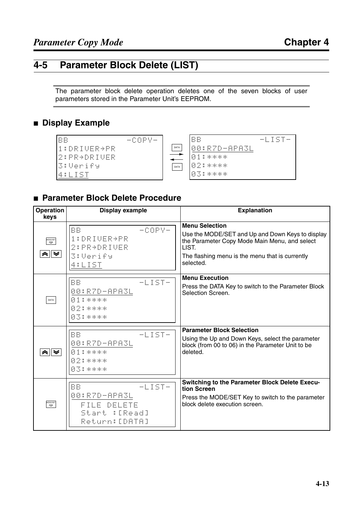#### **4-5 Parameter Block Delete (LIST)**

The parameter block delete operation deletes one of the seven blocks of user parameters stored in the Parameter Unit's EEPROM.

#### ■ **Display Example**



#### ■ **Parameter Block Delete Procedure**

| <b>Operation</b><br>keys | <b>Display example</b>                                                                  | <b>Explanation</b>                                                                                                                                                                                  |
|--------------------------|-----------------------------------------------------------------------------------------|-----------------------------------------------------------------------------------------------------------------------------------------------------------------------------------------------------|
| MODE/SET<br>" ∥ ≫        | <b>BB</b><br>$-COPY-$<br>1:DRIUER+PR<br>$2:PRE+DEIUER$<br>3:Verify<br>4:LIST            | <b>Menu Selection</b><br>Use the MODE/SET and Up and Down Keys to display<br>the Parameter Copy Mode Main Menu, and select<br>LIST.<br>The flashing menu is the menu that is currently<br>selected. |
| DATA                     | <b>BB</b><br>$-LIST-$<br>00:R7D-APA3L<br>图索尔米米米<br>02:****<br>03:****                   | <b>Menu Execution</b><br>Press the DATA Key to switch to the Parameter Block<br>Selection Screen.                                                                                                   |
|                          | $-LIST-$<br><b>BB</b><br>00:R7D-APA3L<br>图索音乐乐乐乐<br>02:****<br>83:****                  | <b>Parameter Block Selection</b><br>Using the Up and Down Keys, select the parameter<br>block (from 00 to 06) in the Parameter Unit to be<br>deleted.                                               |
| MODE/SET<br>CO           | <b>BB</b><br>$-LIST-$<br>00:R7D-APA3L<br>FILE DELETE<br>Start :[Read]<br>Return: [DATA] | <b>Switching to the Parameter Block Delete Execu-</b><br>tion Screen<br>Press the MODE/SET Key to switch to the parameter<br>block delete execution screen.                                         |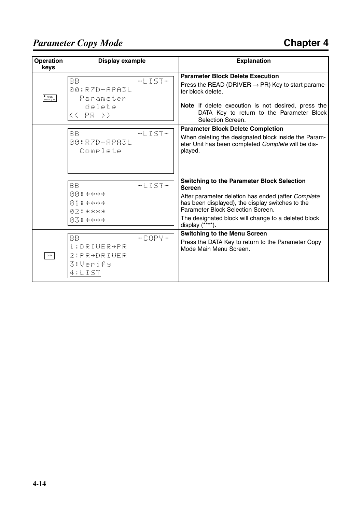#### *Parameter Copy Mode*

| <b>Operation</b><br>keys      | Display example                                                  |          | <b>Explanation</b>                                                                                                                                                                                                                                                                          |
|-------------------------------|------------------------------------------------------------------|----------|---------------------------------------------------------------------------------------------------------------------------------------------------------------------------------------------------------------------------------------------------------------------------------------------|
| $\bullet$ READ<br>DRIVER = PR | <b>BB</b><br>00:R7D-APA3L<br>Parameter<br>delete<br>$<<$ PR $>>$ | $-LIST-$ | <b>Parameter Block Delete Execution</b><br>Press the READ (DRIVER $\rightarrow$ PR) Key to start parame-<br>ter block delete.<br>Note If delete execution is not desired, press the<br>DATA Key to return to the Parameter Block<br>Selection Screen.                                       |
|                               | <b>BB</b><br>00:R7D-APA3L<br>Complete                            | $-LIST-$ | <b>Parameter Block Delete Completion</b><br>When deleting the designated block inside the Param-<br>eter Unit has been completed Complete will be dis-<br>played.                                                                                                                           |
|                               | <b>BB</b><br>图图是米米米米<br>图索尔米米米<br>图2:米米米米<br>图图音乐乐乐乐             | $-LIST-$ | <b>Switching to the Parameter Block Selection</b><br><b>Screen</b><br>After parameter deletion has ended (after Complete<br>has been displayed), the display switches to the<br>Parameter Block Selection Screen.<br>The designated block will change to a deleted block<br>display (****). |
| DATA                          | BB<br>1:DRIUER+PR<br>2: PR+DRIVER<br>3:Verify<br>4:LIST          | -copy-   | <b>Switching to the Menu Screen</b><br>Press the DATA Key to return to the Parameter Copy<br>Mode Main Menu Screen.                                                                                                                                                                         |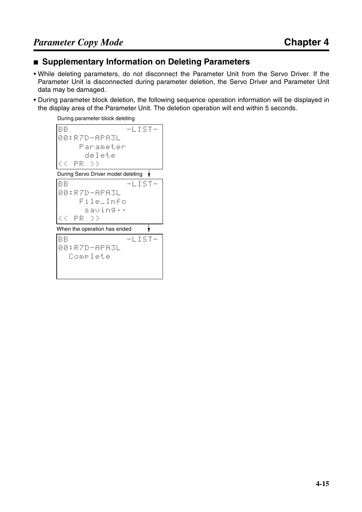#### ■ **Supplementary Information on Deleting Parameters**

- While deleting parameters, do not disconnect the Parameter Unit from the Servo Driver. If the Parameter Unit is disconnected during parameter deletion, the Servo Driver and Parameter Unit data may be damaged.
- During parameter block deletion, the following sequence operation information will be displayed in the display area of the Parameter Unit. The deletion operation will end within 5 seconds.

During parameter block deleting

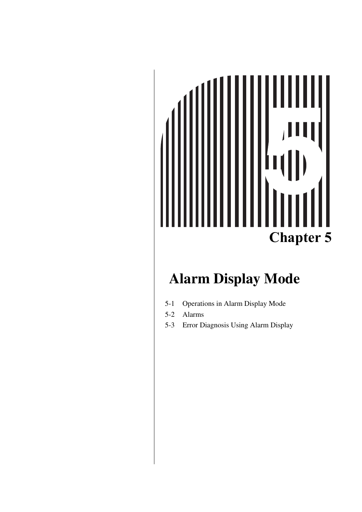# **Chapter 5**

#### **Alarm Display Mode**

- [5-1 Operations in Alarm Display Mode](#page-88-0)
- [5-2 Alarms](#page-90-0)
- [5-3 Error Diagnosis Using Alarm Display](#page-92-0)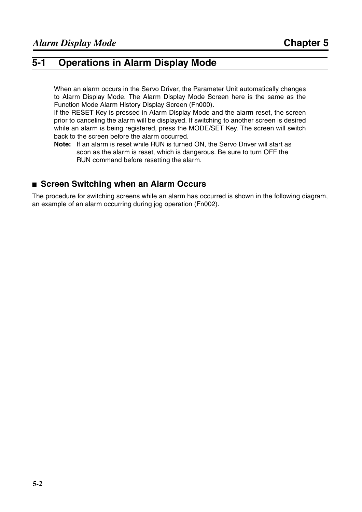#### <span id="page-88-0"></span>**5-1 Operations in Alarm Display Mode**

When an alarm occurs in the Servo Driver, the Parameter Unit automatically changes to Alarm Display Mode. The Alarm Display Mode Screen here is the same as the Function Mode Alarm History Display Screen (Fn000).

If the RESET Key is pressed in Alarm Display Mode and the alarm reset, the screen prior to canceling the alarm will be displayed. If switching to another screen is desired while an alarm is being registered, press the MODE/SET Key. The screen will switch back to the screen before the alarm occurred.

**Note:** If an alarm is reset while RUN is turned ON, the Servo Driver will start as soon as the alarm is reset, which is dangerous. Be sure to turn OFF the RUN command before resetting the alarm.

#### ■ **Screen Switching when an Alarm Occurs**

The procedure for switching screens while an alarm has occurred is shown in the following diagram, an example of an alarm occurring during jog operation (Fn002).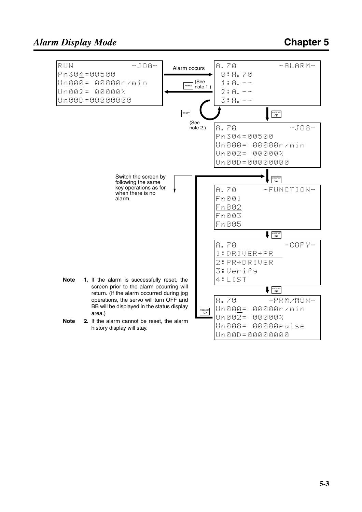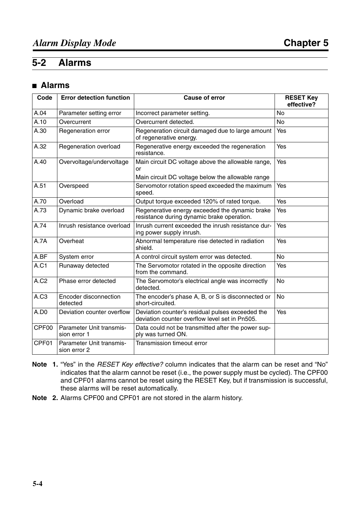#### <span id="page-90-0"></span>**5-2 Alarms**

#### ■ **Alarms**

| Code             | <b>Error detection function</b>          | <b>Cause of error</b>                                                                                         | <b>RESET Key</b><br>effective? |  |  |  |
|------------------|------------------------------------------|---------------------------------------------------------------------------------------------------------------|--------------------------------|--|--|--|
| A.04             | Parameter setting error                  | Incorrect parameter setting.                                                                                  | <b>No</b>                      |  |  |  |
| A.10             | Overcurrent                              | Overcurrent detected.                                                                                         |                                |  |  |  |
| A.30             | Regeneration error                       | Regeneration circuit damaged due to large amount<br>of regenerative energy.                                   | Yes                            |  |  |  |
| A.32             | Regeneration overload                    | Regenerative energy exceeded the regeneration<br>resistance.                                                  | Yes                            |  |  |  |
| A.40             | Overvoltage/undervoltage                 | Main circuit DC voltage above the allowable range,<br>or<br>Main circuit DC voltage below the allowable range | Yes                            |  |  |  |
| A.51             | Overspeed                                | Yes                                                                                                           |                                |  |  |  |
| A.70             | Overload                                 | Output torque exceeded 120% of rated torque.                                                                  |                                |  |  |  |
| A.73             | Dynamic brake overload                   | Yes                                                                                                           |                                |  |  |  |
| A.74             | Inrush resistance overload               | Inrush current exceeded the inrush resistance dur-<br>ing power supply inrush.                                | Yes                            |  |  |  |
| A.7A             | Overheat                                 | Abnormal temperature rise detected in radiation<br>shield.                                                    | Yes                            |  |  |  |
| A.BF             | System error                             | A control circuit system error was detected.                                                                  | <b>No</b>                      |  |  |  |
| <b>A.C1</b>      | Runaway detected                         | The Servomotor rotated in the opposite direction<br>from the command.                                         | Yes                            |  |  |  |
| A.C <sub>2</sub> | Phase error detected                     | The Servomotor's electrical angle was incorrectly<br>detected.                                                | <b>No</b>                      |  |  |  |
| A.C3             | Encoder disconnection<br>detected        | The encoder's phase A, B, or S is disconnected or<br>short-circuited.                                         | <b>No</b>                      |  |  |  |
| A.DO             | Deviation counter overflow               | Deviation counter's residual pulses exceeded the<br>deviation counter overflow level set in Pn505.            | Yes                            |  |  |  |
| CPF00            | Parameter Unit transmis-<br>sion error 1 | Data could not be transmitted after the power sup-<br>ply was turned ON.                                      |                                |  |  |  |
| CPF01            | Parameter Unit transmis-<br>sion error 2 | Transmission timeout error                                                                                    |                                |  |  |  |

- **Note 1.** "Yes" in the *RESET Key effective?* column indicates that the alarm can be reset and "No" indicates that the alarm cannot be reset (i.e., the power supply must be cycled). The CPF00 and CPF01 alarms cannot be reset using the RESET Key, but if transmission is successful, these alarms will be reset automatically.
- **Note 2.** Alarms CPF00 and CPF01 are not stored in the alarm history.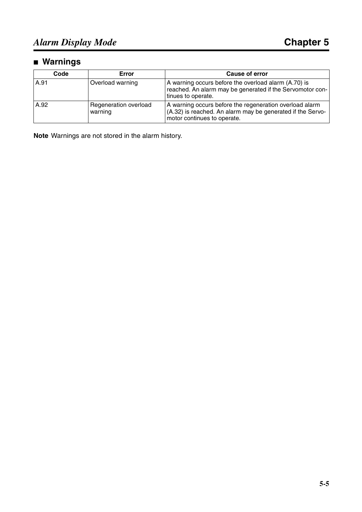#### ■ **Warnings**

| Code | Error                            | <b>Cause of error</b>                                                                                                                                |
|------|----------------------------------|------------------------------------------------------------------------------------------------------------------------------------------------------|
| A.91 | Overload warning                 | A warning occurs before the overload alarm (A.70) is<br>reached. An alarm may be generated if the Servomotor con-<br>tinues to operate.              |
| A.92 | Regeneration overload<br>warning | A warning occurs before the regeneration overload alarm<br>(A.32) is reached. An alarm may be generated if the Servo-<br>motor continues to operate. |

**Note** Warnings are not stored in the alarm history.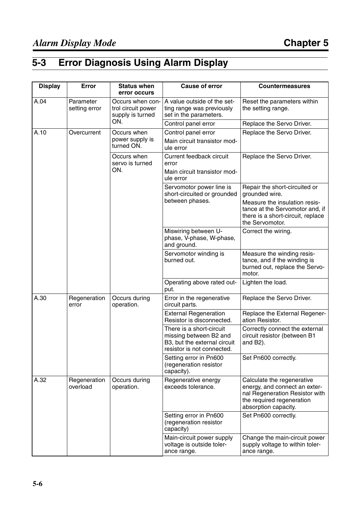#### <span id="page-92-0"></span>**5-3 Error Diagnosis Using Alarm Display**

| <b>Display</b> | Error                      | <b>Status when</b><br>error occurs                         | <b>Cause of error</b>                                                                                            | <b>Countermeasures</b>                                                                                                                             |
|----------------|----------------------------|------------------------------------------------------------|------------------------------------------------------------------------------------------------------------------|----------------------------------------------------------------------------------------------------------------------------------------------------|
| A.04           | Parameter<br>setting error | Occurs when con-<br>trol circuit power<br>supply is turned | A value outside of the set-<br>ting range was previously<br>set in the parameters.                               | Reset the parameters within<br>the setting range.                                                                                                  |
|                |                            | ON.                                                        | Control panel error                                                                                              | Replace the Servo Driver.                                                                                                                          |
| A.10           | Overcurrent                | Occurs when<br>power supply is<br>turned ON.               | Control panel error<br>Main circuit transistor mod-<br>ule error                                                 | Replace the Servo Driver.                                                                                                                          |
|                |                            | Occurs when<br>servo is turned<br>ON.                      | Current feedback circuit<br>error<br>Main circuit transistor mod-                                                | Replace the Servo Driver.                                                                                                                          |
|                |                            |                                                            | ule error                                                                                                        |                                                                                                                                                    |
|                |                            |                                                            | Servomotor power line is<br>short-circuited or grounded                                                          | Repair the short-circuited or<br>grounded wire.                                                                                                    |
|                |                            |                                                            | between phases.                                                                                                  | Measure the insulation resis-<br>tance at the Servomotor and, if<br>there is a short-circuit, replace<br>the Servomotor.                           |
|                |                            |                                                            | Miswiring between U-<br>phase, V-phase, W-phase,<br>and ground.                                                  | Correct the wiring.                                                                                                                                |
|                |                            |                                                            | Servomotor winding is<br>burned out.                                                                             | Measure the winding resis-<br>tance, and if the winding is<br>burned out, replace the Servo-<br>motor.                                             |
|                |                            |                                                            | Operating above rated out-<br>put.                                                                               | Lighten the load.                                                                                                                                  |
| A.30           | Regeneration<br>error      | Occurs during<br>operation.                                | Error in the regenerative<br>circuit parts.                                                                      | Replace the Servo Driver.                                                                                                                          |
|                |                            |                                                            | <b>External Regeneration</b><br>Resistor is disconnected.                                                        | Replace the External Regener-<br>ation Resistor.                                                                                                   |
|                |                            |                                                            | There is a short-circuit<br>missing between B2 and<br>B3, but the external circuit<br>resistor is not connected. | Correctly connect the external<br>circuit resistor (between B1<br>and $B2$ ).                                                                      |
|                |                            |                                                            | Setting error in Pn600<br>(regeneration resistor<br>capacity).                                                   | Set Pn600 correctly.                                                                                                                               |
| A.32           | Regeneration<br>overload   | Occurs during<br>operation.                                | Regenerative energy<br>exceeds tolerance.                                                                        | Calculate the regenerative<br>energy, and connect an exter-<br>nal Regeneration Resistor with<br>the required regeneration<br>absorption capacity. |
|                |                            |                                                            | Setting error in Pn600<br>(regeneration resistor<br>capacity)                                                    | Set Pn600 correctly.                                                                                                                               |
|                |                            |                                                            | Main-circuit power supply<br>voltage is outside toler-<br>ance range.                                            | Change the main-circuit power<br>supply voltage to within toler-<br>ance range.                                                                    |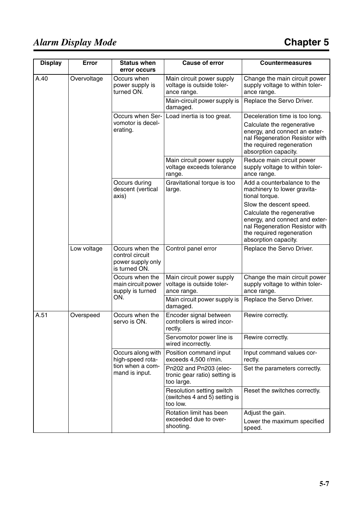| <b>Display</b> | Error       | <b>Status when</b><br>error occurs                                       | <b>Cause of error</b>                                                  | <b>Countermeasures</b>                                                                                                                              |  |  |
|----------------|-------------|--------------------------------------------------------------------------|------------------------------------------------------------------------|-----------------------------------------------------------------------------------------------------------------------------------------------------|--|--|
| A.40           | Overvoltage | Occurs when<br>power supply is<br>turned ON.                             | Main circuit power supply<br>voltage is outside toler-<br>ance range.  | Change the main circuit power<br>supply voltage to within toler-<br>ance range.                                                                     |  |  |
|                |             |                                                                          | Main-circuit power supply is<br>damaged.                               | Replace the Servo Driver.                                                                                                                           |  |  |
|                |             | Occurs when Ser-                                                         | Load inertia is too great.                                             | Deceleration time is too long.                                                                                                                      |  |  |
|                |             | vomotor is decel-<br>erating.                                            |                                                                        | Calculate the regenerative<br>energy, and connect an exter-<br>nal Regeneration Resistor with<br>the required regeneration<br>absorption capacity.  |  |  |
|                |             |                                                                          | Main circuit power supply<br>voltage exceeds tolerance<br>range.       | Reduce main circuit power<br>supply voltage to within toler-<br>ance range.                                                                         |  |  |
|                |             | Occurs during<br>descent (vertical<br>axis)                              | Gravitational torque is too<br>large.                                  | Add a counterbalance to the<br>machinery to lower gravita-<br>tional torque.                                                                        |  |  |
|                |             |                                                                          |                                                                        | Slow the descent speed.                                                                                                                             |  |  |
|                |             |                                                                          |                                                                        | Calculate the regenerative<br>energy, and connect and exter-<br>nal Regeneration Resistor with<br>the required regeneration<br>absorption capacity. |  |  |
|                | Low voltage | Occurs when the<br>control circuit<br>power supply only<br>is turned ON. | Control panel error                                                    | Replace the Servo Driver.                                                                                                                           |  |  |
|                |             | Occurs when the<br>main circuit power<br>supply is turned                | Main circuit power supply<br>voltage is outside toler-<br>ance range.  | Change the main circuit power<br>supply voltage to within toler-<br>ance range.                                                                     |  |  |
|                |             | ON.                                                                      | Main circuit power supply is<br>damaged.                               | Replace the Servo Driver.                                                                                                                           |  |  |
| A.51           | Overspeed   | Occurs when the<br>servo is ON.                                          | Encoder signal between<br>controllers is wired incor-<br>rectly.       | Rewire correctly.                                                                                                                                   |  |  |
|                |             |                                                                          | Servomotor power line is<br>wired incorrectly.                         | Rewire correctly.                                                                                                                                   |  |  |
|                |             | Occurs along with<br>high-speed rota-                                    | Position command input<br>exceeds 4,500 r/min.                         | Input command values cor-<br>rectly.                                                                                                                |  |  |
|                |             | tion when a com-<br>mand is input.                                       | Pn202 and Pn203 (elec-<br>tronic gear ratio) setting is<br>too large.  | Set the parameters correctly.                                                                                                                       |  |  |
|                |             |                                                                          | Resolution setting switch<br>(switches 4 and 5) setting is<br>too low. | Reset the switches correctly.                                                                                                                       |  |  |
|                |             |                                                                          | Rotation limit has been<br>exceeded due to over-<br>shooting.          | Adjust the gain.<br>Lower the maximum specified<br>speed.                                                                                           |  |  |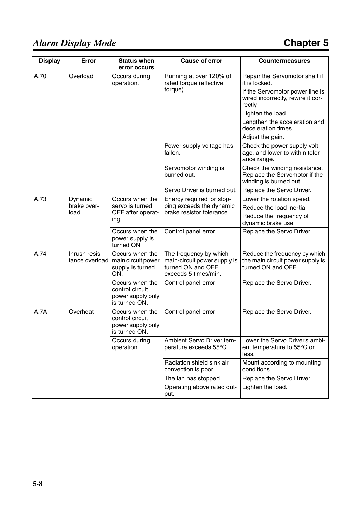| <b>Display</b> | Error                           | <b>Status when</b><br>error occurs                                       | <b>Cause of error</b>                                                                               | <b>Countermeasures</b>                                                                   |
|----------------|---------------------------------|--------------------------------------------------------------------------|-----------------------------------------------------------------------------------------------------|------------------------------------------------------------------------------------------|
| A.70           | Overload                        | Occurs during<br>operation.                                              | Running at over 120% of<br>rated torque (effective                                                  | Repair the Servomotor shaft if<br>it is locked.                                          |
|                |                                 |                                                                          | torque).                                                                                            | If the Servomotor power line is<br>wired incorrectly, rewire it cor-<br>rectly.          |
|                |                                 |                                                                          |                                                                                                     | Lighten the load.                                                                        |
|                |                                 |                                                                          |                                                                                                     | Lengthen the acceleration and<br>deceleration times.                                     |
|                |                                 |                                                                          |                                                                                                     | Adjust the gain.                                                                         |
|                |                                 |                                                                          | Power supply voltage has<br>fallen.                                                                 | Check the power supply volt-<br>age, and lower to within toler-<br>ance range.           |
|                |                                 |                                                                          | Servomotor winding is<br>burned out.                                                                | Check the winding resistance.<br>Replace the Servomotor if the<br>winding is burned out. |
|                |                                 |                                                                          | Servo Driver is burned out.                                                                         | Replace the Servo Driver.                                                                |
| A.73           | Dynamic                         | Occurs when the                                                          | Energy required for stop-                                                                           | Lower the rotation speed.                                                                |
|                | brake over-<br>load             | servo is turned<br>OFF after operat-<br>ing.                             | ping exceeds the dynamic<br>brake resistor tolerance.                                               | Reduce the load inertia.                                                                 |
|                |                                 |                                                                          |                                                                                                     | Reduce the frequency of<br>dynamic brake use.                                            |
|                |                                 | Occurs when the<br>power supply is<br>turned ON.                         | Control panel error                                                                                 | Replace the Servo Driver.                                                                |
| A.74           | Inrush resis-<br>tance overload | Occurs when the<br>main circuit power<br>supply is turned<br>ON.         | The frequency by which<br>main-circuit power supply is<br>turned ON and OFF<br>exceeds 5 times/min. | Reduce the frequency by which<br>the main circuit power supply is<br>turned ON and OFF.  |
|                |                                 | Occurs when the<br>control circuit<br>power supply only<br>is turned ON. | Control panel error                                                                                 | Replace the Servo Driver.                                                                |
| A.7A           | Overheat                        | Occurs when the<br>control circuit<br>power supply only<br>is turned ON. | Control panel error                                                                                 | Replace the Servo Driver.                                                                |
|                |                                 | Occurs during<br>operation                                               | Ambient Servo Driver tem-<br>perature exceeds 55°C.                                                 | Lower the Servo Driver's ambi-<br>ent temperature to 55°C or<br>less.                    |
|                |                                 |                                                                          | Radiation shield sink air<br>convection is poor.                                                    | Mount according to mounting<br>conditions.                                               |
|                |                                 |                                                                          | The fan has stopped.                                                                                | Replace the Servo Driver.                                                                |
|                |                                 |                                                                          | Operating above rated out-<br>put.                                                                  | Lighten the load.                                                                        |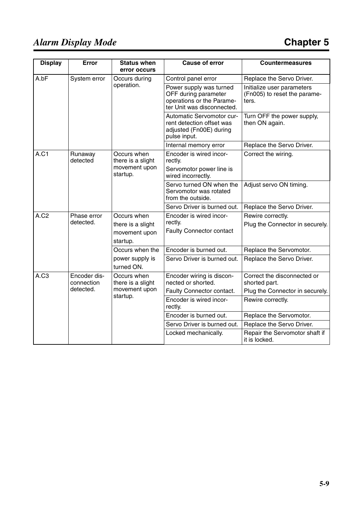| <b>Display</b>   | Error                      | <b>Status when</b><br>error occurs             | <b>Cause of error</b>                                                                                      | <b>Countermeasures</b>                                              |
|------------------|----------------------------|------------------------------------------------|------------------------------------------------------------------------------------------------------------|---------------------------------------------------------------------|
| A.bF             | System error               | Occurs during                                  | Control panel error                                                                                        | Replace the Servo Driver.                                           |
|                  |                            | operation.                                     | Power supply was turned<br>OFF during parameter<br>operations or the Parame-<br>ter Unit was disconnected. | Initialize user parameters<br>(Fn005) to reset the parame-<br>ters. |
|                  |                            |                                                | Automatic Servomotor cur-<br>rent detection offset was<br>adjusted (Fn00E) during<br>pulse input.          | Turn OFF the power supply,<br>then ON again.                        |
|                  |                            |                                                | Internal memory error                                                                                      | Replace the Servo Driver.                                           |
| A.C1             | Runaway<br>detected        | Occurs when<br>there is a slight               | Encoder is wired incor-<br>rectly.                                                                         | Correct the wiring.                                                 |
|                  |                            | movement upon<br>startup.                      | Servomotor power line is<br>wired incorrectly.                                                             |                                                                     |
|                  |                            |                                                | Servo turned ON when the<br>Servomotor was rotated<br>from the outside.                                    | Adjust servo ON timing.                                             |
|                  |                            |                                                | Servo Driver is burned out.                                                                                | Replace the Servo Driver.                                           |
| A.C <sub>2</sub> | Phase error                | Occurs when                                    | Encoder is wired incor-                                                                                    | Rewire correctly.                                                   |
|                  | detected.                  | there is a slight<br>movement upon<br>startup. | rectly.<br><b>Faulty Connector contact</b>                                                                 | Plug the Connector in securely.                                     |
|                  |                            | Occurs when the                                | Encoder is burned out.                                                                                     | Replace the Servomotor.                                             |
|                  |                            | power supply is<br>turned ON.                  | Servo Driver is burned out.                                                                                | Replace the Servo Driver.                                           |
| A.C3             | Encoder dis-<br>connection | Occurs when<br>there is a slight               | Encoder wiring is discon-<br>nected or shorted.                                                            | Correct the disconnected or<br>shorted part.                        |
|                  | detected.                  | movement upon                                  | Faulty Connector contact.                                                                                  | Plug the Connector in securely.                                     |
|                  |                            | startup.                                       | Encoder is wired incor-<br>rectly.                                                                         | Rewire correctly.                                                   |
|                  |                            |                                                | Encoder is burned out.                                                                                     | Replace the Servomotor.                                             |
|                  |                            |                                                | Servo Driver is burned out.                                                                                | Replace the Servo Driver.                                           |
|                  |                            |                                                | Locked mechanically.                                                                                       | Repair the Servomotor shaft if<br>it is locked.                     |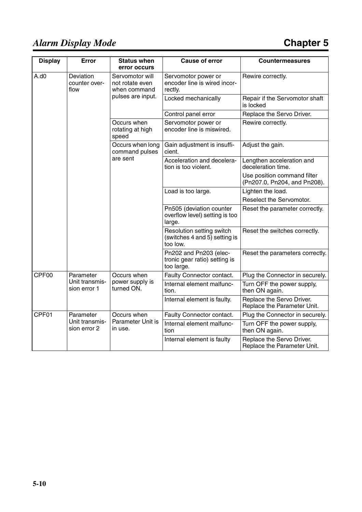| <b>Display</b> | Error                              | <b>Status when</b><br>error occurs                 | <b>Cause of error</b>                                                  | <b>Countermeasures</b>                                      |
|----------------|------------------------------------|----------------------------------------------------|------------------------------------------------------------------------|-------------------------------------------------------------|
| A.d0           | Deviation<br>counter over-<br>flow | Servomotor will<br>not rotate even<br>when command | Servomotor power or<br>encoder line is wired incor-<br>rectly.         | Rewire correctly.                                           |
|                |                                    | pulses are input.                                  | Locked mechanically                                                    | Repair if the Servomotor shaft<br>is locked                 |
|                |                                    |                                                    | Control panel error                                                    | Replace the Servo Driver.                                   |
|                |                                    | Occurs when<br>rotating at high<br>speed           | Servomotor power or<br>encoder line is miswired.                       | Rewire correctly.                                           |
|                |                                    | Occurs when long<br>command pulses                 | Gain adjustment is insuffi-<br>cient.                                  | Adjust the gain.                                            |
|                |                                    | are sent                                           | Acceleration and decelera-<br>tion is too violent.                     | Lengthen acceleration and<br>deceleration time.             |
|                |                                    |                                                    |                                                                        | Use position command filter<br>(Pn207.0, Pn204, and Pn208). |
|                |                                    |                                                    | Load is too large.                                                     | Lighten the load.                                           |
|                |                                    |                                                    |                                                                        | Reselect the Servomotor.                                    |
|                |                                    |                                                    | Pn505 (deviation counter<br>overflow level) setting is too<br>large.   | Reset the parameter correctly.                              |
|                |                                    |                                                    | Resolution setting switch<br>(switches 4 and 5) setting is<br>too low. | Reset the switches correctly.                               |
|                |                                    |                                                    | Pn202 and Pn203 (elec-<br>tronic gear ratio) setting is<br>too large.  | Reset the parameters correctly.                             |
| CPF00          | Parameter                          | Occurs when                                        | Faulty Connector contact.                                              | Plug the Connector in securely.                             |
|                | Unit transmis-<br>sion error 1     | power supply is<br>turned ON.                      | Internal element malfunc-<br>tion.                                     | Turn OFF the power supply,<br>then ON again.                |
|                |                                    |                                                    | Internal element is faulty.                                            | Replace the Servo Driver.<br>Replace the Parameter Unit.    |
| CPF01          | Parameter                          | Occurs when                                        | Faulty Connector contact.                                              | Plug the Connector in securely.                             |
|                | Unit transmis-<br>sion error 2     | Parameter Unit is<br>in use.                       | Internal element malfunc-<br>tion                                      | Turn OFF the power supply,<br>then ON again.                |
|                |                                    |                                                    | Internal element is faulty                                             | Replace the Servo Driver.<br>Replace the Parameter Unit.    |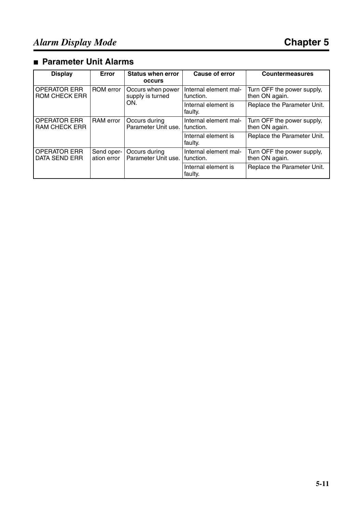#### ■ **Parameter Unit Alarms**

| <b>Display</b>                              | Error                     | <b>Status when error</b><br><b>OCCULS</b> | Cause of error                       | <b>Countermeasures</b>                       |
|---------------------------------------------|---------------------------|-------------------------------------------|--------------------------------------|----------------------------------------------|
| <b>OPERATOR ERR</b><br><b>ROM CHECK ERR</b> | ROM error                 | Occurs when power<br>supply is turned     | Internal element mal-<br>function.   | Turn OFF the power supply,<br>then ON again. |
|                                             |                           | ON.                                       | Internal element is<br>faulty.       | Replace the Parameter Unit.                  |
| <b>OPERATOR ERR</b><br><b>RAM CHECK ERR</b> | <b>RAM</b> error          | Occurs during<br>Parameter Unit use.      | Internal element mal-<br>I function. | Turn OFF the power supply,<br>then ON again. |
|                                             |                           |                                           | Internal element is<br>faulty.       | Replace the Parameter Unit.                  |
| <b>OPERATOR ERR</b><br><b>DATA SEND ERR</b> | Send oper-<br>ation error | Occurs during<br>Parameter Unit use.      | Internal element mal-<br>I function. | Turn OFF the power supply,<br>then ON again. |
|                                             |                           |                                           | Internal element is<br>faulty.       | Replace the Parameter Unit.                  |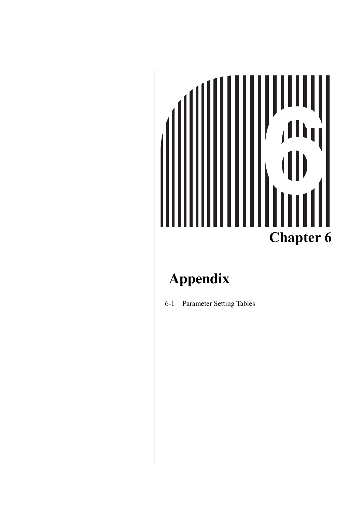## ,,,,,<br>,Ih<sub>l</sub> **Chapter 6**

#### **Appendix**

[6-1 Parameter Setting Tables](#page-100-0)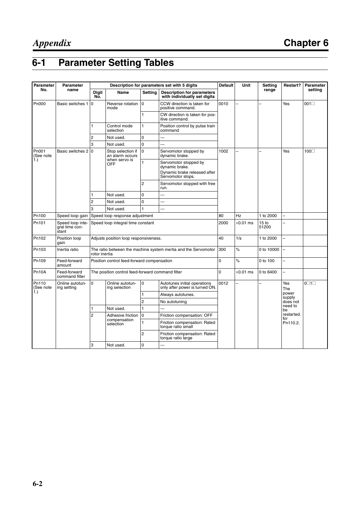#### <span id="page-100-0"></span>**6-1 Parameter Setting Tables**

| Parameter          | Parameter                                   |                     |                                                  |                   | Description for parameters set with 5 digits                                                 | <b>Default</b>                                     | Unit             | Setting                   | Restart?                 | Parameter              |  |
|--------------------|---------------------------------------------|---------------------|--------------------------------------------------|-------------------|----------------------------------------------------------------------------------------------|----------------------------------------------------|------------------|---------------------------|--------------------------|------------------------|--|
| No.                | name                                        | <b>Digit</b><br>Nō. | <b>Name</b>                                      | Settina           | <b>Description for parameters</b><br>with individually set digits                            |                                                    |                  | range                     |                          | setting                |  |
| Pn000              | Basic switches 1                            | $\Omega$            | Reverse rotation<br>mode                         | $\mathbf 0$       | CCW direction is taken for<br>positive command.                                              | 0010                                               |                  |                           | Yes                      | 001                    |  |
|                    |                                             |                     |                                                  | 1                 | CW direction is taken for pos-<br>itive command.                                             |                                                    |                  |                           |                          |                        |  |
|                    |                                             | 1                   | Control mode<br>selection                        | $\mathbf{1}$      | Position control by pulse train<br>command                                                   |                                                    |                  |                           |                          |                        |  |
|                    |                                             | 2                   | Not used.                                        | $\Omega$          |                                                                                              |                                                    |                  |                           |                          |                        |  |
|                    |                                             | 3                   | Not used.                                        | 0                 | u.                                                                                           |                                                    |                  |                           |                          |                        |  |
| Pn001<br>(See note | Basic switches 2 0                          |                     | Stop selection if<br>an alarm occurs             | $\Omega$          | Servomotor stopped by<br>dynamic brake.                                                      | 1002                                               | $\overline{a}$   |                           | Yes                      | 100□                   |  |
| 1.)                |                                             |                     | when servo is<br><b>OFF</b>                      | 1                 | Servomotor stopped by<br>dvnamic brake.<br>Dynamic brake released after<br>Servomotor stops. |                                                    |                  |                           |                          |                        |  |
|                    |                                             |                     |                                                  | 2                 | Servomotor stopped with free<br>run.                                                         |                                                    |                  |                           |                          |                        |  |
|                    |                                             | 1                   | Not used.                                        | 0                 |                                                                                              |                                                    |                  |                           |                          |                        |  |
|                    | $\overline{2}$                              |                     | Not used.                                        | 0                 | Щ,                                                                                           |                                                    |                  |                           |                          |                        |  |
|                    |                                             | 3                   | Not used.                                        | 1                 |                                                                                              |                                                    |                  |                           |                          |                        |  |
| Pn100              | Speed loop gain                             |                     | Speed loop response adjustment                   |                   |                                                                                              | 80                                                 | Hz               | 1 to 2000                 |                          |                        |  |
| Pn101              | Speed loop inte-<br>gral time con-<br>stant |                     | Speed loop integral time constant                |                   |                                                                                              | 2000                                               | $\times$ 0.01 ms | 15 <sub>to</sub><br>51200 |                          |                        |  |
| Pn102              | Position loop<br>qain                       |                     | Adjusts position loop responsiveness.            |                   |                                                                                              | 40                                                 | 1/s              | 1 to 2000                 | Ξ.                       |                        |  |
| Pn103              | Inertia ratio                               | rotor inertia       |                                                  |                   | The ratio between the machine system inertia and the Servomotor                              | 300                                                | $\%$             | 0 to 10000                |                          |                        |  |
| Pn109              | Feed-forward<br>amount                      |                     | Position control feed-forward compensation       |                   |                                                                                              | $\Omega$                                           | $\%$             | 0 to 100                  | $\overline{\phantom{a}}$ |                        |  |
| Pn10A              | Feed-forward<br>command filter              |                     | The position control feed-forward command filter |                   |                                                                                              | $\Omega$                                           | $\times$ 0.01 ms | 0 to 6400                 | ÷,                       |                        |  |
| Pn110<br>(See note | $\Omega$<br>Online autotun-<br>ing setting  |                     | Online autotun-<br>ing selection                 | 0                 | Autotunes initial operations<br>only after power is turned ON.                               | 0012                                               | L                |                           | Yes<br>The               | $0\square$ 1 $\square$ |  |
| 1.)                |                                             |                     | 1                                                | Always autotunes. |                                                                                              |                                                    |                  | power<br>supply           |                          |                        |  |
|                    |                                             |                     |                                                  | $\overline{c}$    | No autotuning                                                                                |                                                    |                  |                           | does not                 |                        |  |
|                    |                                             |                     | Not used.                                        | $\mathbf{1}$      | L.                                                                                           |                                                    |                  |                           | need to<br>be            |                        |  |
|                    |                                             | $\overline{2}$      | Adhesive friction<br>compensation<br>selection   |                   | $\overline{0}$                                                                               | Friction compensation: OFF                         |                  |                           |                          | restarted.<br>for      |  |
|                    |                                             |                     |                                                  | $\mathbf{1}$      | Friction compensation: Rated<br>torque ratio small                                           |                                                    |                  |                           | Pn110.2.                 |                        |  |
|                    |                                             |                     |                                                  |                   | $\overline{c}$                                                                               | Friction compensation: Rated<br>torque ratio large |                  |                           |                          |                        |  |
|                    |                                             | 3                   | Not used.                                        | $\Omega$          | ---                                                                                          |                                                    |                  |                           |                          |                        |  |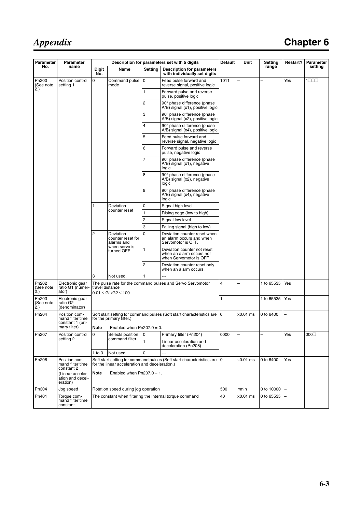#### *Appendix*

#### **Chapter 6**

| <b>Parameter</b>          | Parameter                                             |                                      |                                                                                                                             |                           | Description for parameters set with 5 digits                                       | <b>Default</b>    | Unit             | Setting    | Restart?                 | Parameter                |
|---------------------------|-------------------------------------------------------|--------------------------------------|-----------------------------------------------------------------------------------------------------------------------------|---------------------------|------------------------------------------------------------------------------------|-------------------|------------------|------------|--------------------------|--------------------------|
| No.                       | name                                                  | <b>Digit</b><br>No.                  | Name                                                                                                                        | Setting                   | <b>Description for parameters</b><br>with individually set digits                  |                   |                  | range      |                          | setting                  |
| Pn200<br>(See note        | Position control<br>setting 1                         | $\mathbf 0$                          | Command pulse<br>mode                                                                                                       | 0                         | Feed pulse forward and<br>reverse signal, positive logic                           | 1011              |                  |            | Yes                      | $1\square\square\square$ |
| 2.)                       |                                                       |                                      |                                                                                                                             | 1                         | Forward pulse and reverse<br>pulse, positive logic                                 |                   |                  |            |                          |                          |
|                           |                                                       |                                      |                                                                                                                             | $\overline{c}$            | 90° phase difference (phase<br>A/B) signal (x1), positive logic                    |                   |                  |            |                          |                          |
|                           |                                                       |                                      |                                                                                                                             | 3                         | 90° phase difference (phase<br>A/B) signal (x2), positive logic                    |                   |                  |            |                          |                          |
|                           |                                                       |                                      |                                                                                                                             | 4                         | 90° phase difference (phase<br>A/B) signal (x4), positive logic                    |                   |                  |            |                          |                          |
|                           |                                                       |                                      |                                                                                                                             | 5                         | Feed pulse forward and<br>reverse signal, negative logic                           |                   |                  |            |                          |                          |
|                           |                                                       |                                      |                                                                                                                             | 6                         | Forward pulse and reverse<br>pulse, negative logic                                 |                   |                  |            |                          |                          |
|                           |                                                       |                                      |                                                                                                                             | 7                         | 90° phase difference (phase<br>A/B) signal (x1), negative<br>logic                 |                   |                  |            |                          |                          |
|                           |                                                       |                                      |                                                                                                                             | 8                         | 90° phase difference (phase<br>A/B) signal (x2), negative<br>logic                 |                   |                  |            |                          |                          |
|                           |                                                       |                                      |                                                                                                                             | 9                         | 90° phase difference (phase<br>A/B) signal (x4), negative<br>logic                 |                   |                  |            |                          |                          |
|                           |                                                       | Deviation<br>1<br>counter reset      |                                                                                                                             |                           | 0                                                                                  | Signal high level |                  |            |                          |                          |
|                           |                                                       |                                      | 1                                                                                                                           | Rising edge (low to high) |                                                                                    |                   |                  |            |                          |                          |
|                           |                                                       |                                      | 2                                                                                                                           | Signal low level          |                                                                                    |                   |                  |            |                          |                          |
|                           |                                                       |                                      |                                                                                                                             | 3                         | Falling signal (high to low)                                                       |                   |                  |            |                          |                          |
|                           | $\overline{c}$                                        | Deviation<br>alarms and              | counter reset for                                                                                                           | 0                         | Deviation counter reset when<br>an alarm occurs and when<br>Servomotor is OFF.     |                   |                  |            |                          |                          |
|                           |                                                       |                                      | when servo is<br>turned OFF                                                                                                 | 1                         | Deviation counter not reset<br>when an alarm occurs nor<br>when Servomotor is OFF. |                   |                  |            |                          |                          |
|                           |                                                       |                                      |                                                                                                                             | $\overline{c}$            | Deviation counter reset only<br>when an alarm occurs.                              |                   |                  |            |                          |                          |
|                           |                                                       | 3                                    | Not used.                                                                                                                   | 1                         |                                                                                    |                   |                  |            |                          |                          |
| Pn202<br>(See note<br>2.) | Electronic gear<br>ratio G1 (numer-<br>ator)          | travel distance                      | $0.01 \le G1/G2 \le 100$                                                                                                    |                           | The pulse rate for the command pulses and Servo Servomotor                         | 4                 | -                | 1 to 65535 | Yes                      |                          |
| Pn203<br>(See note<br>2.) | Electronic gear<br>ratio G2<br>(denominator)          |                                      |                                                                                                                             |                           |                                                                                    | 1                 |                  | 1 to 65535 | Yes                      |                          |
| Pn204                     | Position com-<br>mand filter time<br>constant 1 (pri- |                                      | for the primary filter.)                                                                                                    |                           | Soft start setting for command pulses (Soft start characteristics are   0          |                   | $\times$ 0.01 ms | 0 to 6400  |                          |                          |
|                           | mary filter)                                          | Enabled when $Pn207.0 = 0$ .<br>Note |                                                                                                                             |                           |                                                                                    |                   |                  |            |                          |                          |
| Pn207                     | Position control                                      | $\mathbf 0$                          | Selects position                                                                                                            | 0                         | Primary filter (Pn204)                                                             | 0000              |                  |            | Yes                      | 000                      |
|                           | setting 2                                             |                                      | command filter.                                                                                                             | 1                         | Linear acceleration and<br>deceleration (Pn208)                                    |                   |                  |            |                          |                          |
|                           |                                                       | $1$ to $3$                           | Not used.                                                                                                                   | 0                         |                                                                                    |                   |                  |            |                          |                          |
| Pn208                     | Position com-<br>mand filter time<br>constant 2       |                                      | Soft start setting for command pulses (Soft start characteristics are   0<br>for the linear acceleration and deceleration.) |                           |                                                                                    |                   | $\times$ 0.01 ms | 0 to 6400  | Yes                      |                          |
|                           | (Linear acceler-<br>ation and decel-<br>eration)      | <b>Note</b>                          | Enabled when $Pn207.0 = 1$ .                                                                                                |                           |                                                                                    |                   |                  |            |                          |                          |
| Pn304                     | Jog speed                                             |                                      | Rotation speed during jog operation                                                                                         |                           |                                                                                    | 500               | r/min            | 0 to 10000 | $\overline{\phantom{0}}$ |                          |
| Pn401                     | Torque com-<br>mand filter time<br>constant           |                                      |                                                                                                                             |                           | The constant when filtering the internal torque command                            | 40                | $\times$ 0.01 ms | 0 to 65535 |                          |                          |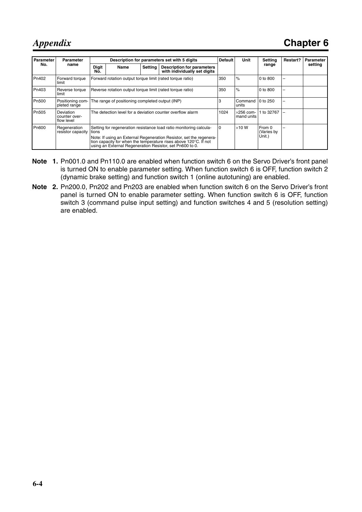*Appendix*

| Parameter | Parameter                                |                     | Description for parameters set with 5 digits                                                                                                                                                                                                                              |                |                                                                   | <b>Default</b><br>Unit |                  | Settina                        | Restart? | Parameter |
|-----------|------------------------------------------|---------------------|---------------------------------------------------------------------------------------------------------------------------------------------------------------------------------------------------------------------------------------------------------------------------|----------------|-------------------------------------------------------------------|------------------------|------------------|--------------------------------|----------|-----------|
| No.       | name                                     | <b>Digit</b><br>No. | Name                                                                                                                                                                                                                                                                      | <b>Setting</b> | <b>Description for parameters</b><br>with individually set digits |                        |                  | range                          |          | setting   |
| Pn402     | Forward torque<br>limit                  |                     | Forward rotation output torque limit (rated torque ratio)<br>350                                                                                                                                                                                                          |                |                                                                   |                        | $\%$             | $0$ to $800$                   | -        |           |
| Pn403     | Reverse torque<br>limit                  |                     | Reverse rotation output torque limit (rated torque ratio)                                                                                                                                                                                                                 |                |                                                                   |                        | $\%$             | 0 to 800                       | -        |           |
| Pn500     | Positioning com-<br>pleted range         |                     | The range of positioning completed output (INP)                                                                                                                                                                                                                           |                |                                                                   |                        | Command<br>units | 0 to 250                       |          |           |
| Pn505     | Deviation<br>counter over-<br>flow level |                     | The detection level for a deviation counter overflow alarm                                                                                                                                                                                                                | 1024           | $\times$ 256 com-<br>mand units                                   | 1 to 32767             |                  |                                |          |           |
| Pn600     | Regeneration<br>resistor capacity        | tions               | Setting for regeneration resistance load ratio monitoring calcula-<br>Note: If using an External Regeneration Resistor, set the regenera-<br>tion capacity for when the temperature rises above 120°C. If not<br>using an External Regeneration Resistor, set Pn600 to 0. |                |                                                                   |                        | $\times$ 10 W    | From 0<br>(Varies by<br>Unit.) |          |           |

- **Note 1.** Pn001.0 and Pn110.0 are enabled when function switch 6 on the Servo Driver's front panel is turned ON to enable parameter setting. When function switch 6 is OFF, function switch 2 (dynamic brake setting) and function switch 1 (online autotuning) are enabled.
- **Note 2.** Pn200.0, Pn202 and Pn203 are enabled when function switch 6 on the Servo Driver's front panel is turned ON to enable parameter setting. When function switch 6 is OFF, function switch 3 (command pulse input setting) and function switches 4 and 5 (resolution setting) are enabled.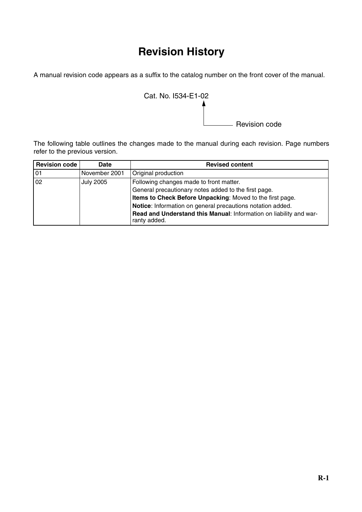#### **Revision History**

A manual revision code appears as a suffix to the catalog number on the front cover of the manual.



The following table outlines the changes made to the manual during each revision. Page numbers refer to the previous version.

| <b>Revision code</b> | <b>Date</b>      | <b>Revised content</b>                                                             |
|----------------------|------------------|------------------------------------------------------------------------------------|
| 01                   | November 2001    | Original production                                                                |
| 02                   | <b>July 2005</b> | Following changes made to front matter.                                            |
|                      |                  | General precautionary notes added to the first page.                               |
|                      |                  | Items to Check Before Unpacking: Moved to the first page.                          |
|                      |                  | Notice: Information on general precautions notation added.                         |
|                      |                  | Read and Understand this Manual: Information on liability and war-<br>ranty added. |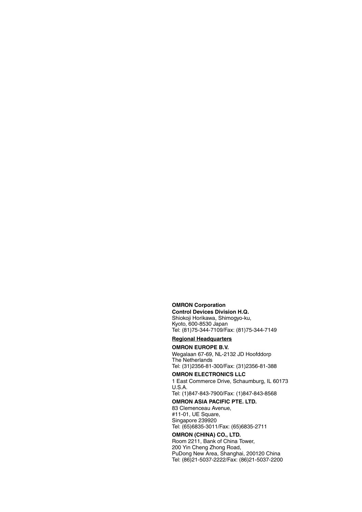**OMRON Corporation Control Devices Division H.Q.** Shiokoji Horikawa, Shimogyo-ku, Kyoto, 600-8530 Japan Tel: (81)75-344-7109/Fax: (81)75-344-7149

**Regional Headquarters**

#### **OMRON EUROPE B.V.**

Wegalaan 67-69, NL-2132 JD Hoofddorp The Netherlands Tel: (31)2356-81-300/Fax: (31)2356-81-388

#### **OMRON ELECTRONICS LLC**

1 East Commerce Drive, Schaumburg, IL 60173 U.S.A.

Tel: (1)847-843-7900/Fax: (1)847-843-8568

#### **OMRON ASIA PACIFIC PTE. LTD.**

83 Clemenceau Avenue, #11-01, UE Square, Singapore 239920 Tel: (65)6835-3011/Fax: (65)6835-2711

#### **OMRON (CHINA) CO., LTD.**

Room 2211, Bank of China Tower, 200 Yin Cheng Zhong Road, PuDong New Area, Shanghai, 200120 China Tel: (86)21-5037-2222/Fax: (86)21-5037-2200